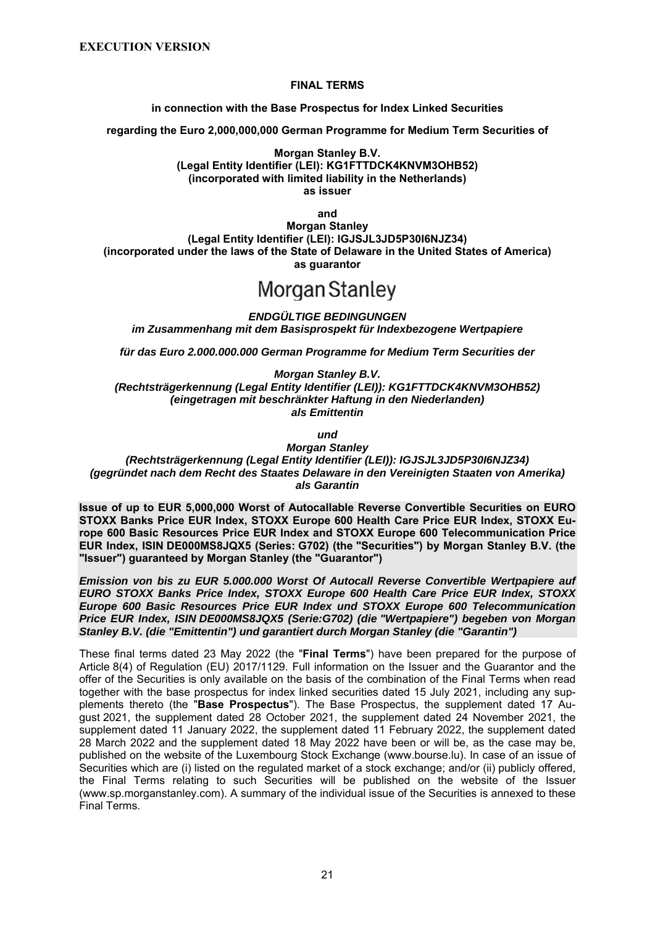#### **FINAL TERMS**

**in connection with the Base Prospectus for Index Linked Securities**

**regarding the Euro 2,000,000,000 German Programme for Medium Term Securities of** 

**Morgan Stanley B.V. (Legal Entity Identifier (LEI): KG1FTTDCK4KNVM3OHB52) (incorporated with limited liability in the Netherlands) as issuer**

**and Morgan Stanley (Legal Entity Identifier (LEI): IGJSJL3JD5P30I6NJZ34) (incorporated under the laws of the State of Delaware in the United States of America) as guarantor**

# Morgan Stanley

*ENDGÜLTIGE BEDINGUNGEN im Zusammenhang mit dem Basisprospekt für Indexbezogene Wertpapiere*

*für das Euro 2.000.000.000 German Programme for Medium Term Securities der*

*Morgan Stanley B.V. (Rechtsträgerkennung (Legal Entity Identifier (LEI)): KG1FTTDCK4KNVM3OHB52) (eingetragen mit beschränkter Haftung in den Niederlanden) als Emittentin*

*und*

*Morgan Stanley (Rechtsträgerkennung (Legal Entity Identifier (LEI)): IGJSJL3JD5P30I6NJZ34) (gegründet nach dem Recht des Staates Delaware in den Vereinigten Staaten von Amerika) als Garantin*

**Issue of up to EUR 5,000,000 Worst of Autocallable Reverse Convertible Securities on EURO STOXX Banks Price EUR Index, STOXX Europe 600 Health Care Price EUR Index, STOXX Europe 600 Basic Resources Price EUR Index and STOXX Europe 600 Telecommunication Price EUR Index, ISIN DE000MS8JQX5 (Series: G702) (the "Securities") by Morgan Stanley B.V. (the "Issuer") guaranteed by Morgan Stanley (the "Guarantor")** 

*Emission von bis zu EUR 5.000.000 Worst Of Autocall Reverse Convertible Wertpapiere auf EURO STOXX Banks Price Index, STOXX Europe 600 Health Care Price EUR Index, STOXX Europe 600 Basic Resources Price EUR Index und STOXX Europe 600 Telecommunication Price EUR Index, ISIN DE000MS8JQX5 (Serie:G702) (die "Wertpapiere") begeben von Morgan Stanley B.V. (die "Emittentin") und garantiert durch Morgan Stanley (die "Garantin")* 

These final terms dated 23 May 2022 (the "**Final Terms**") have been prepared for the purpose of Article 8(4) of Regulation (EU) 2017/1129. Full information on the Issuer and the Guarantor and the offer of the Securities is only available on the basis of the combination of the Final Terms when read together with the base prospectus for index linked securities dated 15 July 2021, including any supplements thereto (the "**Base Prospectus**"). The Base Prospectus, the supplement dated 17 August 2021, the supplement dated 28 October 2021, the supplement dated 24 November 2021, the supplement dated 11 January 2022, the supplement dated 11 February 2022, the supplement dated 28 March 2022 and the supplement dated 18 May 2022 have been or will be, as the case may be, published on the website of the Luxembourg Stock Exchange (www.bourse.lu). In case of an issue of Securities which are (i) listed on the regulated market of a stock exchange; and/or (ii) publicly offered, the Final Terms relating to such Securities will be published on the website of the Issuer (www.sp.morganstanley.com). A summary of the individual issue of the Securities is annexed to these Final Terms.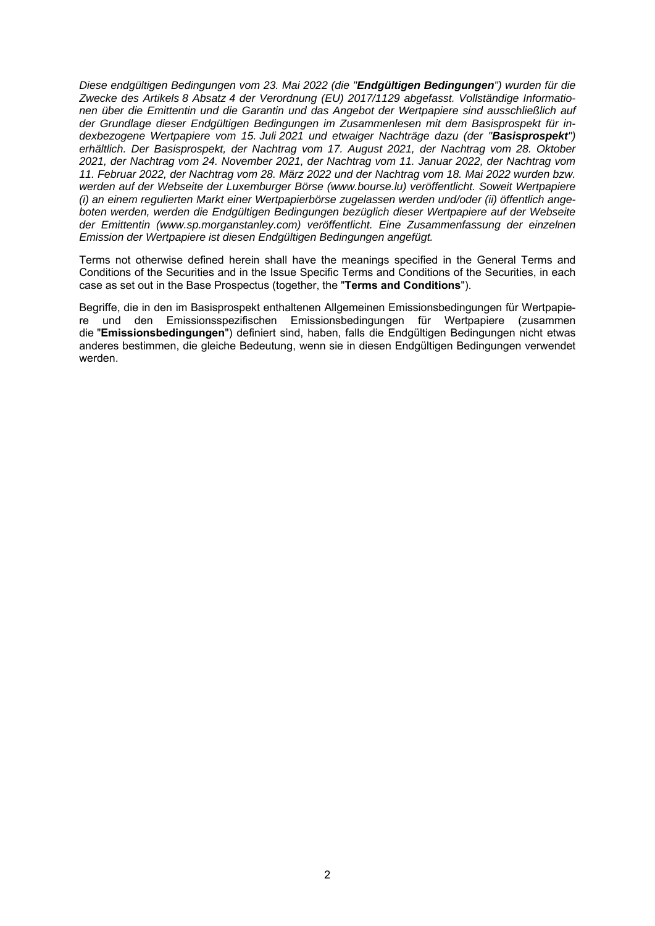*Diese endgültigen Bedingungen vom 23. Mai 2022 (die "Endgültigen Bedingungen") wurden für die Zwecke des Artikels 8 Absatz 4 der Verordnung (EU) 2017/1129 abgefasst. Vollständige Informationen über die Emittentin und die Garantin und das Angebot der Wertpapiere sind ausschließlich auf der Grundlage dieser Endgültigen Bedingungen im Zusammenlesen mit dem Basisprospekt für indexbezogene Wertpapiere vom 15. Juli 2021 und etwaiger Nachträge dazu (der "Basisprospekt") erhältlich. Der Basisprospekt, der Nachtrag vom 17. August 2021, der Nachtrag vom 28. Oktober 2021, der Nachtrag vom 24. November 2021, der Nachtrag vom 11. Januar 2022, der Nachtrag vom 11. Februar 2022, der Nachtrag vom 28. März 2022 und der Nachtrag vom 18. Mai 2022 wurden bzw. werden auf der Webseite der Luxemburger Börse (www.bourse.lu) veröffentlicht. Soweit Wertpapiere (i) an einem regulierten Markt einer Wertpapierbörse zugelassen werden und/oder (ii) öffentlich angeboten werden, werden die Endgültigen Bedingungen bezüglich dieser Wertpapiere auf der Webseite der Emittentin (www.sp.morganstanley.com) veröffentlicht. Eine Zusammenfassung der einzelnen Emission der Wertpapiere ist diesen Endgültigen Bedingungen angefügt.*

Terms not otherwise defined herein shall have the meanings specified in the General Terms and Conditions of the Securities and in the Issue Specific Terms and Conditions of the Securities, in each case as set out in the Base Prospectus (together, the "**Terms and Conditions**").

Begriffe, die in den im Basisprospekt enthaltenen Allgemeinen Emissionsbedingungen für Wertpapiere und den Emissionsspezifischen Emissionsbedingungen für Wertpapiere (zusammen die "**Emissionsbedingungen**") definiert sind, haben, falls die Endgültigen Bedingungen nicht etwas anderes bestimmen, die gleiche Bedeutung, wenn sie in diesen Endgültigen Bedingungen verwendet werden.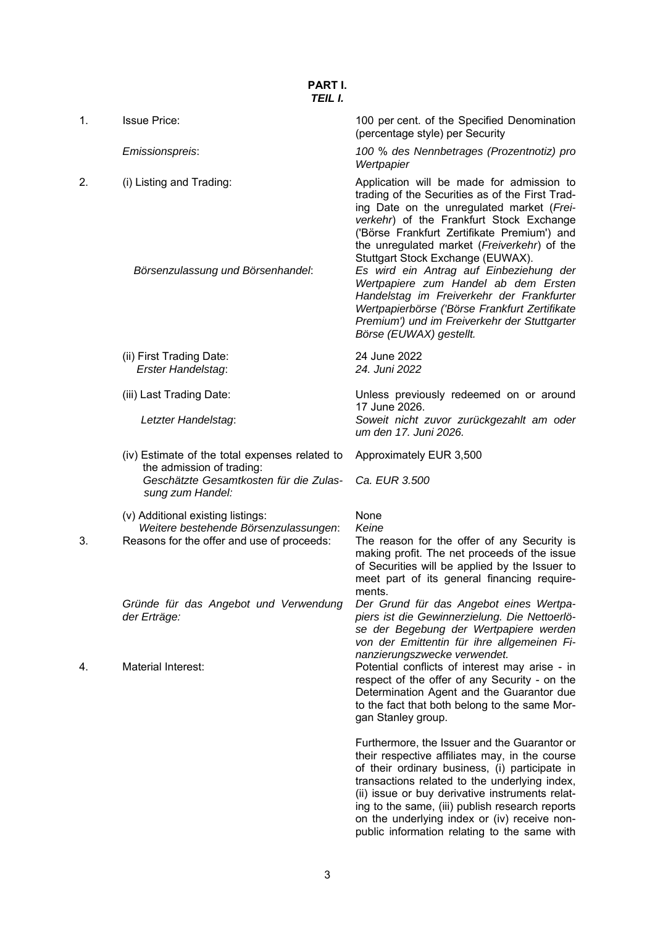|    | I CIL I.                                                                    |                                                                                                                                                                                                                                                                                                                                                         |
|----|-----------------------------------------------------------------------------|---------------------------------------------------------------------------------------------------------------------------------------------------------------------------------------------------------------------------------------------------------------------------------------------------------------------------------------------------------|
| 1. | <b>Issue Price:</b>                                                         | 100 per cent. of the Specified Denomination<br>(percentage style) per Security                                                                                                                                                                                                                                                                          |
|    | Emissionspreis:                                                             | 100 % des Nennbetrages (Prozentnotiz) pro<br>Wertpapier                                                                                                                                                                                                                                                                                                 |
| 2. | (i) Listing and Trading:                                                    | Application will be made for admission to<br>trading of the Securities as of the First Trad-<br>ing Date on the unregulated market (Frei-<br>verkehr) of the Frankfurt Stock Exchange<br>('Börse Frankfurt Zertifikate Premium') and<br>the unregulated market (Freiverkehr) of the<br>Stuttgart Stock Exchange (EUWAX).                                |
|    | Börsenzulassung und Börsenhandel:                                           | Es wird ein Antrag auf Einbeziehung der<br>Wertpapiere zum Handel ab dem Ersten<br>Handelstag im Freiverkehr der Frankfurter<br>Wertpapierbörse ('Börse Frankfurt Zertifikate<br>Premium') und im Freiverkehr der Stuttgarter<br>Börse (EUWAX) gestellt.                                                                                                |
|    | (ii) First Trading Date:<br>Erster Handelstag:                              | 24 June 2022<br>24. Juni 2022                                                                                                                                                                                                                                                                                                                           |
|    | (iii) Last Trading Date:                                                    | Unless previously redeemed on or around<br>17 June 2026.                                                                                                                                                                                                                                                                                                |
|    | Letzter Handelstag:                                                         | Soweit nicht zuvor zurückgezahlt am oder<br>um den 17. Juni 2026.                                                                                                                                                                                                                                                                                       |
|    | (iv) Estimate of the total expenses related to<br>the admission of trading: | Approximately EUR 3,500                                                                                                                                                                                                                                                                                                                                 |
|    | Geschätzte Gesamtkosten für die Zulas-<br>sung zum Handel:                  | Ca. EUR 3.500                                                                                                                                                                                                                                                                                                                                           |
|    | (v) Additional existing listings:<br>Weitere bestehende Börsenzulassungen:  | None<br>Keine                                                                                                                                                                                                                                                                                                                                           |
| 3. | Reasons for the offer and use of proceeds:                                  | The reason for the offer of any Security is<br>making profit. The net proceeds of the issue<br>of Securities will be applied by the Issuer to<br>meet part of its general financing require-<br>ments.                                                                                                                                                  |
|    | Gründe für das Angebot und Verwendung<br>der Erträge:                       | Der Grund für das Angebot eines Wertpa-<br>piers ist die Gewinnerzielung. Die Nettoerlö-<br>se der Begebung der Wertpapiere werden<br>von der Emittentin für ihre allgemeinen Fi-<br>nanzierungszwecke verwendet.                                                                                                                                       |
| 4. | <b>Material Interest:</b>                                                   | Potential conflicts of interest may arise - in<br>respect of the offer of any Security - on the<br>Determination Agent and the Guarantor due<br>to the fact that both belong to the same Mor-<br>gan Stanley group.                                                                                                                                     |
|    |                                                                             | Furthermore, the Issuer and the Guarantor or<br>their respective affiliates may, in the course<br>of their ordinary business, (i) participate in<br>transactions related to the underlying index,<br>(ii) issue or buy derivative instruments relat-<br>ing to the same, (iii) publish research reports<br>on the underlying index or (iv) receive non- |

public information relating to the same with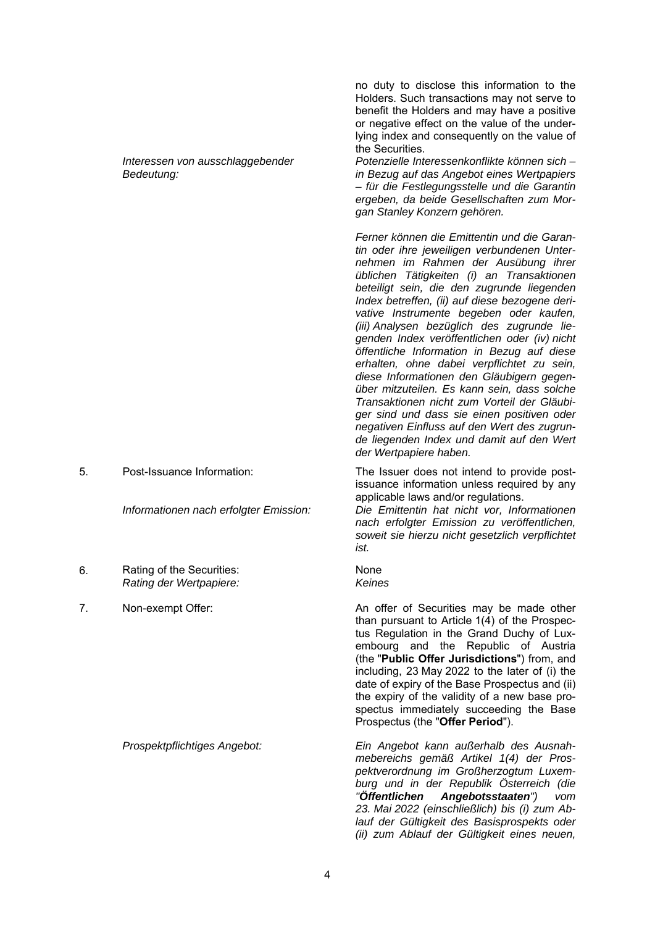*Interessen von ausschlaggebender Bedeutung:*

- 6. Rating of the Securities: *Rating der Wertpapiere:*
- 

no duty to disclose this information to the Holders. Such transactions may not serve to benefit the Holders and may have a positive or negative effect on the value of the underlying index and consequently on the value of the Securities.

*Potenzielle Interessenkonflikte können sich – in Bezug auf das Angebot eines Wertpapiers – für die Festlegungsstelle und die Garantin ergeben, da beide Gesellschaften zum Morgan Stanley Konzern gehören.* 

*Ferner können die Emittentin und die Garantin oder ihre jeweiligen verbundenen Unternehmen im Rahmen der Ausübung ihrer üblichen Tätigkeiten (i) an Transaktionen beteiligt sein, die den zugrunde liegenden Index betreffen, (ii) auf diese bezogene derivative Instrumente begeben oder kaufen, (iii) Analysen bezüglich des zugrunde liegenden Index veröffentlichen oder (iv) nicht öffentliche Information in Bezug auf diese erhalten, ohne dabei verpflichtet zu sein, diese Informationen den Gläubigern gegenüber mitzuteilen. Es kann sein, dass solche Transaktionen nicht zum Vorteil der Gläubiger sind und dass sie einen positiven oder negativen Einfluss auf den Wert des zugrunde liegenden Index und damit auf den Wert der Wertpapiere haben.*

5. Post-Issuance Information: The Issuer does not intend to provide postissuance information unless required by any applicable laws and/or regulations.

*Informationen nach erfolgter Emission: Die Emittentin hat nicht vor, Informationen nach erfolgter Emission zu veröffentlichen, soweit sie hierzu nicht gesetzlich verpflichtet ist.*

#### None *Keines*

7. Non-exempt Offer: An offer of Securities may be made other than pursuant to Article 1(4) of the Prospectus Regulation in the Grand Duchy of Luxembourg and the Republic of Austria (the "**Public Offer Jurisdictions**") from, and including, 23 May 2022 to the later of (i) the date of expiry of the Base Prospectus and (ii) the expiry of the validity of a new base prospectus immediately succeeding the Base Prospectus (the "**Offer Period**").

*Prospektpflichtiges Angebot: Ein Angebot kann außerhalb des Ausnahmebereichs gemäß Artikel 1(4) der Prospektverordnung im Großherzogtum Luxemburg und in der Republik Österreich (die "Öffentlichen Angebotsstaaten") vom 23. Mai 2022 (einschließlich) bis (i) zum Ablauf der Gültigkeit des Basisprospekts oder (ii) zum Ablauf der Gültigkeit eines neuen,*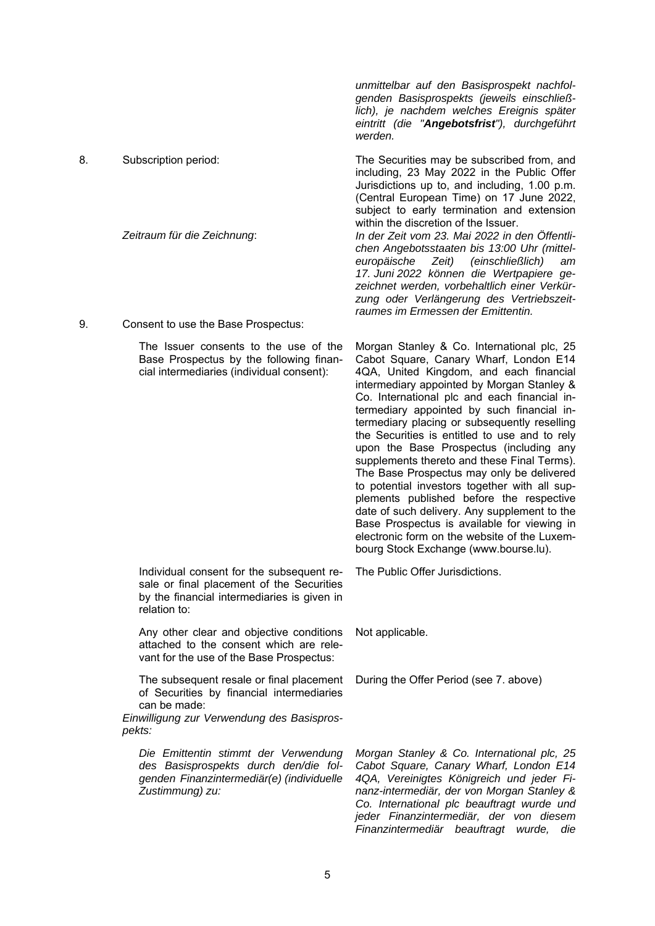*werden.*  8. Subscription period: The Securities may be subscribed from, and including, 23 May 2022 in the Public Offer Jurisdictions up to, and including, 1.00 p.m. (Central European Time) on 17 June 2022, subject to early termination and extension within the discretion of the Issuer. *Zeitraum für die Zeichnung*: *In der Zeit vom 23. Mai 2022 in den Öffentlichen Angebotsstaaten bis 13:00 Uhr (mitteleuropäische Zeit) (einschließlich) am 17. Juni 2022 können die Wertpapiere gezeichnet werden, vorbehaltlich einer Verkürzung oder Verlängerung des Vertriebszeitraumes im Ermessen der Emittentin.*

*unmittelbar auf den Basisprospekt nachfolgenden Basisprospekts (jeweils einschließlich), je nachdem welches Ereignis später eintritt (die "Angebotsfrist"), durchgeführt* 

9. Consent to use the Base Prospectus:

| $\frac{1}{2}$                                                                                                                                                 |                                                                                                                                                                                                                                                                                                                                                                                                                                                                                                                                                                                                                                                                                                                                                                                                          |
|---------------------------------------------------------------------------------------------------------------------------------------------------------------|----------------------------------------------------------------------------------------------------------------------------------------------------------------------------------------------------------------------------------------------------------------------------------------------------------------------------------------------------------------------------------------------------------------------------------------------------------------------------------------------------------------------------------------------------------------------------------------------------------------------------------------------------------------------------------------------------------------------------------------------------------------------------------------------------------|
| The Issuer consents to the use of the<br>Base Prospectus by the following finan-<br>cial intermediaries (individual consent):                                 | Morgan Stanley & Co. International plc, 25<br>Cabot Square, Canary Wharf, London E14<br>4QA, United Kingdom, and each financial<br>intermediary appointed by Morgan Stanley &<br>Co. International plc and each financial in-<br>termediary appointed by such financial in-<br>termediary placing or subsequently reselling<br>the Securities is entitled to use and to rely<br>upon the Base Prospectus (including any<br>supplements thereto and these Final Terms).<br>The Base Prospectus may only be delivered<br>to potential investors together with all sup-<br>plements published before the respective<br>date of such delivery. Any supplement to the<br>Base Prospectus is available for viewing in<br>electronic form on the website of the Luxem-<br>bourg Stock Exchange (www.bourse.lu). |
| Individual consent for the subsequent re-<br>sale or final placement of the Securities<br>by the financial intermediaries is given in<br>relation to:         | The Public Offer Jurisdictions.                                                                                                                                                                                                                                                                                                                                                                                                                                                                                                                                                                                                                                                                                                                                                                          |
| Any other clear and objective conditions<br>attached to the consent which are rele-<br>vant for the use of the Base Prospectus:                               | Not applicable.                                                                                                                                                                                                                                                                                                                                                                                                                                                                                                                                                                                                                                                                                                                                                                                          |
| The subsequent resale or final placement<br>of Securities by financial intermediaries<br>can be made:<br>Einwilligung zur Verwendung des Basispros-<br>pekts: | During the Offer Period (see 7. above)                                                                                                                                                                                                                                                                                                                                                                                                                                                                                                                                                                                                                                                                                                                                                                   |
| Die Emittentin stimmt der Verwendung<br>des Basisprospekts durch den/die fol-<br>genden Finanzintermediär(e) (individuelle<br>Zustimmung) zu:                 | Morgan Stanley & Co. International plc, 25<br>Cabot Square, Canary Wharf, London E14<br>4QA, Vereinigtes Königreich und jeder Fi-<br>nanz-intermediär, der von Morgan Stanley &<br>Co. International plc beauftragt wurde und<br>jeder Finanzintermediär, der von diesem<br>Finanzintermediär beauftragt wurde,<br>die                                                                                                                                                                                                                                                                                                                                                                                                                                                                                   |
|                                                                                                                                                               |                                                                                                                                                                                                                                                                                                                                                                                                                                                                                                                                                                                                                                                                                                                                                                                                          |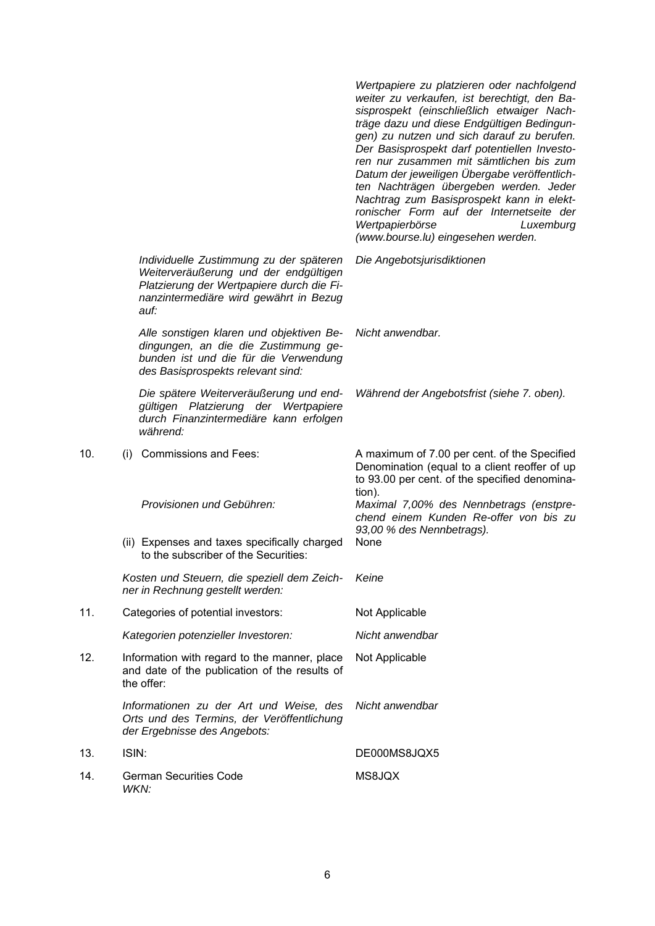|     |                                                                                                                                                                                 | Wertpapiere zu platzieren oder nachfolgend<br>weiter zu verkaufen, ist berechtigt, den Ba-<br>sisprospekt (einschließlich etwaiger Nach-<br>träge dazu und diese Endgültigen Bedingun-<br>gen) zu nutzen und sich darauf zu berufen.<br>Der Basisprospekt darf potentiellen Investo-<br>ren nur zusammen mit sämtlichen bis zum<br>Datum der jeweiligen Übergabe veröffentlich-<br>ten Nachträgen übergeben werden. Jeder<br>Nachtrag zum Basisprospekt kann in elekt-<br>ronischer Form auf der Internetseite der<br>Wertpapierbörse<br>Luxemburg<br>(www.bourse.lu) eingesehen werden. |
|-----|---------------------------------------------------------------------------------------------------------------------------------------------------------------------------------|------------------------------------------------------------------------------------------------------------------------------------------------------------------------------------------------------------------------------------------------------------------------------------------------------------------------------------------------------------------------------------------------------------------------------------------------------------------------------------------------------------------------------------------------------------------------------------------|
|     | Individuelle Zustimmung zu der späteren<br>Weiterveräußerung und der endgültigen<br>Platzierung der Wertpapiere durch die Fi-<br>nanzintermediäre wird gewährt in Bezug<br>auf: | Die Angebotsjurisdiktionen                                                                                                                                                                                                                                                                                                                                                                                                                                                                                                                                                               |
|     | Alle sonstigen klaren und objektiven Be-<br>dingungen, an die die Zustimmung ge-<br>bunden ist und die für die Verwendung<br>des Basisprospekts relevant sind:                  | Nicht anwendbar.                                                                                                                                                                                                                                                                                                                                                                                                                                                                                                                                                                         |
|     | Die spätere Weiterveräußerung und end-<br>gültigen Platzierung der Wertpapiere<br>durch Finanzintermediäre kann erfolgen<br>während:                                            | Während der Angebotsfrist (siehe 7. oben).                                                                                                                                                                                                                                                                                                                                                                                                                                                                                                                                               |
| 10. | <b>Commissions and Fees:</b><br>(i)                                                                                                                                             | A maximum of 7.00 per cent. of the Specified<br>Denomination (equal to a client reoffer of up<br>to 93.00 per cent. of the specified denomina-<br>tion).                                                                                                                                                                                                                                                                                                                                                                                                                                 |
|     | Provisionen und Gebühren:                                                                                                                                                       | Maximal 7,00% des Nennbetrags (enstpre-<br>chend einem Kunden Re-offer von bis zu<br>93,00 % des Nennbetrags).                                                                                                                                                                                                                                                                                                                                                                                                                                                                           |
|     | (ii) Expenses and taxes specifically charged<br>to the subscriber of the Securities:                                                                                            | None                                                                                                                                                                                                                                                                                                                                                                                                                                                                                                                                                                                     |
|     | Kosten und Steuern, die speziell dem Zeich-<br>ner in Rechnung gestellt werden:                                                                                                 | Keine                                                                                                                                                                                                                                                                                                                                                                                                                                                                                                                                                                                    |
| 11. | Categories of potential investors:                                                                                                                                              | Not Applicable                                                                                                                                                                                                                                                                                                                                                                                                                                                                                                                                                                           |
|     | Kategorien potenzieller Investoren:                                                                                                                                             | Nicht anwendbar                                                                                                                                                                                                                                                                                                                                                                                                                                                                                                                                                                          |
| 12. | Information with regard to the manner, place<br>and date of the publication of the results of<br>the offer:                                                                     | Not Applicable                                                                                                                                                                                                                                                                                                                                                                                                                                                                                                                                                                           |
|     | Informationen zu der Art und Weise, des<br>Orts und des Termins, der Veröffentlichung<br>der Ergebnisse des Angebots:                                                           | Nicht anwendbar                                                                                                                                                                                                                                                                                                                                                                                                                                                                                                                                                                          |
| 13. | ISIN:                                                                                                                                                                           | DE000MS8JQX5                                                                                                                                                                                                                                                                                                                                                                                                                                                                                                                                                                             |
| 14. | <b>German Securities Code</b><br>WKN:                                                                                                                                           | MS8JQX                                                                                                                                                                                                                                                                                                                                                                                                                                                                                                                                                                                   |

 $14.$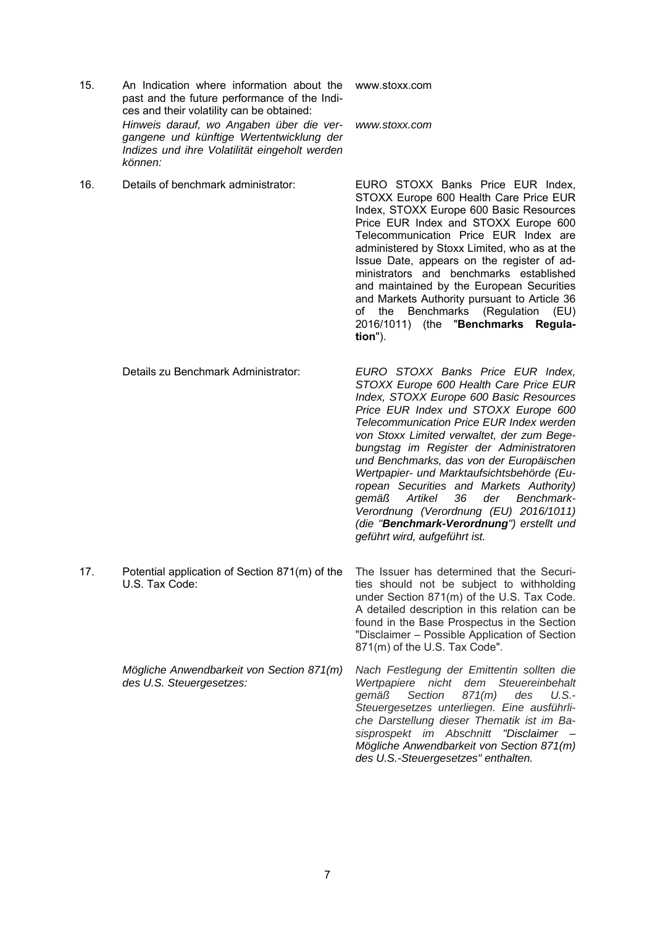- 15. An Indication where information about the www.stoxx.com past and the future performance of the Indices and their volatility can be obtained: *Hinweis darauf, wo Angaben über die vergangene und künftige Wertentwicklung der Indizes und ihre Volatilität eingeholt werden können:*
- 16. Details of benchmark administrator: EURO STOXX Banks Price EUR Index,

STOXX Europe 600 Health Care Price EUR Index, STOXX Europe 600 Basic Resources Price EUR Index and STOXX Europe 600 Telecommunication Price EUR Index are administered by Stoxx Limited, who as at the Issue Date, appears on the register of administrators and benchmarks established and maintained by the European Securities and Markets Authority pursuant to Article 36 of the Benchmarks (Regulation (EU) 2016/1011) (the "**Benchmarks Regulation**").

*www.stoxx.com* 

- Details zu Benchmark Administrator: *EURO STOXX Banks Price EUR Index, STOXX Europe 600 Health Care Price EUR Index, STOXX Europe 600 Basic Resources Price EUR Index und STOXX Europe 600 Telecommunication Price EUR Index werden von Stoxx Limited verwaltet, der zum Begebungstag im Register der Administratoren und Benchmarks, das von der Europäischen Wertpapier- und Marktaufsichtsbehörde (European Securities and Markets Authority) gemäß Artikel 36 der Benchmark-Verordnung (Verordnung (EU) 2016/1011) (die "Benchmark-Verordnung") erstellt und geführt wird, aufgeführt ist.*
- 17. Potential application of Section 871(m) of the U.S. Tax Code:

*Mögliche Anwendbarkeit von Section 871(m) des U.S. Steuergesetzes:*

The Issuer has determined that the Securities should not be subject to withholding under Section 871(m) of the U.S. Tax Code. A detailed description in this relation can be found in the Base Prospectus in the Section "Disclaimer – Possible Application of Section 871(m) of the U.S. Tax Code".

*Nach Festlegung der Emittentin sollten die Wertpapiere nicht dem Steuereinbehalt gemäß Section 871(m) des U.S.- Steuergesetzes unterliegen. Eine ausführliche Darstellung dieser Thematik ist im Basisprospekt im Abschnitt "Disclaimer – Mögliche Anwendbarkeit von Section 871(m) des U.S.-Steuergesetzes" enthalten.*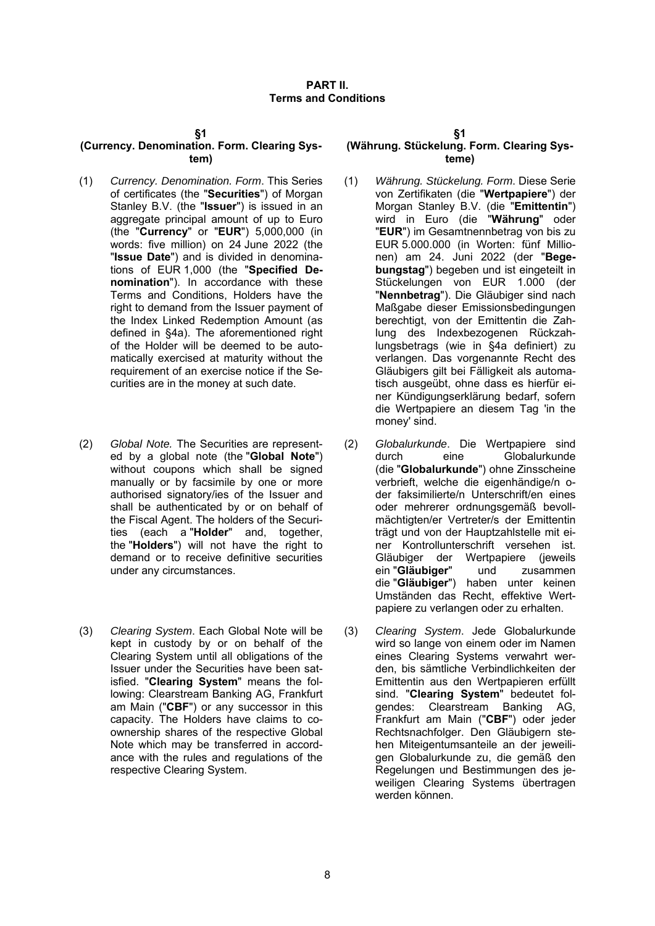#### **(Currency. Denomination. Form. Clearing System)**

- (1) *Currency. Denomination. Form*. This Series of certificates (the "**Securities**") of Morgan Stanley B.V. (the "**Issuer**") is issued in an aggregate principal amount of up to Euro (the "**Currency**" or "**EUR**") 5,000,000 (in words: five million) on 24 June 2022 (the "**Issue Date**") and is divided in denominations of EUR 1,000 (the "**Specified Denomination**"). In accordance with these Terms and Conditions, Holders have the right to demand from the Issuer payment of the Index Linked Redemption Amount (as defined in §4a). The aforementioned right of the Holder will be deemed to be automatically exercised at maturity without the requirement of an exercise notice if the Securities are in the money at such date.
- (2) *Global Note.* The Securities are represented by a global note (the "**Global Note**") without coupons which shall be signed manually or by facsimile by one or more authorised signatory/ies of the Issuer and shall be authenticated by or on behalf of the Fiscal Agent. The holders of the Securities (each a "**Holder**" and, together, the "**Holders**") will not have the right to demand or to receive definitive securities under any circumstances.
- (3) *Clearing System*. Each Global Note will be kept in custody by or on behalf of the Clearing System until all obligations of the Issuer under the Securities have been satisfied. "**Clearing System**" means the following: Clearstream Banking AG, Frankfurt am Main ("**CBF**") or any successor in this capacity. The Holders have claims to coownership shares of the respective Global Note which may be transferred in accordance with the rules and regulations of the respective Clearing System.

# **(Währung. Stückelung. Form. Clearing Systeme)**

- (1) *Währung. Stückelung. Form*. Diese Serie von Zertifikaten (die "**Wertpapiere**") der Morgan Stanley B.V. (die "**Emittentin**") wird in Euro (die "**Währung**" oder "**EUR**") im Gesamtnennbetrag von bis zu EUR 5.000.000 (in Worten: fünf Millionen) am 24. Juni 2022 (der "**Begebungstag**") begeben und ist eingeteilt in Stückelungen von EUR 1.000 (der "**Nennbetrag**"). Die Gläubiger sind nach Maßgabe dieser Emissionsbedingungen berechtigt, von der Emittentin die Zahlung des Indexbezogenen Rückzahlungsbetrags (wie in §4a definiert) zu verlangen. Das vorgenannte Recht des Gläubigers gilt bei Fälligkeit als automatisch ausgeübt, ohne dass es hierfür einer Kündigungserklärung bedarf, sofern die Wertpapiere an diesem Tag 'in the money' sind.
- (2) *Globalurkunde*. Die Wertpapiere sind durch eine Globalurkunde (die "**Globalurkunde**") ohne Zinsscheine verbrieft, welche die eigenhändige/n oder faksimilierte/n Unterschrift/en eines oder mehrerer ordnungsgemäß bevollmächtigten/er Vertreter/s der Emittentin trägt und von der Hauptzahlstelle mit einer Kontrollunterschrift versehen ist. Gläubiger der Wertpapiere (jeweils ein "**Gläubiger**" und zusammen die "**Gläubiger**") haben unter keinen Umständen das Recht, effektive Wertpapiere zu verlangen oder zu erhalten.
- (3) *Clearing System*. Jede Globalurkunde wird so lange von einem oder im Namen eines Clearing Systems verwahrt werden, bis sämtliche Verbindlichkeiten der Emittentin aus den Wertpapieren erfüllt sind. "**Clearing System**" bedeutet folgendes: Clearstream Banking AG, Frankfurt am Main ("**CBF**") oder jeder Rechtsnachfolger. Den Gläubigern stehen Miteigentumsanteile an der jeweiligen Globalurkunde zu, die gemäß den Regelungen und Bestimmungen des jeweiligen Clearing Systems übertragen werden können.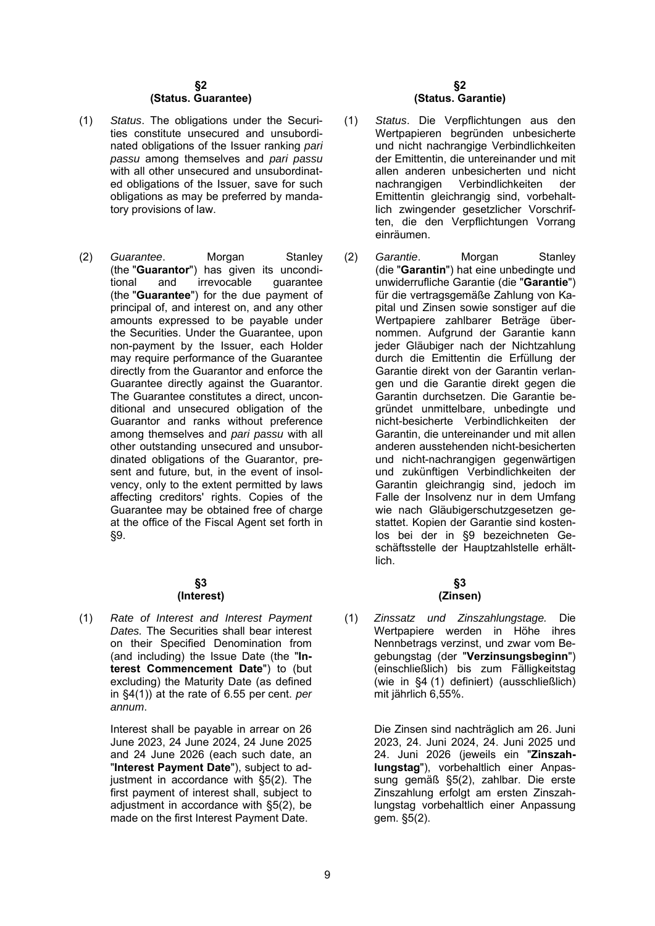#### **§2 (Status. Guarantee)**

- (1) *Status*. The obligations under the Securities constitute unsecured and unsubordinated obligations of the Issuer ranking *pari passu* among themselves and *pari passu* with all other unsecured and unsubordinated obligations of the Issuer, save for such obligations as may be preferred by mandatory provisions of law.
- (2) *Guarantee*. Morgan Stanley (the "**Guarantor**") has given its unconditional and irrevocable quarantee tional and irrevocable guarantee (the "**Guarantee**") for the due payment of principal of, and interest on, and any other amounts expressed to be payable under the Securities. Under the Guarantee, upon non-payment by the Issuer, each Holder may require performance of the Guarantee directly from the Guarantor and enforce the Guarantee directly against the Guarantor. The Guarantee constitutes a direct, unconditional and unsecured obligation of the Guarantor and ranks without preference among themselves and *pari passu* with all other outstanding unsecured and unsubordinated obligations of the Guarantor, present and future, but, in the event of insolvency, only to the extent permitted by laws affecting creditors' rights. Copies of the Guarantee may be obtained free of charge at the office of the Fiscal Agent set forth in §9.

#### **§3 (Interest)**

(1) *Rate of Interest and Interest Payment Dates.* The Securities shall bear interest on their Specified Denomination from (and including) the Issue Date (the "**Interest Commencement Date**") to (but excluding) the Maturity Date (as defined in §4(1)) at the rate of 6.55 per cent. *per annum*.

> Interest shall be payable in arrear on 26 June 2023, 24 June 2024, 24 June 2025 and 24 June 2026 (each such date, an "**Interest Payment Date**"), subject to adjustment in accordance with §5(2). The first payment of interest shall, subject to adjustment in accordance with §5(2), be made on the first Interest Payment Date.

#### **§2 (Status. Garantie)**

- (1) *Status*. Die Verpflichtungen aus den Wertpapieren begründen unbesicherte und nicht nachrangige Verbindlichkeiten der Emittentin, die untereinander und mit allen anderen unbesicherten und nicht nachrangigen Verbindlichkeiten der Emittentin gleichrangig sind, vorbehaltlich zwingender gesetzlicher Vorschriften, die den Verpflichtungen Vorrang einräumen.
- (2) *Garantie*. Morgan Stanley (die "**Garantin**") hat eine unbedingte und unwiderrufliche Garantie (die "**Garantie**") für die vertragsgemäße Zahlung von Kapital und Zinsen sowie sonstiger auf die Wertpapiere zahlbarer Beträge übernommen. Aufgrund der Garantie kann jeder Gläubiger nach der Nichtzahlung durch die Emittentin die Erfüllung der Garantie direkt von der Garantin verlangen und die Garantie direkt gegen die Garantin durchsetzen. Die Garantie begründet unmittelbare, unbedingte und nicht-besicherte Verbindlichkeiten der Garantin, die untereinander und mit allen anderen ausstehenden nicht-besicherten und nicht-nachrangigen gegenwärtigen und zukünftigen Verbindlichkeiten der Garantin gleichrangig sind, jedoch im Falle der Insolvenz nur in dem Umfang wie nach Gläubigerschutzgesetzen gestattet. Kopien der Garantie sind kostenlos bei der in §9 bezeichneten Geschäftsstelle der Hauptzahlstelle erhältlich.

# **§3 (Zinsen)**

(1) *Zinssatz und Zinszahlungstage.* Die Wertpapiere werden in Höhe ihres Nennbetrags verzinst, und zwar vom Begebungstag (der "**Verzinsungsbeginn**") (einschließlich) bis zum Fälligkeitstag (wie in §4 (1) definiert) (ausschließlich) mit jährlich 6,55%.

> Die Zinsen sind nachträglich am 26. Juni 2023, 24. Juni 2024, 24. Juni 2025 und 24. Juni 2026 (jeweils ein "**Zinszahlungstag**"), vorbehaltlich einer Anpassung gemäß §5(2), zahlbar. Die erste Zinszahlung erfolgt am ersten Zinszahlungstag vorbehaltlich einer Anpassung gem. §5(2).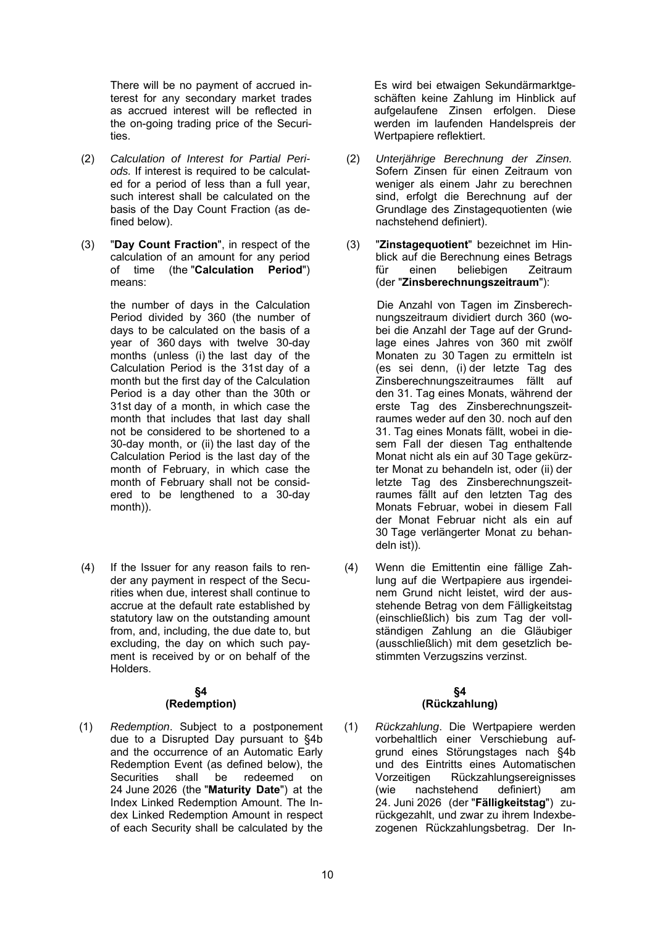There will be no payment of accrued interest for any secondary market trades as accrued interest will be reflected in the on-going trading price of the Securities.

- (2) *Calculation of Interest for Partial Periods.* If interest is required to be calculated for a period of less than a full year, such interest shall be calculated on the basis of the Day Count Fraction (as defined below).
- (3) "**Day Count Fraction**", in respect of the calculation of an amount for any period of time (the "**Calculation Period**") means:

the number of days in the Calculation Period divided by 360 (the number of days to be calculated on the basis of a year of 360 days with twelve 30-day months (unless (i) the last day of the Calculation Period is the 31st day of a month but the first day of the Calculation Period is a day other than the 30th or 31st day of a month, in which case the month that includes that last day shall not be considered to be shortened to a 30-day month, or (ii) the last day of the Calculation Period is the last day of the month of February, in which case the month of February shall not be considered to be lengthened to a 30-day month)).

(4) If the Issuer for any reason fails to render any payment in respect of the Securities when due, interest shall continue to accrue at the default rate established by statutory law on the outstanding amount from, and, including, the due date to, but excluding, the day on which such payment is received by or on behalf of the Holders.

# **§4**

# **(Redemption)**

(1) *Redemption*. Subject to a postponement due to a Disrupted Day pursuant to §4b and the occurrence of an Automatic Early Redemption Event (as defined below), the Securities shall be redeemed on 24 June 2026 (the "**Maturity Date**") at the Index Linked Redemption Amount. The Index Linked Redemption Amount in respect of each Security shall be calculated by the

Es wird bei etwaigen Sekundärmarktgeschäften keine Zahlung im Hinblick auf aufgelaufene Zinsen erfolgen. Diese werden im laufenden Handelspreis der Wertpapiere reflektiert.

- (2) *Unterjährige Berechnung der Zinsen.* Sofern Zinsen für einen Zeitraum von weniger als einem Jahr zu berechnen sind, erfolgt die Berechnung auf der Grundlage des Zinstagequotienten (wie nachstehend definiert).
- (3) "**Zinstagequotient**" bezeichnet im Hinblick auf die Berechnung eines Betrags für einen beliebigen Zeitraum (der "**Zinsberechnungszeitraum**"):

Die Anzahl von Tagen im Zinsberechnungszeitraum dividiert durch 360 (wobei die Anzahl der Tage auf der Grundlage eines Jahres von 360 mit zwölf Monaten zu 30 Tagen zu ermitteln ist (es sei denn, (i) der letzte Tag des Zinsberechnungszeitraumes fällt auf den 31. Tag eines Monats, während der erste Tag des Zinsberechnungszeitraumes weder auf den 30. noch auf den 31. Tag eines Monats fällt, wobei in diesem Fall der diesen Tag enthaltende Monat nicht als ein auf 30 Tage gekürzter Monat zu behandeln ist, oder (ii) der letzte Tag des Zinsberechnungszeitraumes fällt auf den letzten Tag des Monats Februar, wobei in diesem Fall der Monat Februar nicht als ein auf 30 Tage verlängerter Monat zu behandeln ist)).

(4) Wenn die Emittentin eine fällige Zahlung auf die Wertpapiere aus irgendeinem Grund nicht leistet, wird der ausstehende Betrag von dem Fälligkeitstag (einschließlich) bis zum Tag der vollständigen Zahlung an die Gläubiger (ausschließlich) mit dem gesetzlich bestimmten Verzugszins verzinst.

#### **§4 (Rückzahlung)**

(1) *Rückzahlung*. Die Wertpapiere werden vorbehaltlich einer Verschiebung aufgrund eines Störungstages nach §4b und des Eintritts eines Automatischen Vorzeitigen Rückzahlungsereignisses (wie nachstehend definiert) am 24. Juni 2026 (der "**Fälligkeitstag**") zurückgezahlt, und zwar zu ihrem Indexbezogenen Rückzahlungsbetrag. Der In-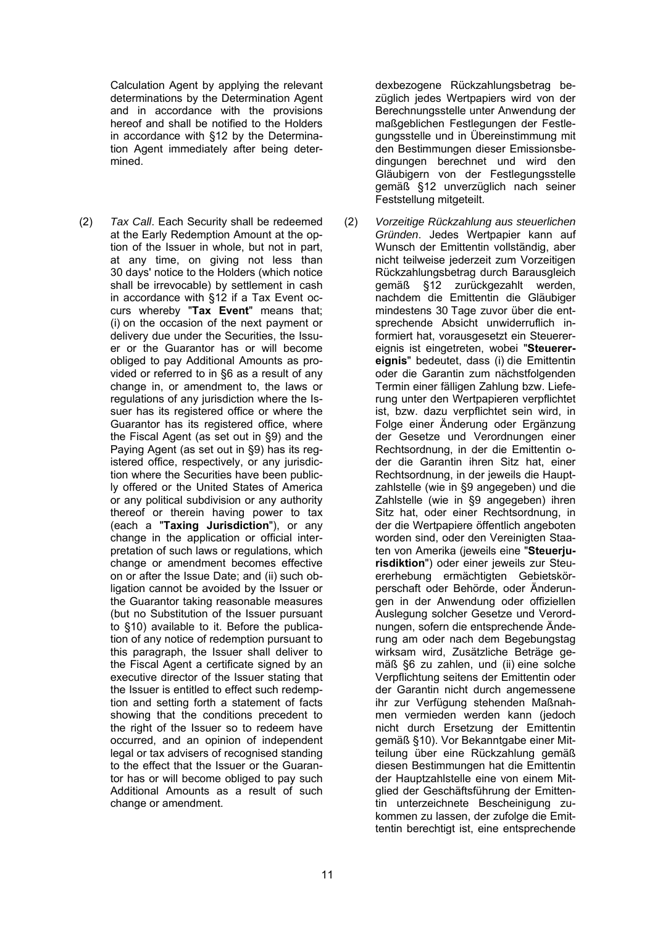Calculation Agent by applying the relevant determinations by the Determination Agent and in accordance with the provisions hereof and shall be notified to the Holders in accordance with §12 by the Determination Agent immediately after being determined.

(2) *Tax Call*. Each Security shall be redeemed at the Early Redemption Amount at the option of the Issuer in whole, but not in part, at any time, on giving not less than 30 days' notice to the Holders (which notice shall be irrevocable) by settlement in cash in accordance with §12 if a Tax Event occurs whereby "**Tax Event**" means that; (i) on the occasion of the next payment or delivery due under the Securities, the Issuer or the Guarantor has or will become obliged to pay Additional Amounts as provided or referred to in §6 as a result of any change in, or amendment to, the laws or regulations of any jurisdiction where the Issuer has its registered office or where the Guarantor has its registered office, where the Fiscal Agent (as set out in §9) and the Paying Agent (as set out in §9) has its registered office, respectively, or any jurisdiction where the Securities have been publicly offered or the United States of America or any political subdivision or any authority thereof or therein having power to tax (each a "**Taxing Jurisdiction**"), or any change in the application or official interpretation of such laws or regulations, which change or amendment becomes effective on or after the Issue Date; and (ii) such obligation cannot be avoided by the Issuer or the Guarantor taking reasonable measures (but no Substitution of the Issuer pursuant to §10) available to it. Before the publication of any notice of redemption pursuant to this paragraph, the Issuer shall deliver to the Fiscal Agent a certificate signed by an executive director of the Issuer stating that the Issuer is entitled to effect such redemption and setting forth a statement of facts showing that the conditions precedent to the right of the Issuer so to redeem have occurred, and an opinion of independent legal or tax advisers of recognised standing to the effect that the Issuer or the Guarantor has or will become obliged to pay such Additional Amounts as a result of such change or amendment.

dexbezogene Rückzahlungsbetrag bezüglich jedes Wertpapiers wird von der Berechnungsstelle unter Anwendung der maßgeblichen Festlegungen der Festlegungsstelle und in Übereinstimmung mit den Bestimmungen dieser Emissionsbedingungen berechnet und wird den Gläubigern von der Festlegungsstelle gemäß §12 unverzüglich nach seiner Feststellung mitgeteilt.

(2) *Vorzeitige Rückzahlung aus steuerlichen Gründen*. Jedes Wertpapier kann auf Wunsch der Emittentin vollständig, aber nicht teilweise jederzeit zum Vorzeitigen Rückzahlungsbetrag durch Barausgleich gemäß §12 zurückgezahlt werden, nachdem die Emittentin die Gläubiger mindestens 30 Tage zuvor über die entsprechende Absicht unwiderruflich informiert hat, vorausgesetzt ein Steuerereignis ist eingetreten, wobei "**Steuerereignis**" bedeutet, dass (i) die Emittentin oder die Garantin zum nächstfolgenden Termin einer fälligen Zahlung bzw. Lieferung unter den Wertpapieren verpflichtet ist, bzw. dazu verpflichtet sein wird, in Folge einer Änderung oder Ergänzung der Gesetze und Verordnungen einer Rechtsordnung, in der die Emittentin oder die Garantin ihren Sitz hat, einer Rechtsordnung, in der jeweils die Hauptzahlstelle (wie in §9 angegeben) und die Zahlstelle (wie in §9 angegeben) ihren Sitz hat, oder einer Rechtsordnung, in der die Wertpapiere öffentlich angeboten worden sind, oder den Vereinigten Staaten von Amerika (jeweils eine "**Steuerjurisdiktion**") oder einer jeweils zur Steuererhebung ermächtigten Gebietskörperschaft oder Behörde, oder Änderungen in der Anwendung oder offiziellen Auslegung solcher Gesetze und Verordnungen, sofern die entsprechende Änderung am oder nach dem Begebungstag wirksam wird, Zusätzliche Beträge gemäß §6 zu zahlen, und (ii) eine solche Verpflichtung seitens der Emittentin oder der Garantin nicht durch angemessene ihr zur Verfügung stehenden Maßnahmen vermieden werden kann (jedoch nicht durch Ersetzung der Emittentin gemäß §10). Vor Bekanntgabe einer Mitteilung über eine Rückzahlung gemäß diesen Bestimmungen hat die Emittentin der Hauptzahlstelle eine von einem Mitglied der Geschäftsführung der Emittentin unterzeichnete Bescheinigung zukommen zu lassen, der zufolge die Emittentin berechtigt ist, eine entsprechende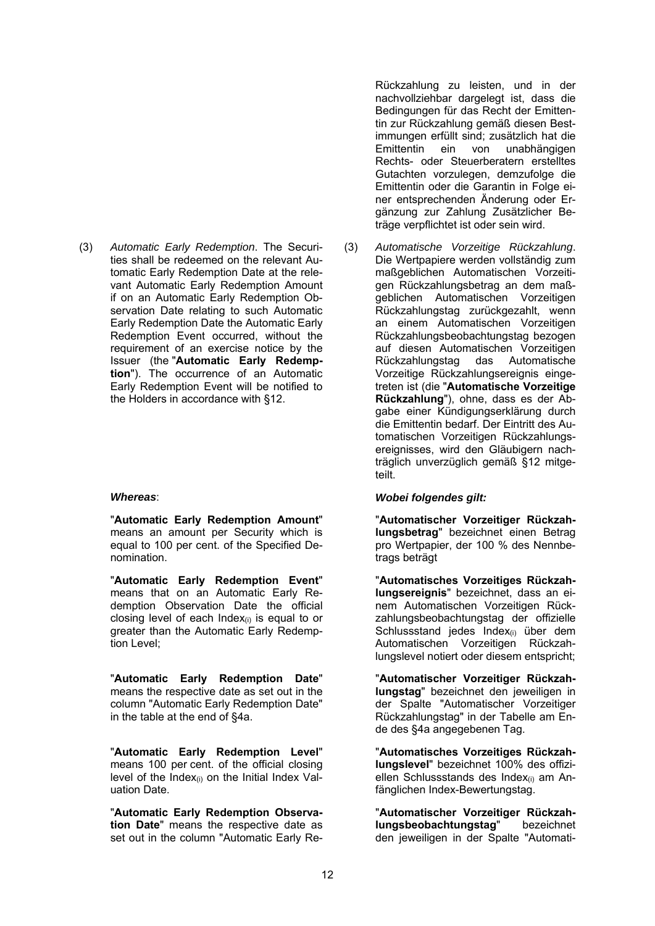(3) *Automatic Early Redemption*. The Securities shall be redeemed on the relevant Automatic Early Redemption Date at the relevant Automatic Early Redemption Amount if on an Automatic Early Redemption Observation Date relating to such Automatic Early Redemption Date the Automatic Early Redemption Event occurred, without the requirement of an exercise notice by the Issuer (the "**Automatic Early Redemption**"). The occurrence of an Automatic Early Redemption Event will be notified to the Holders in accordance with §12.

"**Automatic Early Redemption Amount**" means an amount per Security which is equal to 100 per cent. of the Specified Denomination.

"**Automatic Early Redemption Event**" means that on an Automatic Early Redemption Observation Date the official closing level of each Index<sub>(i)</sub> is equal to or greater than the Automatic Early Redemption Level;

"**Automatic Early Redemption Date**" means the respective date as set out in the column "Automatic Early Redemption Date" in the table at the end of §4a.

"**Automatic Early Redemption Level**" means 100 per cent. of the official closing level of the Index $(i)$  on the Initial Index Valuation Date.

"**Automatic Early Redemption Observation Date**" means the respective date as set out in the column "Automatic Early ReRückzahlung zu leisten, und in der nachvollziehbar dargelegt ist, dass die Bedingungen für das Recht der Emittentin zur Rückzahlung gemäß diesen Bestimmungen erfüllt sind; zusätzlich hat die Emittentin ein von unabhängigen Rechts- oder Steuerberatern erstelltes Gutachten vorzulegen, demzufolge die Emittentin oder die Garantin in Folge einer entsprechenden Änderung oder Ergänzung zur Zahlung Zusätzlicher Beträge verpflichtet ist oder sein wird.

(3) *Automatische Vorzeitige Rückzahlung*. Die Wertpapiere werden vollständig zum maßgeblichen Automatischen Vorzeitigen Rückzahlungsbetrag an dem maßgeblichen Automatischen Vorzeitigen Rückzahlungstag zurückgezahlt, wenn an einem Automatischen Vorzeitigen Rückzahlungsbeobachtungstag bezogen auf diesen Automatischen Vorzeitigen Rückzahlungstag das Automatische Vorzeitige Rückzahlungsereignis eingetreten ist (die "**Automatische Vorzeitige Rückzahlung**"), ohne, dass es der Abgabe einer Kündigungserklärung durch die Emittentin bedarf. Der Eintritt des Automatischen Vorzeitigen Rückzahlungsereignisses, wird den Gläubigern nachträglich unverzüglich gemäß §12 mitgeteilt.

#### *Whereas*: *Wobei folgendes gilt:*

"**Automatischer Vorzeitiger Rückzahlungsbetrag**" bezeichnet einen Betrag pro Wertpapier, der 100 % des Nennbetrags beträgt

"**Automatisches Vorzeitiges Rückzahlungsereignis**" bezeichnet, dass an einem Automatischen Vorzeitigen Rückzahlungsbeobachtungstag der offizielle Schlussstand jedes Index<sub>(i)</sub> über dem Automatischen Vorzeitigen Rückzahlungslevel notiert oder diesem entspricht;

"**Automatischer Vorzeitiger Rückzahlungstag**" bezeichnet den jeweiligen in der Spalte "Automatischer Vorzeitiger Rückzahlungstag" in der Tabelle am Ende des §4a angegebenen Tag.

"**Automatisches Vorzeitiges Rückzahlungslevel**" bezeichnet 100% des offiziellen Schlussstands des Index<sub>(i)</sub> am Anfänglichen Index-Bewertungstag.

"**Automatischer Vorzeitiger Rückzahlungsbeobachtungstag**" bezeichnet den jeweiligen in der Spalte "Automati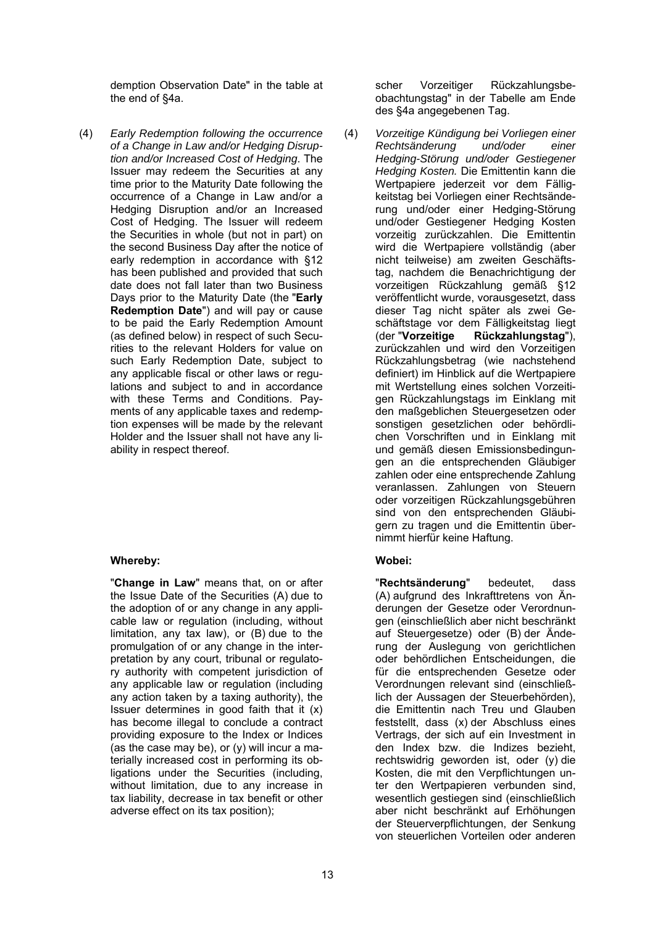demption Observation Date" in the table at the end of §4a.

(4) *Early Redemption following the occurrence of a Change in Law and/or Hedging Disruption and/or Increased Cost of Hedging*. The Issuer may redeem the Securities at any time prior to the Maturity Date following the occurrence of a Change in Law and/or a Hedging Disruption and/or an Increased Cost of Hedging. The Issuer will redeem the Securities in whole (but not in part) on the second Business Day after the notice of early redemption in accordance with §12 has been published and provided that such date does not fall later than two Business Days prior to the Maturity Date (the "**Early Redemption Date**") and will pay or cause to be paid the Early Redemption Amount (as defined below) in respect of such Securities to the relevant Holders for value on such Early Redemption Date, subject to any applicable fiscal or other laws or regulations and subject to and in accordance with these Terms and Conditions. Payments of any applicable taxes and redemption expenses will be made by the relevant Holder and the Issuer shall not have any liability in respect thereof.

# **Whereby: Wobei:**

"**Change in Law**" means that, on or after the Issue Date of the Securities (A) due to the adoption of or any change in any applicable law or regulation (including, without limitation, any tax law), or (B) due to the promulgation of or any change in the interpretation by any court, tribunal or regulatory authority with competent jurisdiction of any applicable law or regulation (including any action taken by a taxing authority), the Issuer determines in good faith that it (x) has become illegal to conclude a contract providing exposure to the Index or Indices (as the case may be), or  $(y)$  will incur a materially increased cost in performing its obligations under the Securities (including, without limitation, due to any increase in tax liability, decrease in tax benefit or other adverse effect on its tax position);

scher Vorzeitiger Rückzahlungsbeobachtungstag" in der Tabelle am Ende des §4a angegebenen Tag.

(4) *Vorzeitige Kündigung bei Vorliegen einer Rechtsänderung und/oder einer Hedging-Störung und/oder Gestiegener Hedging Kosten.* Die Emittentin kann die Wertpapiere jederzeit vor dem Fälligkeitstag bei Vorliegen einer Rechtsänderung und/oder einer Hedging-Störung und/oder Gestiegener Hedging Kosten vorzeitig zurückzahlen. Die Emittentin wird die Wertpapiere vollständig (aber nicht teilweise) am zweiten Geschäftstag, nachdem die Benachrichtigung der vorzeitigen Rückzahlung gemäß §12 veröffentlicht wurde, vorausgesetzt, dass dieser Tag nicht später als zwei Geschäftstage vor dem Fälligkeitstag liegt (der "**Vorzeitige Rückzahlungstag**"), zurückzahlen und wird den Vorzeitigen Rückzahlungsbetrag (wie nachstehend definiert) im Hinblick auf die Wertpapiere mit Wertstellung eines solchen Vorzeitigen Rückzahlungstags im Einklang mit den maßgeblichen Steuergesetzen oder sonstigen gesetzlichen oder behördlichen Vorschriften und in Einklang mit und gemäß diesen Emissionsbedingungen an die entsprechenden Gläubiger zahlen oder eine entsprechende Zahlung veranlassen. Zahlungen von Steuern oder vorzeitigen Rückzahlungsgebühren sind von den entsprechenden Gläubigern zu tragen und die Emittentin übernimmt hierfür keine Haftung.

"**Rechtsänderung**" bedeutet, dass (A) aufgrund des Inkrafttretens von Änderungen der Gesetze oder Verordnungen (einschließlich aber nicht beschränkt auf Steuergesetze) oder (B) der Änderung der Auslegung von gerichtlichen oder behördlichen Entscheidungen, die für die entsprechenden Gesetze oder Verordnungen relevant sind (einschließlich der Aussagen der Steuerbehörden), die Emittentin nach Treu und Glauben feststellt, dass (x) der Abschluss eines Vertrags, der sich auf ein Investment in den Index bzw. die Indizes bezieht, rechtswidrig geworden ist, oder (y) die Kosten, die mit den Verpflichtungen unter den Wertpapieren verbunden sind, wesentlich gestiegen sind (einschließlich aber nicht beschränkt auf Erhöhungen der Steuerverpflichtungen, der Senkung von steuerlichen Vorteilen oder anderen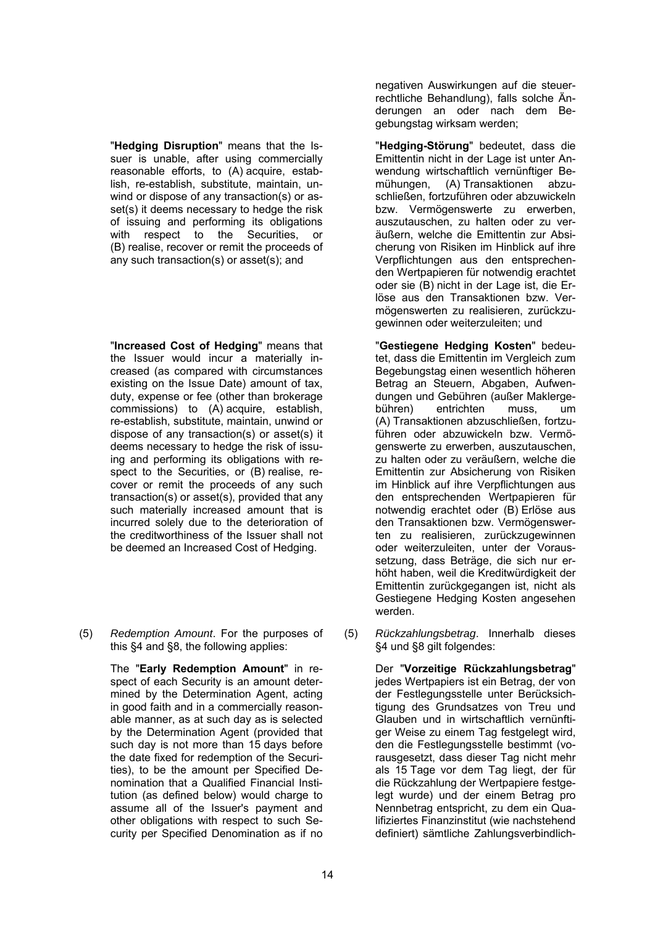"**Hedging Disruption**" means that the Issuer is unable, after using commercially reasonable efforts, to (A) acquire, establish, re-establish, substitute, maintain, unwind or dispose of any transaction(s) or asset(s) it deems necessary to hedge the risk of issuing and performing its obligations with respect to the Securities, or (B) realise, recover or remit the proceeds of any such transaction(s) or asset(s); and

"**Increased Cost of Hedging**" means that the Issuer would incur a materially increased (as compared with circumstances existing on the Issue Date) amount of tax, duty, expense or fee (other than brokerage commissions) to (A) acquire, establish, re-establish, substitute, maintain, unwind or dispose of any transaction(s) or asset(s) it deems necessary to hedge the risk of issuing and performing its obligations with respect to the Securities, or (B) realise, recover or remit the proceeds of any such transaction(s) or asset(s), provided that any such materially increased amount that is incurred solely due to the deterioration of the creditworthiness of the Issuer shall not be deemed an Increased Cost of Hedging.

(5) *Redemption Amount*. For the purposes of this §4 and §8, the following applies:

> The "**Early Redemption Amount**" in respect of each Security is an amount determined by the Determination Agent, acting in good faith and in a commercially reasonable manner, as at such day as is selected by the Determination Agent (provided that such day is not more than 15 days before the date fixed for redemption of the Securities), to be the amount per Specified Denomination that a Qualified Financial Institution (as defined below) would charge to assume all of the Issuer's payment and other obligations with respect to such Security per Specified Denomination as if no

negativen Auswirkungen auf die steuerrechtliche Behandlung), falls solche Änderungen an oder nach dem Begebungstag wirksam werden;

"**Hedging-Störung**" bedeutet, dass die Emittentin nicht in der Lage ist unter Anwendung wirtschaftlich vernünftiger Bemühungen, (A) Transaktionen abzuschließen, fortzuführen oder abzuwickeln bzw. Vermögenswerte zu erwerben, auszutauschen, zu halten oder zu veräußern, welche die Emittentin zur Absicherung von Risiken im Hinblick auf ihre Verpflichtungen aus den entsprechenden Wertpapieren für notwendig erachtet oder sie (B) nicht in der Lage ist, die Erlöse aus den Transaktionen bzw. Vermögenswerten zu realisieren, zurückzugewinnen oder weiterzuleiten; und

"**Gestiegene Hedging Kosten**" bedeutet, dass die Emittentin im Vergleich zum Begebungstag einen wesentlich höheren Betrag an Steuern, Abgaben, Aufwendungen und Gebühren (außer Maklergebühren) entrichten muss, um (A) Transaktionen abzuschließen, fortzuführen oder abzuwickeln bzw. Vermögenswerte zu erwerben, auszutauschen, zu halten oder zu veräußern, welche die Emittentin zur Absicherung von Risiken im Hinblick auf ihre Verpflichtungen aus den entsprechenden Wertpapieren für notwendig erachtet oder (B) Erlöse aus den Transaktionen bzw. Vermögenswerten zu realisieren, zurückzugewinnen oder weiterzuleiten, unter der Voraussetzung, dass Beträge, die sich nur erhöht haben, weil die Kreditwürdigkeit der Emittentin zurückgegangen ist, nicht als Gestiegene Hedging Kosten angesehen werden.

(5) *Rückzahlungsbetrag*. Innerhalb dieses §4 und §8 gilt folgendes:

> Der "**Vorzeitige Rückzahlungsbetrag**" jedes Wertpapiers ist ein Betrag, der von der Festlegungsstelle unter Berücksichtigung des Grundsatzes von Treu und Glauben und in wirtschaftlich vernünftiger Weise zu einem Tag festgelegt wird, den die Festlegungsstelle bestimmt (vorausgesetzt, dass dieser Tag nicht mehr als 15 Tage vor dem Tag liegt, der für die Rückzahlung der Wertpapiere festgelegt wurde) und der einem Betrag pro Nennbetrag entspricht, zu dem ein Qualifiziertes Finanzinstitut (wie nachstehend definiert) sämtliche Zahlungsverbindlich-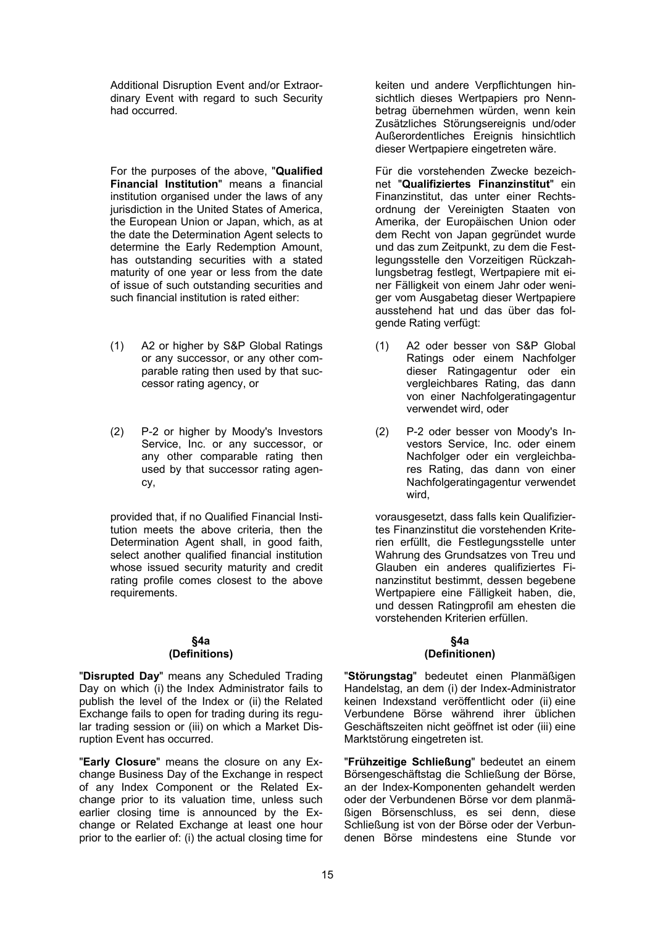Additional Disruption Event and/or Extraordinary Event with regard to such Security had occurred.

For the purposes of the above, "**Qualified Financial Institution**" means a financial institution organised under the laws of any jurisdiction in the United States of America, the European Union or Japan, which, as at the date the Determination Agent selects to determine the Early Redemption Amount, has outstanding securities with a stated maturity of one year or less from the date of issue of such outstanding securities and such financial institution is rated either:

- (1) A2 or higher by S&P Global Ratings or any successor, or any other comparable rating then used by that successor rating agency, or
- (2) P-2 or higher by Moody's Investors Service, Inc. or any successor, or any other comparable rating then used by that successor rating agency,

provided that, if no Qualified Financial Institution meets the above criteria, then the Determination Agent shall, in good faith, select another qualified financial institution whose issued security maturity and credit rating profile comes closest to the above requirements.

#### **§4a (Definitions)**

"**Disrupted Day**" means any Scheduled Trading Day on which (i) the Index Administrator fails to publish the level of the Index or (ii) the Related Exchange fails to open for trading during its regular trading session or (iii) on which a Market Disruption Event has occurred.

"**Early Closure**" means the closure on any Exchange Business Day of the Exchange in respect of any Index Component or the Related Exchange prior to its valuation time, unless such earlier closing time is announced by the Exchange or Related Exchange at least one hour prior to the earlier of: (i) the actual closing time for

keiten und andere Verpflichtungen hinsichtlich dieses Wertpapiers pro Nennbetrag übernehmen würden, wenn kein Zusätzliches Störungsereignis und/oder Außerordentliches Ereignis hinsichtlich dieser Wertpapiere eingetreten wäre.

Für die vorstehenden Zwecke bezeichnet "**Qualifiziertes Finanzinstitut**" ein Finanzinstitut, das unter einer Rechtsordnung der Vereinigten Staaten von Amerika, der Europäischen Union oder dem Recht von Japan gegründet wurde und das zum Zeitpunkt, zu dem die Festlegungsstelle den Vorzeitigen Rückzahlungsbetrag festlegt, Wertpapiere mit einer Fälligkeit von einem Jahr oder weniger vom Ausgabetag dieser Wertpapiere ausstehend hat und das über das folgende Rating verfügt:

- (1) A2 oder besser von S&P Global Ratings oder einem Nachfolger dieser Ratingagentur oder ein vergleichbares Rating, das dann von einer Nachfolgeratingagentur verwendet wird, oder
- (2) P-2 oder besser von Moody's Investors Service, Inc. oder einem Nachfolger oder ein vergleichbares Rating, das dann von einer Nachfolgeratingagentur verwendet wird,

vorausgesetzt, dass falls kein Qualifiziertes Finanzinstitut die vorstehenden Kriterien erfüllt, die Festlegungsstelle unter Wahrung des Grundsatzes von Treu und Glauben ein anderes qualifiziertes Finanzinstitut bestimmt, dessen begebene Wertpapiere eine Fälligkeit haben, die, und dessen Ratingprofil am ehesten die vorstehenden Kriterien erfüllen.

# **§4a (Definitionen)**

"**Störungstag**" bedeutet einen Planmäßigen Handelstag, an dem (i) der Index-Administrator keinen Indexstand veröffentlicht oder (ii) eine Verbundene Börse während ihrer üblichen Geschäftszeiten nicht geöffnet ist oder (iii) eine Marktstörung eingetreten ist.

"**Frühzeitige Schließung**" bedeutet an einem Börsengeschäftstag die Schließung der Börse, an der Index-Komponenten gehandelt werden oder der Verbundenen Börse vor dem planmäßigen Börsenschluss, es sei denn, diese Schließung ist von der Börse oder der Verbundenen Börse mindestens eine Stunde vor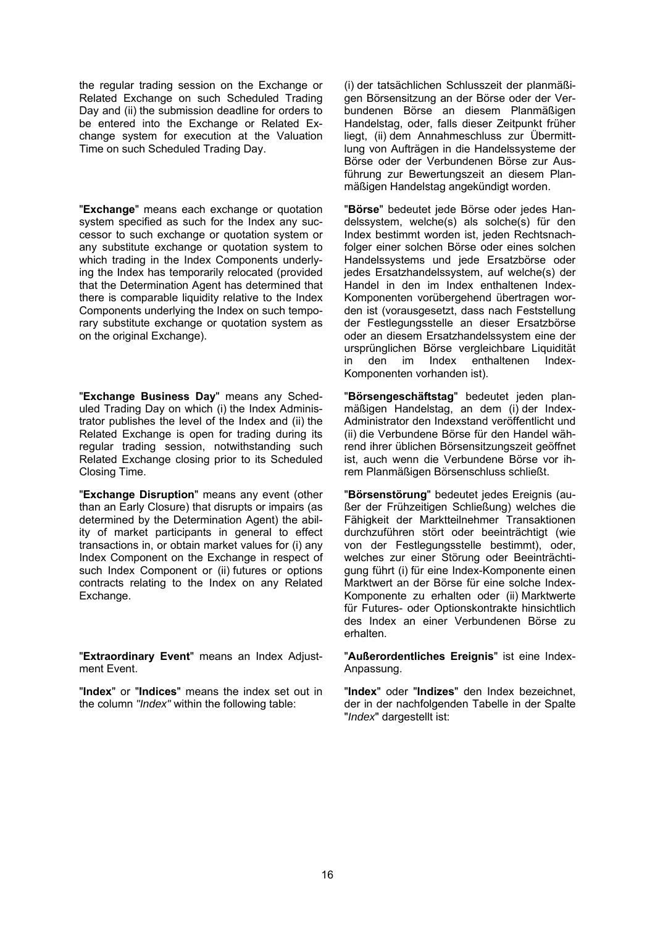the regular trading session on the Exchange or Related Exchange on such Scheduled Trading Day and (ii) the submission deadline for orders to be entered into the Exchange or Related Exchange system for execution at the Valuation Time on such Scheduled Trading Day.

"**Exchange**" means each exchange or quotation system specified as such for the Index any successor to such exchange or quotation system or any substitute exchange or quotation system to which trading in the Index Components underlying the Index has temporarily relocated (provided that the Determination Agent has determined that there is comparable liquidity relative to the Index Components underlying the Index on such temporary substitute exchange or quotation system as on the original Exchange).

"**Exchange Business Day**" means any Scheduled Trading Day on which (i) the Index Administrator publishes the level of the Index and (ii) the Related Exchange is open for trading during its regular trading session, notwithstanding such Related Exchange closing prior to its Scheduled Closing Time.

"**Exchange Disruption**" means any event (other than an Early Closure) that disrupts or impairs (as determined by the Determination Agent) the ability of market participants in general to effect transactions in, or obtain market values for (i) any Index Component on the Exchange in respect of such Index Component or (ii) futures or options contracts relating to the Index on any Related Exchange.

"**Extraordinary Event**" means an Index Adjustment Event.

"**Index**" or "**Indices**" means the index set out in the column *"Index"* within the following table:

(i) der tatsächlichen Schlusszeit der planmäßigen Börsensitzung an der Börse oder der Verbundenen Börse an diesem Planmäßigen Handelstag, oder, falls dieser Zeitpunkt früher liegt, (ii) dem Annahmeschluss zur Übermittlung von Aufträgen in die Handelssysteme der Börse oder der Verbundenen Börse zur Ausführung zur Bewertungszeit an diesem Planmäßigen Handelstag angekündigt worden.

"**Börse**" bedeutet jede Börse oder jedes Handelssystem, welche(s) als solche(s) für den Index bestimmt worden ist, jeden Rechtsnachfolger einer solchen Börse oder eines solchen Handelssystems und jede Ersatzbörse oder jedes Ersatzhandelssystem, auf welche(s) der Handel in den im Index enthaltenen Index-Komponenten vorübergehend übertragen worden ist (vorausgesetzt, dass nach Feststellung der Festlegungsstelle an dieser Ersatzbörse oder an diesem Ersatzhandelssystem eine der ursprünglichen Börse vergleichbare Liquidität in den im Index enthaltenen Index-Komponenten vorhanden ist).

"**Börsengeschäftstag**" bedeutet jeden planmäßigen Handelstag, an dem (i) der Index-Administrator den Indexstand veröffentlicht und (ii) die Verbundene Börse für den Handel während ihrer üblichen Börsensitzungszeit geöffnet ist, auch wenn die Verbundene Börse vor ihrem Planmäßigen Börsenschluss schließt.

"**Börsenstörung**" bedeutet jedes Ereignis (außer der Frühzeitigen Schließung) welches die Fähigkeit der Marktteilnehmer Transaktionen durchzuführen stört oder beeinträchtigt (wie von der Festlegungsstelle bestimmt), oder, welches zur einer Störung oder Beeinträchtigung führt (i) für eine Index-Komponente einen Marktwert an der Börse für eine solche Index-Komponente zu erhalten oder (ii) Marktwerte für Futures- oder Optionskontrakte hinsichtlich des Index an einer Verbundenen Börse zu erhalten.

"**Außerordentliches Ereignis**" ist eine Index-Anpassung.

"**Index**" oder "**Indizes**" den Index bezeichnet, der in der nachfolgenden Tabelle in der Spalte "*Index*" dargestellt ist: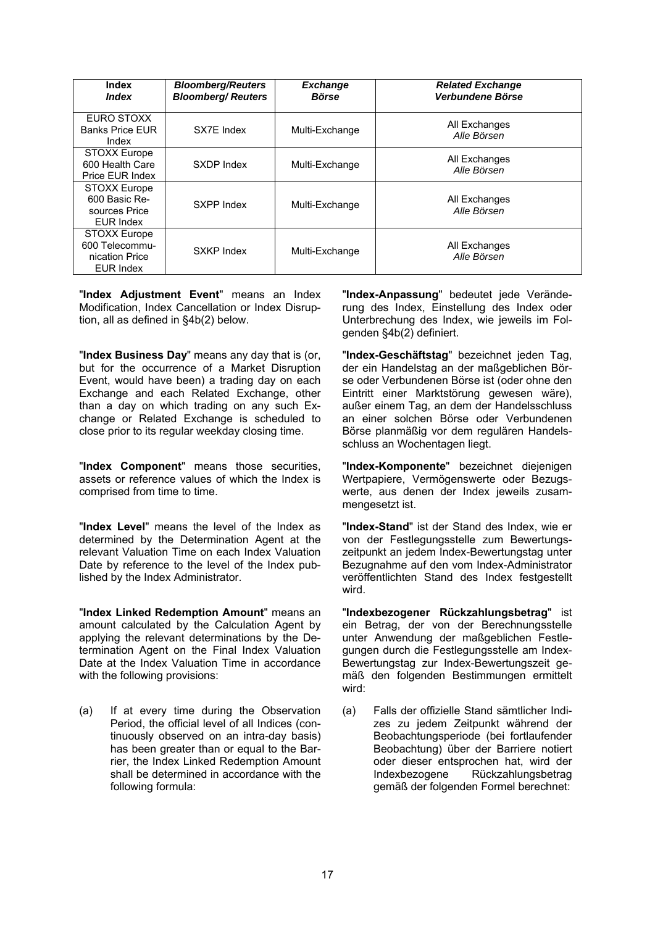| <b>Index</b><br><i><b>Index</b></i>                                       | <b>Bloomberg/Reuters</b><br><b>Bloomberg/Reuters</b> | <b>Exchange</b><br><b>Börse</b> | <b>Related Exchange</b><br>Verbundene Börse |
|---------------------------------------------------------------------------|------------------------------------------------------|---------------------------------|---------------------------------------------|
| EURO STOXX<br><b>Banks Price FUR</b><br>Index                             | SX7E Index                                           | Multi-Exchange                  | All Exchanges<br>Alle Börsen                |
| <b>STOXX Europe</b><br>600 Health Care<br>Price EUR Index                 | SXDP Index                                           | Multi-Exchange                  | All Exchanges<br>Alle Börsen                |
| <b>STOXX Europe</b><br>600 Basic Re-<br>sources Price<br><b>EUR Index</b> | SXPP Index                                           | Multi-Exchange                  | All Exchanges<br>Alle Börsen                |
| <b>STOXX Europe</b><br>600 Telecommu-<br>nication Price<br>EUR Index      | SXKP Index                                           | Multi-Exchange                  | All Exchanges<br>Alle Börsen                |

"**Index Adjustment Event**" means an Index Modification, Index Cancellation or Index Disruption, all as defined in §4b(2) below.

"**Index Business Day**" means any day that is (or, but for the occurrence of a Market Disruption Event, would have been) a trading day on each Exchange and each Related Exchange, other than a day on which trading on any such Exchange or Related Exchange is scheduled to close prior to its regular weekday closing time.

"**Index Component**" means those securities, assets or reference values of which the Index is comprised from time to time.

"**Index Level**" means the level of the Index as determined by the Determination Agent at the relevant Valuation Time on each Index Valuation Date by reference to the level of the Index published by the Index Administrator.

"**Index Linked Redemption Amount**" means an amount calculated by the Calculation Agent by applying the relevant determinations by the Determination Agent on the Final Index Valuation Date at the Index Valuation Time in accordance with the following provisions:

(a) If at every time during the Observation Period, the official level of all Indices (continuously observed on an intra-day basis) has been greater than or equal to the Barrier, the Index Linked Redemption Amount shall be determined in accordance with the following formula:

"**Index-Anpassung**" bedeutet jede Veränderung des Index, Einstellung des Index oder Unterbrechung des Index, wie jeweils im Folgenden §4b(2) definiert.

"**Index-Geschäftstag**" bezeichnet jeden Tag, der ein Handelstag an der maßgeblichen Börse oder Verbundenen Börse ist (oder ohne den Eintritt einer Marktstörung gewesen wäre), außer einem Tag, an dem der Handelsschluss an einer solchen Börse oder Verbundenen Börse planmäßig vor dem regulären Handelsschluss an Wochentagen liegt.

"**Index-Komponente**" bezeichnet diejenigen Wertpapiere, Vermögenswerte oder Bezugswerte, aus denen der Index jeweils zusammengesetzt ist.

"**Index-Stand**" ist der Stand des Index, wie er von der Festlegungsstelle zum Bewertungszeitpunkt an jedem Index-Bewertungstag unter Bezugnahme auf den vom Index-Administrator veröffentlichten Stand des Index festgestellt wird.

"**Indexbezogener Rückzahlungsbetrag**" ist ein Betrag, der von der Berechnungsstelle unter Anwendung der maßgeblichen Festlegungen durch die Festlegungsstelle am Index-Bewertungstag zur Index-Bewertungszeit gemäß den folgenden Bestimmungen ermittelt wird:

(a) Falls der offizielle Stand sämtlicher Indizes zu jedem Zeitpunkt während der Beobachtungsperiode (bei fortlaufender Beobachtung) über der Barriere notiert oder dieser entsprochen hat, wird der Indexbezogene Rückzahlungsbetrag gemäß der folgenden Formel berechnet: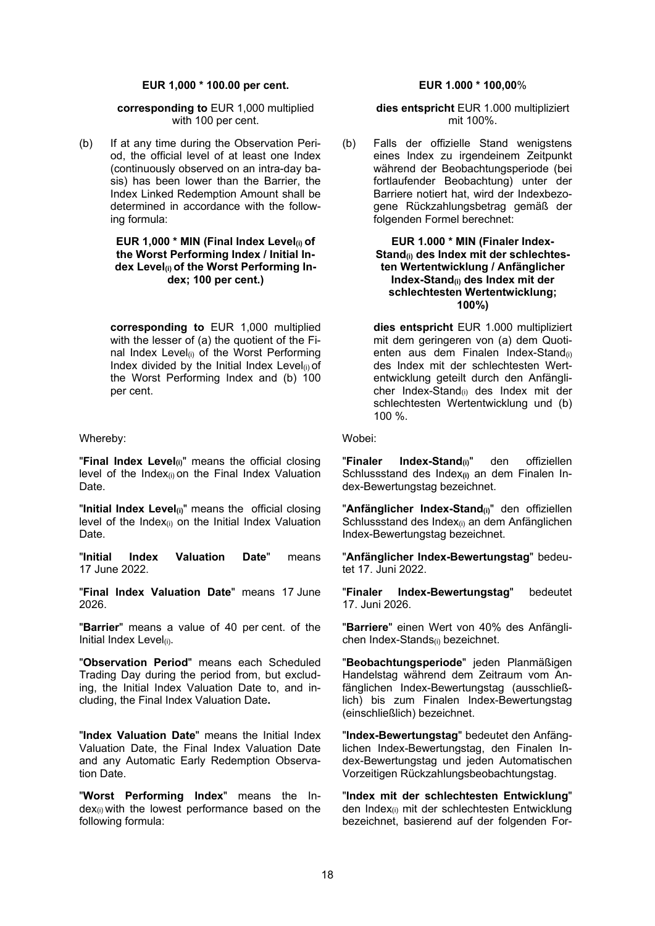#### **EUR 1,000 \* 100.00 per cent. EUR 1.000 \* 100,00**%

#### **corresponding to** EUR 1,000 multiplied with 100 per cent.

(b) If at any time during the Observation Period, the official level of at least one Index (continuously observed on an intra-day basis) has been lower than the Barrier, the Index Linked Redemption Amount shall be determined in accordance with the following formula:

#### **EUR 1,000 \* MIN (Final Index Level(i) of the Worst Performing Index / Initial Index Level(i) of the Worst Performing Index; 100 per cent.)**

**corresponding to** EUR 1,000 multiplied with the lesser of (a) the quotient of the Final Index Level(i) of the Worst Performing Index divided by the Initial Index Level $(i)$  of the Worst Performing Index and (b) 100 per cent.

#### Whereby: Wobei:

"**Final Index Level**<sub>(i)</sub>" means the official closing level of the Index $(i)$  on the Final Index Valuation Date.

"**Initial Index Level(i)**" means the official closing level of the Index $(i)$  on the Initial Index Valuation Date.

"**Initial Index Valuation Date**" means 17 June 2022.

"**Final Index Valuation Date**" means 17 June 2026.

"**Barrier**" means a value of 40 per cent. of the Initial Index Level(i).

"**Observation Period**" means each Scheduled Trading Day during the period from, but excluding, the Initial Index Valuation Date to, and including, the Final Index Valuation Date**.**

"**Index Valuation Date**" means the Initial Index Valuation Date, the Final Index Valuation Date and any Automatic Early Redemption Observation Date.

"**Worst Performing Index**" means the Index(i) with the lowest performance based on the following formula:

**dies entspricht** EUR 1.000 multipliziert mit 100%.

(b) Falls der offizielle Stand wenigstens eines Index zu irgendeinem Zeitpunkt während der Beobachtungsperiode (bei fortlaufender Beobachtung) unter der Barriere notiert hat, wird der Indexbezogene Rückzahlungsbetrag gemäß der folgenden Formel berechnet:

#### **EUR 1.000 \* MIN (Finaler Index-**Stand<sub>(i)</sub> des Index mit der schlechtes**ten Wertentwicklung / Anfänglicher Index-Stand(i) des Index mit der schlechtesten Wertentwicklung; 100%)**

**dies entspricht** EUR 1.000 multipliziert mit dem geringeren von (a) dem Quotienten aus dem Finalen Index-Stand<sub>(i)</sub> des Index mit der schlechtesten Wertentwicklung geteilt durch den Anfänglicher Index-Stand(i) des Index mit der schlechtesten Wertentwicklung und (b) 100 %.

"**Finaler Index-Stand(i)**" den offiziellen Schlussstand des Index**(i)** an dem Finalen Index-Bewertungstag bezeichnet.

"**Anfänglicher Index-Stand(i)**" den offiziellen Schlussstand des Index<sub>(i)</sub> an dem Anfänglichen Index-Bewertungstag bezeichnet.

"**Anfänglicher Index-Bewertungstag**" bedeutet 17. Juni 2022.

"**Finaler Index-Bewertungstag**" bedeutet 17. Juni 2026.

"**Barriere**" einen Wert von 40% des Anfänglichen Index-Stands(i) bezeichnet.

"**Beobachtungsperiode**" jeden Planmäßigen Handelstag während dem Zeitraum vom Anfänglichen Index-Bewertungstag (ausschließlich) bis zum Finalen Index-Bewertungstag (einschließlich) bezeichnet.

"**Index-Bewertungstag**" bedeutet den Anfänglichen Index-Bewertungstag, den Finalen Index-Bewertungstag und jeden Automatischen Vorzeitigen Rückzahlungsbeobachtungstag.

"**Index mit der schlechtesten Entwicklung**" den Index(i) mit der schlechtesten Entwicklung bezeichnet, basierend auf der folgenden For-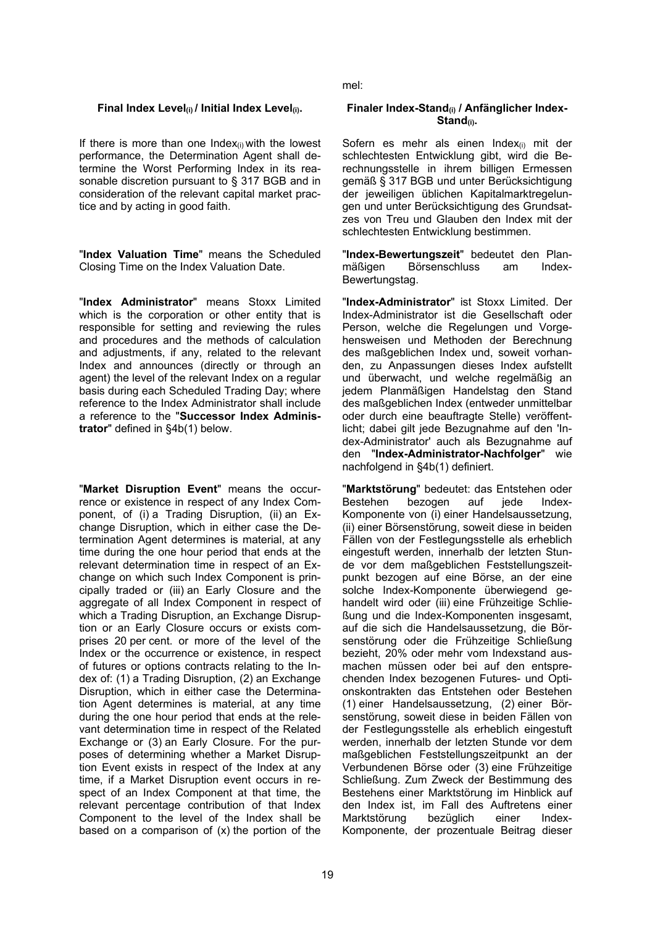If there is more than one Index $(i)$  with the lowest performance, the Determination Agent shall determine the Worst Performing Index in its reasonable discretion pursuant to § 317 BGB and in consideration of the relevant capital market practice and by acting in good faith.

"**Index Valuation Time**" means the Scheduled Closing Time on the Index Valuation Date.

"**Index Administrator**" means Stoxx Limited which is the corporation or other entity that is responsible for setting and reviewing the rules and procedures and the methods of calculation and adjustments, if any, related to the relevant Index and announces (directly or through an agent) the level of the relevant Index on a regular basis during each Scheduled Trading Day; where reference to the Index Administrator shall include a reference to the "**Successor Index Administrator**" defined in §4b(1) below.

"**Market Disruption Event**" means the occurrence or existence in respect of any Index Component, of (i) a Trading Disruption, (ii) an Exchange Disruption, which in either case the Determination Agent determines is material, at any time during the one hour period that ends at the relevant determination time in respect of an Exchange on which such Index Component is principally traded or (iii) an Early Closure and the aggregate of all Index Component in respect of which a Trading Disruption, an Exchange Disruption or an Early Closure occurs or exists comprises 20 per cent. or more of the level of the Index or the occurrence or existence, in respect of futures or options contracts relating to the Index of: (1) a Trading Disruption, (2) an Exchange Disruption, which in either case the Determination Agent determines is material, at any time during the one hour period that ends at the relevant determination time in respect of the Related Exchange or (3) an Early Closure. For the purposes of determining whether a Market Disruption Event exists in respect of the Index at any time, if a Market Disruption event occurs in respect of an Index Component at that time, the relevant percentage contribution of that Index Component to the level of the Index shall be based on a comparison of  $(x)$  the portion of the

mel:

#### Final Index Level<sub>(i)</sub> / Initial Index Level<sub>(i)</sub>. Finaler Index-Stand<sub>(i)</sub> / Anfänglicher Index-**Stand(i).**

Sofern es mehr als einen Index(i) mit der schlechtesten Entwicklung gibt, wird die Berechnungsstelle in ihrem billigen Ermessen gemäß § 317 BGB und unter Berücksichtigung der jeweiligen üblichen Kapitalmarktregelungen und unter Berücksichtigung des Grundsatzes von Treu und Glauben den Index mit der schlechtesten Entwicklung bestimmen.

"**Index-Bewertungszeit**" bedeutet den Planmäßigen Börsenschluss am Index-Bewertungstag.

"**Index-Administrator**" ist Stoxx Limited. Der Index-Administrator ist die Gesellschaft oder Person, welche die Regelungen und Vorgehensweisen und Methoden der Berechnung des maßgeblichen Index und, soweit vorhanden, zu Anpassungen dieses Index aufstellt und überwacht, und welche regelmäßig an jedem Planmäßigen Handelstag den Stand des maßgeblichen Index (entweder unmittelbar oder durch eine beauftragte Stelle) veröffentlicht; dabei gilt jede Bezugnahme auf den 'Index-Administrator' auch als Bezugnahme auf den "**Index-Administrator-Nachfolger**" wie nachfolgend in §4b(1) definiert.

"**Marktstörung**" bedeutet: das Entstehen oder Bestehen bezogen auf jede Index-Komponente von (i) einer Handelsaussetzung, (ii) einer Börsenstörung, soweit diese in beiden Fällen von der Festlegungsstelle als erheblich eingestuft werden, innerhalb der letzten Stunde vor dem maßgeblichen Feststellungszeitpunkt bezogen auf eine Börse, an der eine solche Index-Komponente überwiegend gehandelt wird oder (iii) eine Frühzeitige Schließung und die Index-Komponenten insgesamt, auf die sich die Handelsaussetzung, die Börsenstörung oder die Frühzeitige Schließung bezieht, 20% oder mehr vom Indexstand ausmachen müssen oder bei auf den entsprechenden Index bezogenen Futures- und Optionskontrakten das Entstehen oder Bestehen (1) einer Handelsaussetzung, (2) einer Börsenstörung, soweit diese in beiden Fällen von der Festlegungsstelle als erheblich eingestuft werden, innerhalb der letzten Stunde vor dem maßgeblichen Feststellungszeitpunkt an der Verbundenen Börse oder (3) eine Frühzeitige Schließung. Zum Zweck der Bestimmung des Bestehens einer Marktstörung im Hinblick auf den Index ist, im Fall des Auftretens einer Marktstörung bezüglich einer Index-Komponente, der prozentuale Beitrag dieser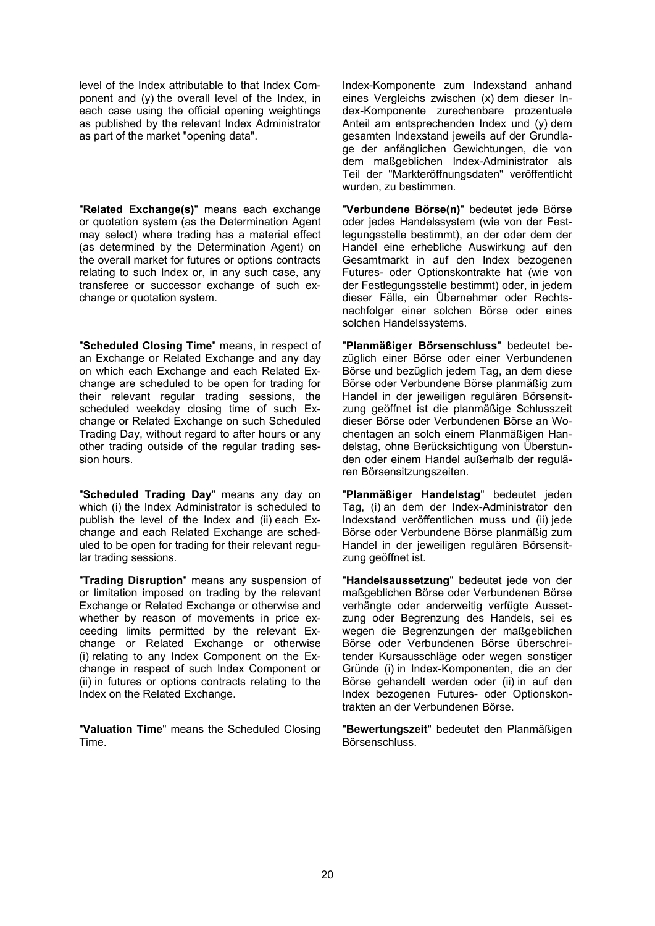level of the Index attributable to that Index Component and (y) the overall level of the Index, in each case using the official opening weightings as published by the relevant Index Administrator as part of the market "opening data".

"**Related Exchange(s)**" means each exchange or quotation system (as the Determination Agent may select) where trading has a material effect (as determined by the Determination Agent) on the overall market for futures or options contracts relating to such Index or, in any such case, any transferee or successor exchange of such exchange or quotation system.

"**Scheduled Closing Time**" means, in respect of an Exchange or Related Exchange and any day on which each Exchange and each Related Exchange are scheduled to be open for trading for their relevant regular trading sessions, the scheduled weekday closing time of such Exchange or Related Exchange on such Scheduled Trading Day, without regard to after hours or any other trading outside of the regular trading session hours.

"**Scheduled Trading Day**" means any day on which (i) the Index Administrator is scheduled to publish the level of the Index and (ii) each Exchange and each Related Exchange are scheduled to be open for trading for their relevant regular trading sessions.

"**Trading Disruption**" means any suspension of or limitation imposed on trading by the relevant Exchange or Related Exchange or otherwise and whether by reason of movements in price exceeding limits permitted by the relevant Exchange or Related Exchange or otherwise (i) relating to any Index Component on the Exchange in respect of such Index Component or (ii) in futures or options contracts relating to the Index on the Related Exchange.

"**Valuation Time**" means the Scheduled Closing Time.

Index-Komponente zum Indexstand anhand eines Vergleichs zwischen (x) dem dieser Index-Komponente zurechenbare prozentuale Anteil am entsprechenden Index und (y) dem gesamten Indexstand jeweils auf der Grundlage der anfänglichen Gewichtungen, die von dem maßgeblichen Index-Administrator als Teil der "Markteröffnungsdaten" veröffentlicht wurden, zu bestimmen.

"**Verbundene Börse(n)**" bedeutet jede Börse oder jedes Handelssystem (wie von der Festlegungsstelle bestimmt), an der oder dem der Handel eine erhebliche Auswirkung auf den Gesamtmarkt in auf den Index bezogenen Futures- oder Optionskontrakte hat (wie von der Festlegungsstelle bestimmt) oder, in jedem dieser Fälle, ein Übernehmer oder Rechtsnachfolger einer solchen Börse oder eines solchen Handelssystems.

"**Planmäßiger Börsenschluss**" bedeutet bezüglich einer Börse oder einer Verbundenen Börse und bezüglich jedem Tag, an dem diese Börse oder Verbundene Börse planmäßig zum Handel in der jeweiligen regulären Börsensitzung geöffnet ist die planmäßige Schlusszeit dieser Börse oder Verbundenen Börse an Wochentagen an solch einem Planmäßigen Handelstag, ohne Berücksichtigung von Überstunden oder einem Handel außerhalb der regulären Börsensitzungszeiten.

"**Planmäßiger Handelstag**" bedeutet jeden Tag, (i) an dem der Index-Administrator den Indexstand veröffentlichen muss und (ii) jede Börse oder Verbundene Börse planmäßig zum Handel in der jeweiligen regulären Börsensitzung geöffnet ist.

"**Handelsaussetzung**" bedeutet jede von der maßgeblichen Börse oder Verbundenen Börse verhängte oder anderweitig verfügte Aussetzung oder Begrenzung des Handels, sei es wegen die Begrenzungen der maßgeblichen Börse oder Verbundenen Börse überschreitender Kursausschläge oder wegen sonstiger Gründe (i) in Index-Komponenten, die an der Börse gehandelt werden oder (ii) in auf den Index bezogenen Futures- oder Optionskontrakten an der Verbundenen Börse.

"**Bewertungszeit**" bedeutet den Planmäßigen Börsenschluss.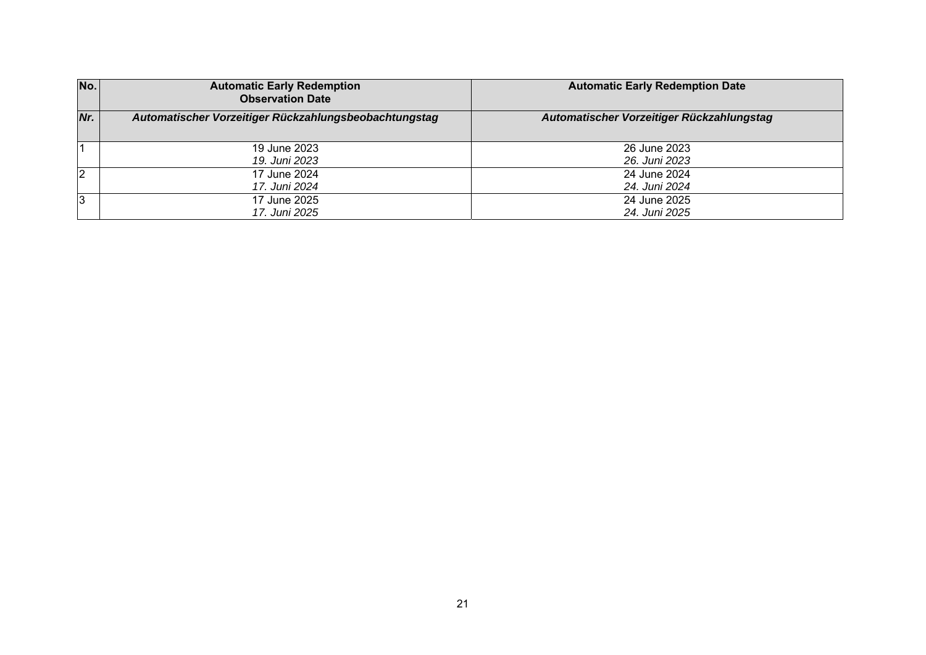| No. | <b>Automatic Early Redemption</b><br><b>Observation Date</b> | <b>Automatic Early Redemption Date</b>    |
|-----|--------------------------------------------------------------|-------------------------------------------|
| Nr. | Automatischer Vorzeitiger Rückzahlungsbeobachtungstag        | Automatischer Vorzeitiger Rückzahlungstag |
|     | 19 June 2023                                                 | 26 June 2023                              |
|     | 19. Juni 2023                                                | 26. Juni 2023                             |
| 2   | 17 June 2024                                                 | 24 June 2024                              |
|     | 17. Juni 2024                                                | 24. Juni 2024                             |
| 3   | 17 June 2025                                                 | 24 June 2025                              |
|     | 17. Juni 2025                                                | 24. Juni 2025                             |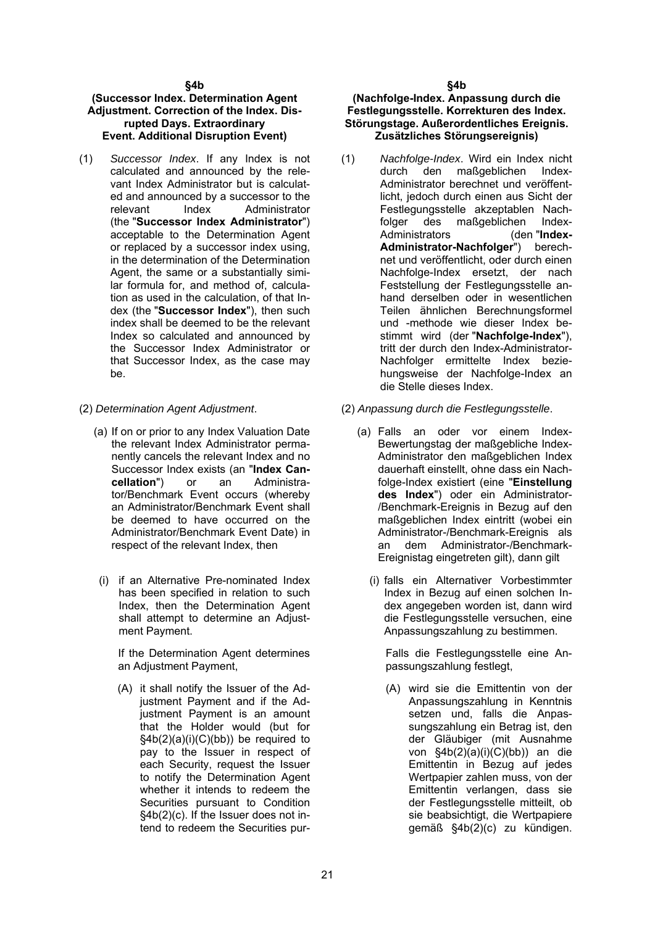#### **§4b**

#### **(Successor Index. Determination Agent Adjustment. Correction of the Index. Disrupted Days. Extraordinary Event. Additional Disruption Event)**

- (1) *Successor Index*. If any Index is not calculated and announced by the relevant Index Administrator but is calculated and announced by a successor to the relevant Index Administrator (the "**Successor Index Administrator**") acceptable to the Determination Agent or replaced by a successor index using, in the determination of the Determination Agent, the same or a substantially similar formula for, and method of, calculation as used in the calculation, of that Index (the "**Successor Index**"), then such index shall be deemed to be the relevant Index so calculated and announced by the Successor Index Administrator or that Successor Index, as the case may be.
- - (a) If on or prior to any Index Valuation Date the relevant Index Administrator permanently cancels the relevant Index and no Successor Index exists (an "**Index Cancellation**") or an Administrator/Benchmark Event occurs (whereby an Administrator/Benchmark Event shall be deemed to have occurred on the Administrator/Benchmark Event Date) in respect of the relevant Index, then
	- (i) if an Alternative Pre-nominated Index has been specified in relation to such Index, then the Determination Agent shall attempt to determine an Adjustment Payment.

If the Determination Agent determines an Adjustment Payment,

(A) it shall notify the Issuer of the Adjustment Payment and if the Adjustment Payment is an amount that the Holder would (but for  $§4b(2)(a)(i)(C)(bb))$  be required to pay to the Issuer in respect of each Security, request the Issuer to notify the Determination Agent whether it intends to redeem the Securities pursuant to Condition §4b(2)(c). If the Issuer does not intend to redeem the Securities pur-

#### **(Nachfolge-Index. Anpassung durch die Festlegungsstelle. Korrekturen des Index. Störungstage. Außerordentliches Ereignis. Zusätzliches Störungsereignis)**

- (1) *Nachfolge-Index*. Wird ein Index nicht durch den maßgeblichen Index-Administrator berechnet und veröffentlicht, jedoch durch einen aus Sicht der Festlegungsstelle akzeptablen Nachfolger des maßgeblichen Index-<br>Administrators (den "Index-Administrators (den "**Index-Administrator-Nachfolger**") berechnet und veröffentlicht, oder durch einen Nachfolge-Index ersetzt, der nach Feststellung der Festlegungsstelle anhand derselben oder in wesentlichen Teilen ähnlichen Berechnungsformel und -methode wie dieser Index bestimmt wird (der "**Nachfolge-Index**"), tritt der durch den Index-Administrator-Nachfolger ermittelte Index beziehungsweise der Nachfolge-Index an die Stelle dieses Index.
- (2) *Determination Agent Adjustment*. (2) *Anpassung durch die Festlegungsstelle*.
	- (a) Falls an oder vor einem Index-Bewertungstag der maßgebliche Index-Administrator den maßgeblichen Index dauerhaft einstellt, ohne dass ein Nachfolge-Index existiert (eine "**Einstellung des Index**") oder ein Administrator- /Benchmark-Ereignis in Bezug auf den maßgeblichen Index eintritt (wobei ein Administrator-/Benchmark-Ereignis als an dem Administrator-/Benchmark-Ereignistag eingetreten gilt), dann gilt
		- (i) falls ein Alternativer Vorbestimmter Index in Bezug auf einen solchen Index angegeben worden ist, dann wird die Festlegungsstelle versuchen, eine Anpassungszahlung zu bestimmen.

Falls die Festlegungsstelle eine Anpassungszahlung festlegt,

(A) wird sie die Emittentin von der Anpassungszahlung in Kenntnis setzen und, falls die Anpassungszahlung ein Betrag ist, den der Gläubiger (mit Ausnahme von  $§4b(2)(a)(i)(C)(bb))$  an die Emittentin in Bezug auf jedes Wertpapier zahlen muss, von der Emittentin verlangen, dass sie der Festlegungsstelle mitteilt, ob sie beabsichtigt, die Wertpapiere gemäß §4b(2)(c) zu kündigen.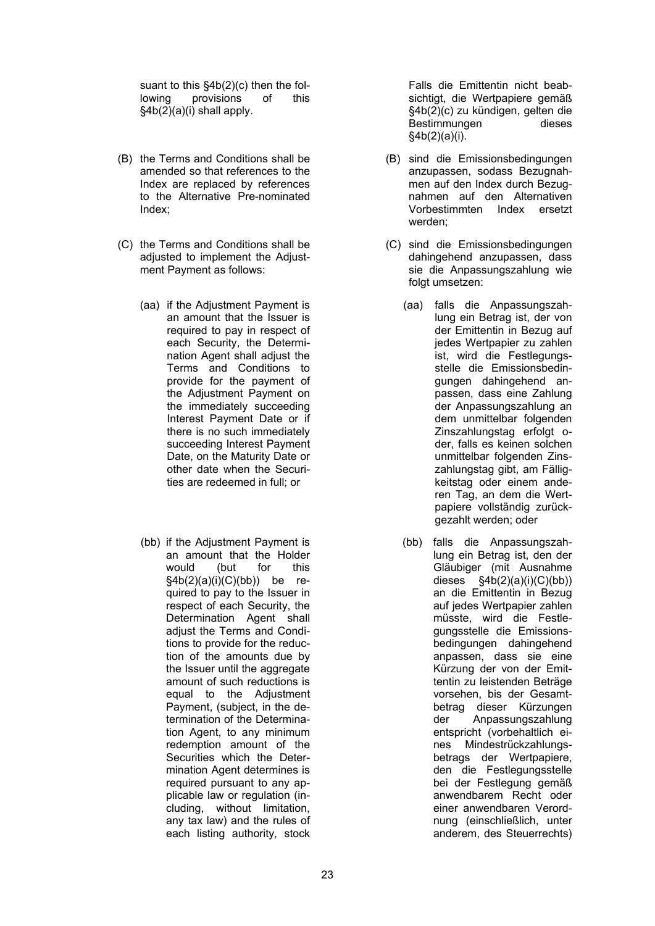suant to this §4b(2)(c) then the following provisions of this §4b(2)(a)(i) shall apply.

- (B) the Terms and Conditions shall be amended so that references to the Index are replaced by references to the Alternative Pre-nominated Index;
- (C) the Terms and Conditions shall be adiusted to implement the Adiustment Payment as follows:
	- (aa) if the Adjustment Payment is an amount that the Issuer is required to pay in respect of each Security, the Determination Agent shall adjust the Terms and Conditions to provide for the payment of the Adjustment Payment on the immediately succeeding Interest Payment Date or if there is no such immediately succeeding Interest Payment Date, on the Maturity Date or other date when the Securities are redeemed in full; or
	- (bb) if the Adjustment Payment is an amount that the Holder would (but for this  $§4b(2)(a)(i)(C)(bb))$  be required to pay to the Issuer in respect of each Security, the Determination Agent shall adjust the Terms and Conditions to provide for the reduction of the amounts due by the Issuer until the aggregate amount of such reductions is equal to the Adjustment Payment, (subject, in the determination of the Determination Agent, to any minimum redemption amount of the Securities which the Determination Agent determines is required pursuant to any applicable law or regulation (including, without limitation, any tax law) and the rules of each listing authority, stock

Falls die Emittentin nicht beabsichtigt, die Wertpapiere gemäß §4b(2)(c) zu kündigen, gelten die Bestimmungen dieses §4b(2)(a)(i).

- (B) sind die Emissionsbedingungen anzupassen, sodass Bezugnahmen auf den Index durch Bezugnahmen auf den Alternativen Vorbestimmten Index ersetzt werden;
- (C) sind die Emissionsbedingungen dahingehend anzupassen, dass sie die Anpassungszahlung wie folgt umsetzen:
	- (aa) falls die Anpassungszahlung ein Betrag ist, der von der Emittentin in Bezug auf jedes Wertpapier zu zahlen ist, wird die Festlegungsstelle die Emissionsbedingungen dahingehend anpassen, dass eine Zahlung der Anpassungszahlung an dem unmittelbar folgenden Zinszahlungstag erfolgt oder, falls es keinen solchen unmittelbar folgenden Zinszahlungstag gibt, am Fälligkeitstag oder einem anderen Tag, an dem die Wertpapiere vollständig zurückgezahlt werden; oder
	- (bb) falls die Anpassungszahlung ein Betrag ist, den der Gläubiger (mit Ausnahme dieses  $\frac{\text{§4b}(2)(a)(i)(C)(bb)}{}$ an die Emittentin in Bezug auf jedes Wertpapier zahlen müsste, wird die Festlegungsstelle die Emissionsbedingungen dahingehend anpassen, dass sie eine Kürzung der von der Emittentin zu leistenden Beträge vorsehen, bis der Gesamtbetrag dieser Kürzungen der Anpassungszahlung entspricht (vorbehaltlich eines Mindestrückzahlungsbetrags der Wertpapiere, den die Festlegungsstelle bei der Festlegung gemäß anwendbarem Recht oder einer anwendbaren Verordnung (einschließlich, unter anderem, des Steuerrechts)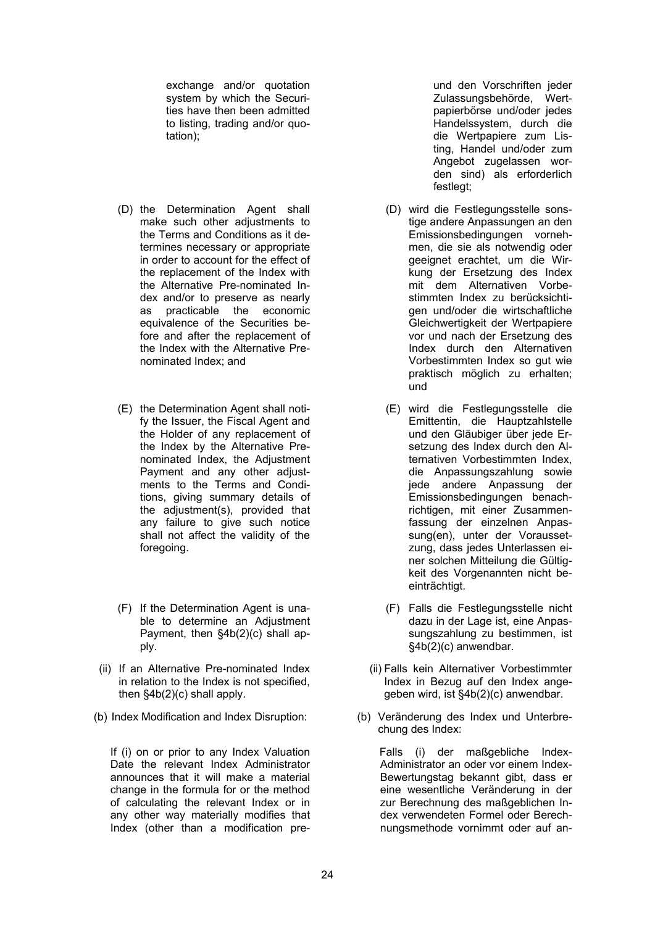exchange and/or quotation system by which the Securities have then been admitted to listing, trading and/or quotation);

- (D) the Determination Agent shall make such other adjustments to the Terms and Conditions as it determines necessary or appropriate in order to account for the effect of the replacement of the Index with the Alternative Pre-nominated Index and/or to preserve as nearly as practicable the economic equivalence of the Securities before and after the replacement of the Index with the Alternative Prenominated Index; and
- (E) the Determination Agent shall notify the Issuer, the Fiscal Agent and the Holder of any replacement of the Index by the Alternative Prenominated Index, the Adjustment Payment and any other adjustments to the Terms and Conditions, giving summary details of the adjustment(s), provided that any failure to give such notice shall not affect the validity of the foregoing.
- (F) If the Determination Agent is unable to determine an Adjustment Payment, then §4b(2)(c) shall apply.
- (ii) If an Alternative Pre-nominated Index in relation to the Index is not specified, then §4b(2)(c) shall apply.
- 

If (i) on or prior to any Index Valuation Date the relevant Index Administrator announces that it will make a material change in the formula for or the method of calculating the relevant Index or in any other way materially modifies that Index (other than a modification pre-

und den Vorschriften jeder Zulassungsbehörde, Wertpapierbörse und/oder jedes Handelssystem, durch die die Wertpapiere zum Listing, Handel und/oder zum Angebot zugelassen worden sind) als erforderlich festlegt;

- (D) wird die Festlegungsstelle sonstige andere Anpassungen an den Emissionsbedingungen vornehmen, die sie als notwendig oder geeignet erachtet, um die Wirkung der Ersetzung des Index mit dem Alternativen Vorbestimmten Index zu berücksichtigen und/oder die wirtschaftliche Gleichwertigkeit der Wertpapiere vor und nach der Ersetzung des Index durch den Alternativen Vorbestimmten Index so gut wie praktisch möglich zu erhalten; und
- (E) wird die Festlegungsstelle die Emittentin, die Hauptzahlstelle und den Gläubiger über jede Ersetzung des Index durch den Alternativen Vorbestimmten Index, die Anpassungszahlung sowie jede andere Anpassung der Emissionsbedingungen benachrichtigen, mit einer Zusammenfassung der einzelnen Anpassung(en), unter der Voraussetzung, dass jedes Unterlassen einer solchen Mitteilung die Gültigkeit des Vorgenannten nicht beeinträchtigt.
- (F) Falls die Festlegungsstelle nicht dazu in der Lage ist, eine Anpassungszahlung zu bestimmen, ist §4b(2)(c) anwendbar.
- (ii) Falls kein Alternativer Vorbestimmter Index in Bezug auf den Index angegeben wird, ist §4b(2)(c) anwendbar.
- (b) Index Modification and Index Disruption: (b) Veränderung des Index und Unterbrechung des Index:

Falls (i) der maßgebliche Index-Administrator an oder vor einem Index-Bewertungstag bekannt gibt, dass er eine wesentliche Veränderung in der zur Berechnung des maßgeblichen Index verwendeten Formel oder Berechnungsmethode vornimmt oder auf an-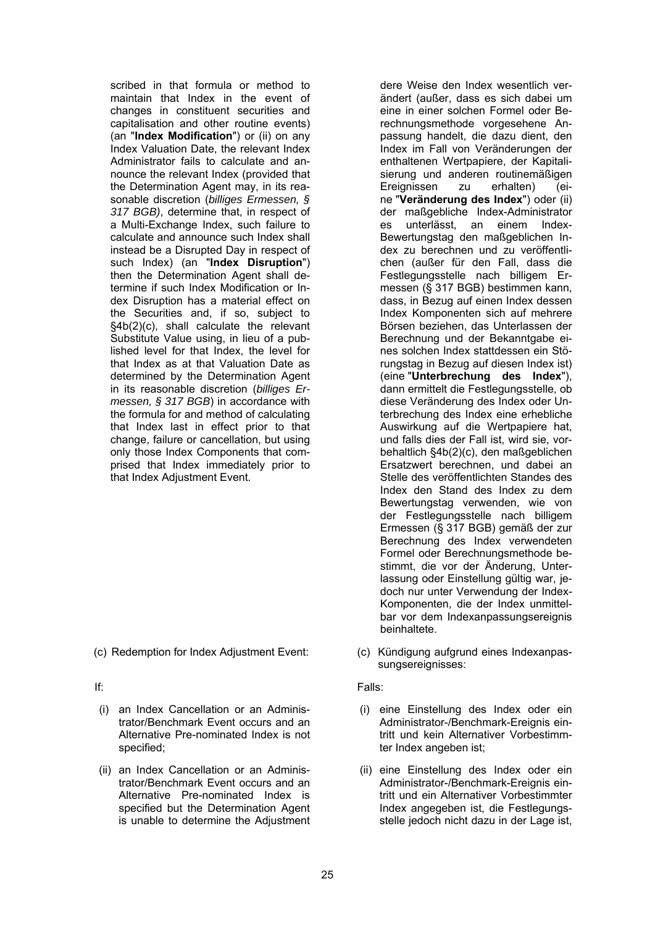scribed in that formula or method to maintain that Index in the event of changes in constituent securities and capitalisation and other routine events) (an "**Index Modification**") or (ii) on any Index Valuation Date, the relevant Index Administrator fails to calculate and announce the relevant Index (provided that the Determination Agent may, in its reasonable discretion (*billiges Ermessen, § 317 BGB)*, determine that, in respect of a Multi-Exchange Index, such failure to calculate and announce such Index shall instead be a Disrupted Day in respect of such Index) (an "**Index Disruption**") then the Determination Agent shall determine if such Index Modification or Index Disruption has a material effect on the Securities and, if so, subject to §4b(2)(c), shall calculate the relevant Substitute Value using, in lieu of a published level for that Index, the level for that Index as at that Valuation Date as determined by the Determination Agent in its reasonable discretion (*billiges Ermessen, § 317 BGB*) in accordance with the formula for and method of calculating that Index last in effect prior to that change, failure or cancellation, but using only those Index Components that comprised that Index immediately prior to that Index Adjustment Event.

- (i) an Index Cancellation or an Administrator/Benchmark Event occurs and an Alternative Pre-nominated Index is not specified;
- (ii) an Index Cancellation or an Administrator/Benchmark Event occurs and an Alternative Pre-nominated Index is specified but the Determination Agent is unable to determine the Adjustment

dere Weise den Index wesentlich verändert (außer, dass es sich dabei um eine in einer solchen Formel oder Berechnungsmethode vorgesehene Anpassung handelt, die dazu dient, den Index im Fall von Veränderungen der enthaltenen Wertpapiere, der Kapitalisierung und anderen routinemäßigen<br>Ereignissen zu erhalten) (ei-Ereignissen zu erhalten) (eine "**Veränderung des Index**") oder (ii) der maßgebliche Index-Administrator es unterlässt, an einem Index-Bewertungstag den maßgeblichen Index zu berechnen und zu veröffentlichen (außer für den Fall, dass die Festlegungsstelle nach billigem Ermessen (§ 317 BGB) bestimmen kann, dass, in Bezug auf einen Index dessen Index Komponenten sich auf mehrere Börsen beziehen, das Unterlassen der Berechnung und der Bekanntgabe eines solchen Index stattdessen ein Störungstag in Bezug auf diesen Index ist) (eine "**Unterbrechung des Index**"), dann ermittelt die Festlegungsstelle, ob diese Veränderung des Index oder Unterbrechung des Index eine erhebliche Auswirkung auf die Wertpapiere hat, und falls dies der Fall ist, wird sie, vorbehaltlich §4b(2)(c), den maßgeblichen Ersatzwert berechnen, und dabei an Stelle des veröffentlichten Standes des Index den Stand des Index zu dem Bewertungstag verwenden, wie von der Festlegungsstelle nach billigem Ermessen (§ 317 BGB) gemäß der zur Berechnung des Index verwendeten Formel oder Berechnungsmethode bestimmt, die vor der Änderung, Unterlassung oder Einstellung gültig war, jedoch nur unter Verwendung der Index-Komponenten, die der Index unmittelbar vor dem Indexanpassungsereignis beinhaltete.

(c) Redemption for Index Adjustment Event: (c) Kündigung aufgrund eines Indexanpassungsereignisses:

# If: Falls:

- (i) eine Einstellung des Index oder ein Administrator-/Benchmark-Ereignis eintritt und kein Alternativer Vorbestimmter Index angeben ist;
- (ii) eine Einstellung des Index oder ein Administrator-/Benchmark-Ereignis eintritt und ein Alternativer Vorbestimmter Index angegeben ist, die Festlegungsstelle jedoch nicht dazu in der Lage ist,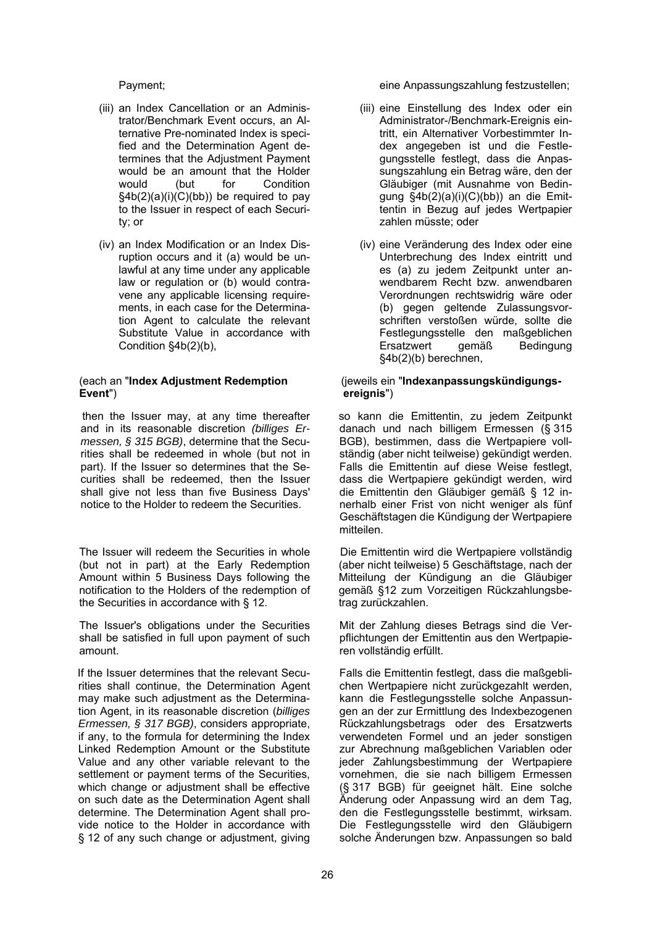- (iii) an Index Cancellation or an Administrator/Benchmark Event occurs, an Alternative Pre-nominated Index is specified and the Determination Agent determines that the Adjustment Payment would be an amount that the Holder would (but for Condition §4b(2)(a)(i)(C)(bb)) be required to pay to the Issuer in respect of each Security; or
- (iv) an Index Modification or an Index Disruption occurs and it (a) would be unlawful at any time under any applicable law or regulation or (b) would contravene any applicable licensing requirements, in each case for the Determination Agent to calculate the relevant Substitute Value in accordance with Condition §4b(2)(b),

#### (each an "**Index Adjustment Redemption Event**")

then the Issuer may, at any time thereafter and in its reasonable discretion *(billiges Ermessen, § 315 BGB)*, determine that the Securities shall be redeemed in whole (but not in part). If the Issuer so determines that the Securities shall be redeemed, then the Issuer shall give not less than five Business Days' notice to the Holder to redeem the Securities.

The Issuer will redeem the Securities in whole (but not in part) at the Early Redemption Amount within 5 Business Days following the notification to the Holders of the redemption of the Securities in accordance with § 12.

The Issuer's obligations under the Securities shall be satisfied in full upon payment of such amount.

If the Issuer determines that the relevant Securities shall continue, the Determination Agent may make such adjustment as the Determination Agent, in its reasonable discretion (*billiges Ermessen, § 317 BGB)*, considers appropriate, if any, to the formula for determining the Index Linked Redemption Amount or the Substitute Value and any other variable relevant to the settlement or payment terms of the Securities, which change or adjustment shall be effective on such date as the Determination Agent shall determine. The Determination Agent shall provide notice to the Holder in accordance with § 12 of any such change or adjustment, giving

Payment; eine Anpassungszahlung festzustellen;

- (iii) eine Einstellung des Index oder ein Administrator-/Benchmark-Ereignis eintritt, ein Alternativer Vorbestimmter Index angegeben ist und die Festlegungsstelle festlegt, dass die Anpassungszahlung ein Betrag wäre, den der Gläubiger (mit Ausnahme von Bedingung §4b(2)(a)(i)(C)(bb)) an die Emittentin in Bezug auf jedes Wertpapier zahlen müsste; oder
- (iv) eine Veränderung des Index oder eine Unterbrechung des Index eintritt und es (a) zu jedem Zeitpunkt unter anwendbarem Recht bzw. anwendbaren Verordnungen rechtswidrig wäre oder (b) gegen geltende Zulassungsvorschriften verstoßen würde, sollte die Festlegungsstelle den maßgeblichen Ersatzwert gemäß Bedingung §4b(2)(b) berechnen,

#### (jeweils ein "**Indexanpassungskündigungsereignis**")

so kann die Emittentin, zu jedem Zeitpunkt danach und nach billigem Ermessen (§ 315 BGB), bestimmen, dass die Wertpapiere vollständig (aber nicht teilweise) gekündigt werden. Falls die Emittentin auf diese Weise festlegt, dass die Wertpapiere gekündigt werden, wird die Emittentin den Gläubiger gemäß § 12 innerhalb einer Frist von nicht weniger als fünf Geschäftstagen die Kündigung der Wertpapiere mitteilen.

Die Emittentin wird die Wertpapiere vollständig (aber nicht teilweise) 5 Geschäftstage, nach der Mitteilung der Kündigung an die Gläubiger gemäß §12 zum Vorzeitigen Rückzahlungsbetrag zurückzahlen.

Mit der Zahlung dieses Betrags sind die Verpflichtungen der Emittentin aus den Wertpapieren vollständig erfüllt.

Falls die Emittentin festlegt, dass die maßgeblichen Wertpapiere nicht zurückgezahlt werden, kann die Festlegungsstelle solche Anpassungen an der zur Ermittlung des Indexbezogenen Rückzahlungsbetrags oder des Ersatzwerts verwendeten Formel und an jeder sonstigen zur Abrechnung maßgeblichen Variablen oder jeder Zahlungsbestimmung der Wertpapiere vornehmen, die sie nach billigem Ermessen (§ 317 BGB) für geeignet hält. Eine solche Änderung oder Anpassung wird an dem Tag, den die Festlegungsstelle bestimmt, wirksam. Die Festlegungsstelle wird den Gläubigern solche Änderungen bzw. Anpassungen so bald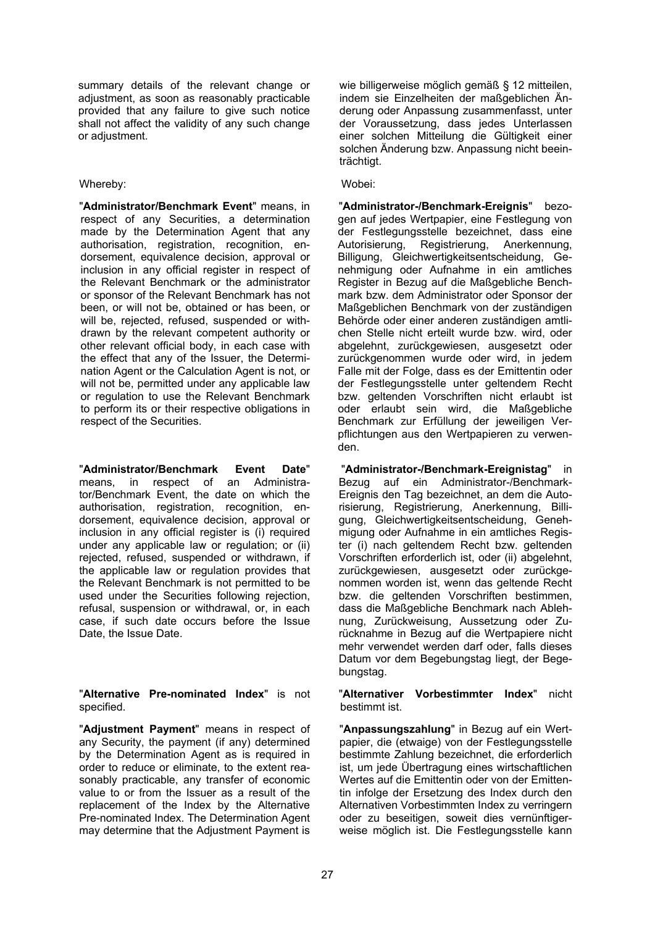summary details of the relevant change or adjustment, as soon as reasonably practicable provided that any failure to give such notice shall not affect the validity of any such change or adjustment.

#### Whereby: Wobei:

"**Administrator/Benchmark Event**" means, in respect of any Securities, a determination made by the Determination Agent that any authorisation, registration, recognition, endorsement, equivalence decision, approval or inclusion in any official register in respect of the Relevant Benchmark or the administrator or sponsor of the Relevant Benchmark has not been, or will not be, obtained or has been, or will be, rejected, refused, suspended or withdrawn by the relevant competent authority or other relevant official body, in each case with the effect that any of the Issuer, the Determination Agent or the Calculation Agent is not, or will not be, permitted under any applicable law or regulation to use the Relevant Benchmark to perform its or their respective obligations in respect of the Securities.

"**Administrator/Benchmark Event Date**" means, in respect of an Administrator/Benchmark Event, the date on which the authorisation, registration, recognition, endorsement, equivalence decision, approval or inclusion in any official register is (i) required under any applicable law or regulation; or (ii) rejected, refused, suspended or withdrawn, if the applicable law or regulation provides that the Relevant Benchmark is not permitted to be used under the Securities following rejection, refusal, suspension or withdrawal, or, in each case, if such date occurs before the Issue Date, the Issue Date.

"**Alternative Pre-nominated Index**" is not specified.

"**Adjustment Payment**" means in respect of any Security, the payment (if any) determined by the Determination Agent as is required in order to reduce or eliminate, to the extent reasonably practicable, any transfer of economic value to or from the Issuer as a result of the replacement of the Index by the Alternative Pre-nominated Index. The Determination Agent may determine that the Adjustment Payment is

wie billigerweise möglich gemäß § 12 mitteilen, indem sie Einzelheiten der maßgeblichen Änderung oder Anpassung zusammenfasst, unter der Voraussetzung, dass jedes Unterlassen einer solchen Mitteilung die Gültigkeit einer solchen Änderung bzw. Anpassung nicht beeinträchtigt.

"**Administrator-/Benchmark-Ereignis**" bezogen auf jedes Wertpapier, eine Festlegung von der Festlegungsstelle bezeichnet, dass eine Autorisierung, Registrierung, Anerkennung, Billigung, Gleichwertigkeitsentscheidung, Genehmigung oder Aufnahme in ein amtliches Register in Bezug auf die Maßgebliche Benchmark bzw. dem Administrator oder Sponsor der Maßgeblichen Benchmark von der zuständigen Behörde oder einer anderen zuständigen amtlichen Stelle nicht erteilt wurde bzw. wird, oder abgelehnt, zurückgewiesen, ausgesetzt oder zurückgenommen wurde oder wird, in jedem Falle mit der Folge, dass es der Emittentin oder der Festlegungsstelle unter geltendem Recht bzw. geltenden Vorschriften nicht erlaubt ist oder erlaubt sein wird, die Maßgebliche Benchmark zur Erfüllung der jeweiligen Verpflichtungen aus den Wertpapieren zu verwenden.

"**Administrator-/Benchmark-Ereignistag**" in Bezug auf ein Administrator-/Benchmark-Ereignis den Tag bezeichnet, an dem die Autorisierung, Registrierung, Anerkennung, Billigung, Gleichwertigkeitsentscheidung, Genehmigung oder Aufnahme in ein amtliches Register (i) nach geltendem Recht bzw. geltenden Vorschriften erforderlich ist, oder (ii) abgelehnt, zurückgewiesen, ausgesetzt oder zurückgenommen worden ist, wenn das geltende Recht bzw. die geltenden Vorschriften bestimmen, dass die Maßgebliche Benchmark nach Ablehnung, Zurückweisung, Aussetzung oder Zurücknahme in Bezug auf die Wertpapiere nicht mehr verwendet werden darf oder, falls dieses Datum vor dem Begebungstag liegt, der Begebungstag.

"**Alternativer Vorbestimmter Index**" nicht bestimmt ist.

"**Anpassungszahlung**" in Bezug auf ein Wertpapier, die (etwaige) von der Festlegungsstelle bestimmte Zahlung bezeichnet, die erforderlich ist, um jede Übertragung eines wirtschaftlichen Wertes auf die Emittentin oder von der Emittentin infolge der Ersetzung des Index durch den Alternativen Vorbestimmten Index zu verringern oder zu beseitigen, soweit dies vernünftigerweise möglich ist. Die Festlegungsstelle kann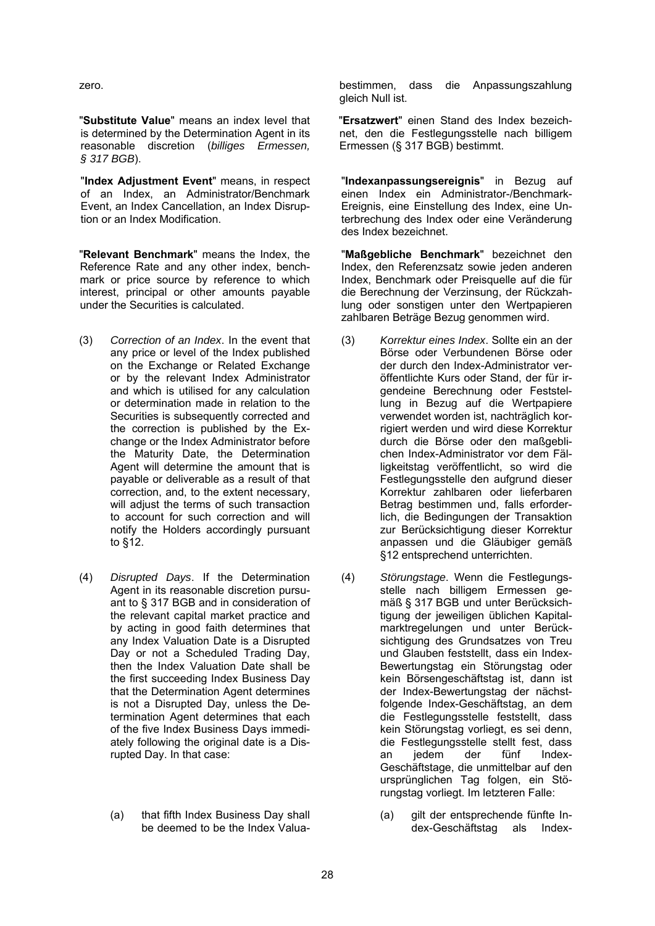"**Substitute Value**" means an index level that is determined by the Determination Agent in its reasonable discretion (*billiges Ermessen, § 317 BGB*).

"**Index Adjustment Event**" means, in respect of an Index, an Administrator/Benchmark Event, an Index Cancellation, an Index Disruption or an Index Modification.

"**Relevant Benchmark**" means the Index, the Reference Rate and any other index, benchmark or price source by reference to which interest, principal or other amounts payable under the Securities is calculated.

- (3) *Correction of an Index*. In the event that any price or level of the Index published on the Exchange or Related Exchange or by the relevant Index Administrator and which is utilised for any calculation or determination made in relation to the Securities is subsequently corrected and the correction is published by the Exchange or the Index Administrator before the Maturity Date, the Determination Agent will determine the amount that is payable or deliverable as a result of that correction, and, to the extent necessary, will adjust the terms of such transaction to account for such correction and will notify the Holders accordingly pursuant to §12.
- (4) *Disrupted Days*. If the Determination Agent in its reasonable discretion pursuant to § 317 BGB and in consideration of the relevant capital market practice and by acting in good faith determines that any Index Valuation Date is a Disrupted Day or not a Scheduled Trading Day, then the Index Valuation Date shall be the first succeeding Index Business Day that the Determination Agent determines is not a Disrupted Day, unless the Determination Agent determines that each of the five Index Business Days immediately following the original date is a Disrupted Day. In that case:
	- (a) that fifth Index Business Day shall be deemed to be the Index Valua-

zero. bestimmen, dass die Anpassungszahlung gleich Null ist.

> "**Ersatzwert**" einen Stand des Index bezeichnet, den die Festlegungsstelle nach billigem Ermessen (§ 317 BGB) bestimmt.

"**Indexanpassungsereignis**" in Bezug auf einen Index ein Administrator-/Benchmark-Ereignis, eine Einstellung des Index, eine Unterbrechung des Index oder eine Veränderung des Index bezeichnet.

"**Maßgebliche Benchmark**" bezeichnet den Index, den Referenzsatz sowie jeden anderen Index, Benchmark oder Preisquelle auf die für die Berechnung der Verzinsung, der Rückzahlung oder sonstigen unter den Wertpapieren zahlbaren Beträge Bezug genommen wird.

- (3) *Korrektur eines Index*. Sollte ein an der Börse oder Verbundenen Börse oder der durch den Index-Administrator veröffentlichte Kurs oder Stand, der für irgendeine Berechnung oder Feststellung in Bezug auf die Wertpapiere verwendet worden ist, nachträglich korrigiert werden und wird diese Korrektur durch die Börse oder den maßgeblichen Index-Administrator vor dem Fälligkeitstag veröffentlicht, so wird die Festlegungsstelle den aufgrund dieser Korrektur zahlbaren oder lieferbaren Betrag bestimmen und, falls erforderlich, die Bedingungen der Transaktion zur Berücksichtigung dieser Korrektur anpassen und die Gläubiger gemäß §12 entsprechend unterrichten.
- (4) *Störungstage*. Wenn die Festlegungsstelle nach billigem Ermessen gemäß § 317 BGB und unter Berücksichtigung der jeweiligen üblichen Kapitalmarktregelungen und unter Berücksichtigung des Grundsatzes von Treu und Glauben feststellt, dass ein Index-Bewertungstag ein Störungstag oder kein Börsengeschäftstag ist, dann ist der Index-Bewertungstag der nächstfolgende Index-Geschäftstag, an dem die Festlegungsstelle feststellt, dass kein Störungstag vorliegt, es sei denn, die Festlegungsstelle stellt fest, dass<br>an jedem der fünf Indexan iedem Geschäftstage, die unmittelbar auf den ursprünglichen Tag folgen, ein Störungstag vorliegt. Im letzteren Falle:
	- (a) gilt der entsprechende fünfte Index-Geschäftstag als Index-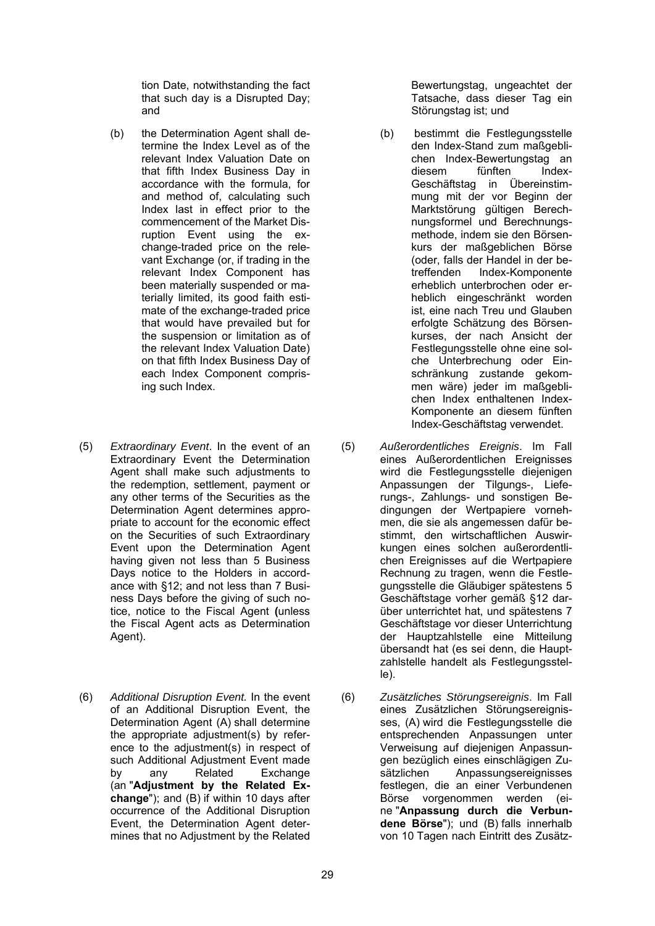tion Date, notwithstanding the fact that such day is a Disrupted Day; and

- (b) the Determination Agent shall determine the Index Level as of the relevant Index Valuation Date on that fifth Index Business Day in accordance with the formula, for and method of, calculating such Index last in effect prior to the commencement of the Market Disruption Event using the exchange-traded price on the relevant Exchange (or, if trading in the relevant Index Component has been materially suspended or materially limited, its good faith estimate of the exchange-traded price that would have prevailed but for the suspension or limitation as of the relevant Index Valuation Date) on that fifth Index Business Day of each Index Component comprising such Index.
- (5) *Extraordinary Event*. In the event of an Extraordinary Event the Determination Agent shall make such adjustments to the redemption, settlement, payment or any other terms of the Securities as the Determination Agent determines appropriate to account for the economic effect on the Securities of such Extraordinary Event upon the Determination Agent having given not less than 5 Business Days notice to the Holders in accordance with §12; and not less than 7 Business Days before the giving of such notice, notice to the Fiscal Agent **(**unless the Fiscal Agent acts as Determination Agent).
- (6) *Additional Disruption Event.* In the event of an Additional Disruption Event, the Determination Agent (A) shall determine the appropriate adjustment(s) by reference to the adjustment(s) in respect of such Additional Adjustment Event made by any Related Exchange (an "**Adjustment by the Related Exchange**"); and (B) if within 10 days after occurrence of the Additional Disruption Event, the Determination Agent determines that no Adjustment by the Related

Bewertungstag, ungeachtet der Tatsache, dass dieser Tag ein Störungstag ist; und

- (b) bestimmt die Festlegungsstelle den Index-Stand zum maßgeblichen Index-Bewertungstag an diesem fünften Index-Geschäftstag in Übereinstimmung mit der vor Beginn der Marktstörung gültigen Berechnungsformel und Berechnungsmethode, indem sie den Börsenkurs der maßgeblichen Börse (oder, falls der Handel in der betreffenden Index-Komponente erheblich unterbrochen oder erheblich eingeschränkt worden ist, eine nach Treu und Glauben erfolgte Schätzung des Börsenkurses, der nach Ansicht der Festlegungsstelle ohne eine solche Unterbrechung oder Einschränkung zustande gekommen wäre) jeder im maßgeblichen Index enthaltenen Index-Komponente an diesem fünften Index-Geschäftstag verwendet.
- (5) *Außerordentliches Ereignis*. Im Fall eines Außerordentlichen Ereignisses wird die Festlegungsstelle diejenigen Anpassungen der Tilgungs-, Lieferungs-, Zahlungs- und sonstigen Bedingungen der Wertpapiere vornehmen, die sie als angemessen dafür bestimmt, den wirtschaftlichen Auswirkungen eines solchen außerordentlichen Ereignisses auf die Wertpapiere Rechnung zu tragen, wenn die Festlegungsstelle die Gläubiger spätestens 5 Geschäftstage vorher gemäß §12 darüber unterrichtet hat, und spätestens 7 Geschäftstage vor dieser Unterrichtung der Hauptzahlstelle eine Mitteilung übersandt hat (es sei denn, die Hauptzahlstelle handelt als Festlegungsstelle).
- (6) *Zusätzliches Störungsereignis*. Im Fall eines Zusätzlichen Störungsereignisses, (A) wird die Festlegungsstelle die entsprechenden Anpassungen unter Verweisung auf diejenigen Anpassungen bezüglich eines einschlägigen Zu-<br>sätzlichen Anpassungsereignisses Anpassungsereignisses festlegen, die an einer Verbundenen Börse vorgenommen werden (eine "**Anpassung durch die Verbundene Börse**"); und (B) falls innerhalb von 10 Tagen nach Eintritt des Zusätz-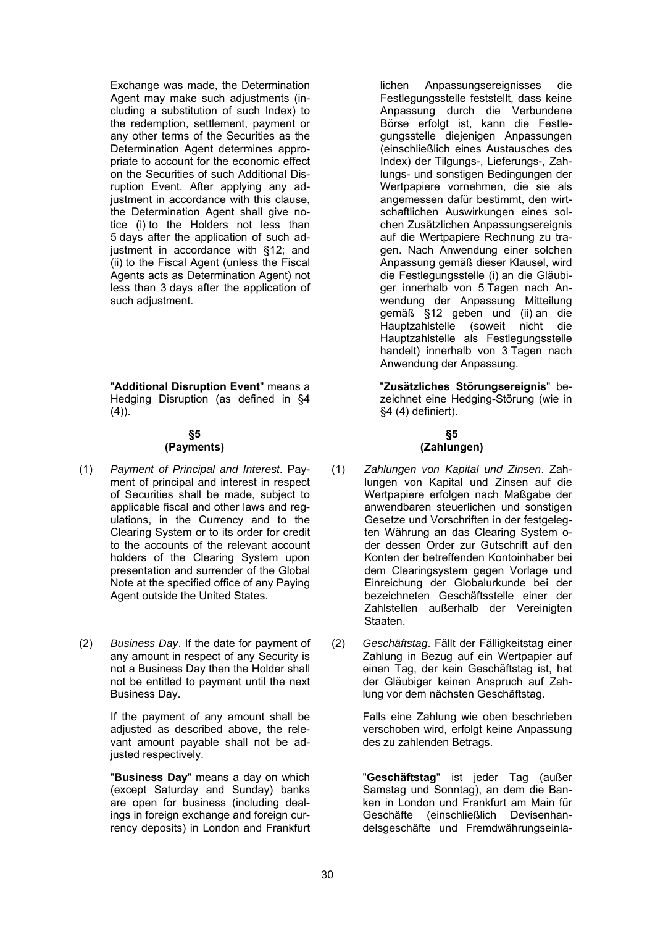Exchange was made, the Determination Agent may make such adjustments (including a substitution of such Index) to the redemption, settlement, payment or any other terms of the Securities as the Determination Agent determines appropriate to account for the economic effect on the Securities of such Additional Disruption Event. After applying any adjustment in accordance with this clause. the Determination Agent shall give notice (i) to the Holders not less than 5 days after the application of such adjustment in accordance with §12; and (ii) to the Fiscal Agent (unless the Fiscal Agents acts as Determination Agent) not less than 3 days after the application of such adjustment.

"**Additional Disruption Event**" means a Hedging Disruption (as defined in §4  $(4)$ ).

# **§5**

#### **(Payments)**

- (1) *Payment of Principal and Interest*. Payment of principal and interest in respect of Securities shall be made, subject to applicable fiscal and other laws and regulations, in the Currency and to the Clearing System or to its order for credit to the accounts of the relevant account holders of the Clearing System upon presentation and surrender of the Global Note at the specified office of any Paying Agent outside the United States.
- (2) *Business Day*. If the date for payment of any amount in respect of any Security is not a Business Day then the Holder shall not be entitled to payment until the next Business Day.

If the payment of any amount shall be adjusted as described above, the relevant amount payable shall not be adjusted respectively.

"**Business Day**" means a day on which (except Saturday and Sunday) banks are open for business (including dealings in foreign exchange and foreign currency deposits) in London and Frankfurt lichen Anpassungsereignisses die Festlegungsstelle feststellt, dass keine Anpassung durch die Verbundene Börse erfolgt ist, kann die Festlegungsstelle diejenigen Anpassungen (einschließlich eines Austausches des Index) der Tilgungs-, Lieferungs-, Zahlungs- und sonstigen Bedingungen der Wertpapiere vornehmen, die sie als angemessen dafür bestimmt, den wirtschaftlichen Auswirkungen eines solchen Zusätzlichen Anpassungsereignis auf die Wertpapiere Rechnung zu tragen. Nach Anwendung einer solchen Anpassung gemäß dieser Klausel, wird die Festlegungsstelle (i) an die Gläubiger innerhalb von 5 Tagen nach Anwendung der Anpassung Mitteilung gemäß §12 geben und (ii) an die Hauptzahlstelle (soweit nicht die Hauptzahlstelle als Festlegungsstelle handelt) innerhalb von 3 Tagen nach Anwendung der Anpassung.

"**Zusätzliches Störungsereignis**" bezeichnet eine Hedging-Störung (wie in §4 (4) definiert).

# **§5 (Zahlungen)**

- (1) *Zahlungen von Kapital und Zinsen*. Zahlungen von Kapital und Zinsen auf die Wertpapiere erfolgen nach Maßgabe der anwendbaren steuerlichen und sonstigen Gesetze und Vorschriften in der festgelegten Währung an das Clearing System oder dessen Order zur Gutschrift auf den Konten der betreffenden Kontoinhaber bei dem Clearingsystem gegen Vorlage und Einreichung der Globalurkunde bei der bezeichneten Geschäftsstelle einer der Zahlstellen außerhalb der Vereinigten Staaten.
- (2) *Geschäftstag*. Fällt der Fälligkeitstag einer Zahlung in Bezug auf ein Wertpapier auf einen Tag, der kein Geschäftstag ist, hat der Gläubiger keinen Anspruch auf Zahlung vor dem nächsten Geschäftstag.

Falls eine Zahlung wie oben beschrieben verschoben wird, erfolgt keine Anpassung des zu zahlenden Betrags.

"**Geschäftstag**" ist jeder Tag (außer Samstag und Sonntag), an dem die Banken in London und Frankfurt am Main für Geschäfte (einschließlich Devisenhandelsgeschäfte und Fremdwährungseinla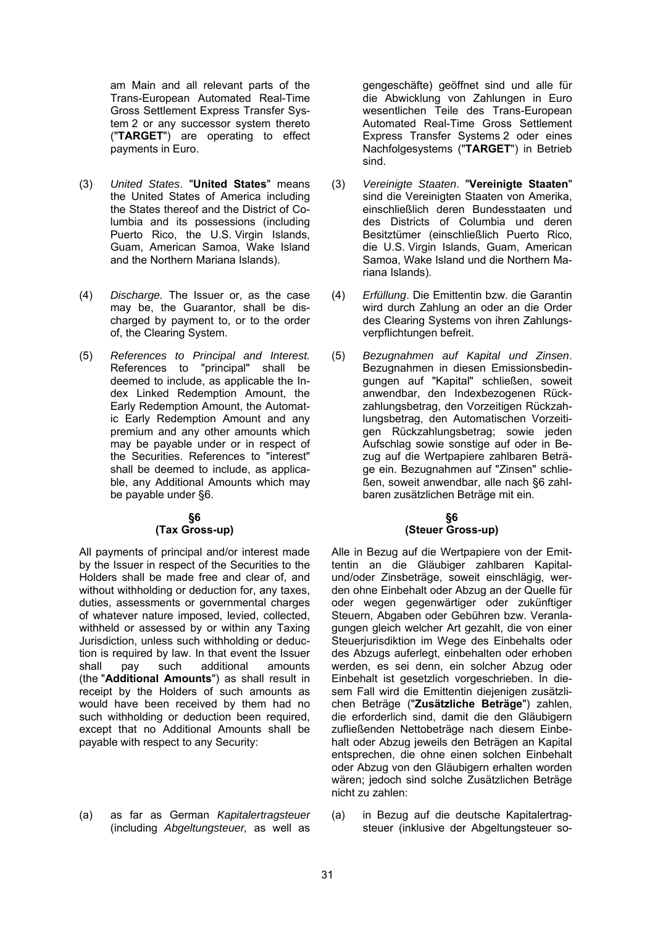am Main and all relevant parts of the Trans-European Automated Real-Time Gross Settlement Express Transfer System 2 or any successor system thereto ("**TARGET**") are operating to effect payments in Euro.

- (3) *United States*. "**United States**" means the United States of America including the States thereof and the District of Columbia and its possessions (including Puerto Rico, the U.S. Virgin Islands, Guam, American Samoa, Wake Island and the Northern Mariana Islands).
- (4) *Discharge.* The Issuer or, as the case may be, the Guarantor, shall be discharged by payment to, or to the order of, the Clearing System.
- (5) *References to Principal and Interest.*  References to "principal" shall be deemed to include, as applicable the Index Linked Redemption Amount, the Early Redemption Amount, the Automatic Early Redemption Amount and any premium and any other amounts which may be payable under or in respect of the Securities. References to "interest" shall be deemed to include, as applicable, any Additional Amounts which may be payable under §6.

#### **§6 (Tax Gross-up)**

All payments of principal and/or interest made by the Issuer in respect of the Securities to the Holders shall be made free and clear of, and without withholding or deduction for, any taxes, duties, assessments or governmental charges of whatever nature imposed, levied, collected, withheld or assessed by or within any Taxing Jurisdiction, unless such withholding or deduction is required by law. In that event the Issuer shall pay such additional amounts (the "**Additional Amounts**") as shall result in receipt by the Holders of such amounts as would have been received by them had no such withholding or deduction been required, except that no Additional Amounts shall be payable with respect to any Security:

(a) as far as German *Kapitalertragsteuer* (including *Abgeltungsteuer,* as well as gengeschäfte) geöffnet sind und alle für die Abwicklung von Zahlungen in Euro wesentlichen Teile des Trans-European Automated Real-Time Gross Settlement Express Transfer Systems 2 oder eines Nachfolgesystems ("**TARGET**") in Betrieb sind.

- (3) *Vereinigte Staaten*. "**Vereinigte Staaten**" sind die Vereinigten Staaten von Amerika, einschließlich deren Bundesstaaten und des Districts of Columbia und deren Besitztümer (einschließlich Puerto Rico, die U.S. Virgin Islands, Guam, American Samoa, Wake Island und die Northern Mariana Islands).
- (4) *Erfüllung*. Die Emittentin bzw. die Garantin wird durch Zahlung an oder an die Order des Clearing Systems von ihren Zahlungsverpflichtungen befreit.
- (5) *Bezugnahmen auf Kapital und Zinsen*. Bezugnahmen in diesen Emissionsbedingungen auf "Kapital" schließen, soweit anwendbar, den Indexbezogenen Rückzahlungsbetrag, den Vorzeitigen Rückzahlungsbetrag, den Automatischen Vorzeitigen Rückzahlungsbetrag; sowie jeden Aufschlag sowie sonstige auf oder in Bezug auf die Wertpapiere zahlbaren Beträge ein. Bezugnahmen auf "Zinsen" schließen, soweit anwendbar, alle nach §6 zahlbaren zusätzlichen Beträge mit ein.

#### **§6 (Steuer Gross-up)**

Alle in Bezug auf die Wertpapiere von der Emittentin an die Gläubiger zahlbaren Kapitalund/oder Zinsbeträge, soweit einschlägig, werden ohne Einbehalt oder Abzug an der Quelle für oder wegen gegenwärtiger oder zukünftiger Steuern, Abgaben oder Gebühren bzw. Veranlagungen gleich welcher Art gezahlt, die von einer Steuerjurisdiktion im Wege des Einbehalts oder des Abzugs auferlegt, einbehalten oder erhoben werden, es sei denn, ein solcher Abzug oder Einbehalt ist gesetzlich vorgeschrieben. In diesem Fall wird die Emittentin diejenigen zusätzlichen Beträge ("**Zusätzliche Beträge**") zahlen, die erforderlich sind, damit die den Gläubigern zufließenden Nettobeträge nach diesem Einbehalt oder Abzug jeweils den Beträgen an Kapital entsprechen, die ohne einen solchen Einbehalt oder Abzug von den Gläubigern erhalten worden wären; jedoch sind solche Zusätzlichen Beträge nicht zu zahlen:

(a) in Bezug auf die deutsche Kapitalertragsteuer (inklusive der Abgeltungsteuer so-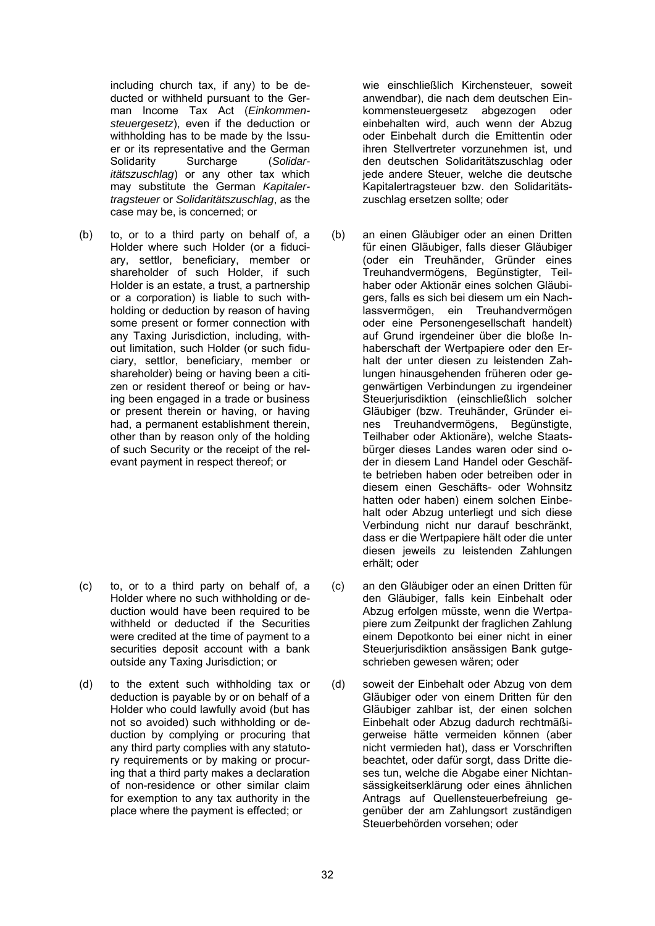including church tax, if any) to be deducted or withheld pursuant to the German Income Tax Act (*Einkommensteuergesetz*), even if the deduction or withholding has to be made by the Issuer or its representative and the German Solidarity Surcharge (*Solidaritätszuschlag*) or any other tax which may substitute the German *Kapitalertragsteuer* or *Solidaritätszuschlag*, as the case may be, is concerned; or

(b) to, or to a third party on behalf of, a Holder where such Holder (or a fiduciary, settlor, beneficiary, member or shareholder of such Holder, if such Holder is an estate, a trust, a partnership or a corporation) is liable to such withholding or deduction by reason of having some present or former connection with any Taxing Jurisdiction, including, without limitation, such Holder (or such fiduciary, settlor, beneficiary, member or shareholder) being or having been a citizen or resident thereof or being or having been engaged in a trade or business or present therein or having, or having had, a permanent establishment therein, other than by reason only of the holding of such Security or the receipt of the relevant payment in respect thereof; or

- (c) to, or to a third party on behalf of, a Holder where no such withholding or deduction would have been required to be withheld or deducted if the Securities were credited at the time of payment to a securities deposit account with a bank outside any Taxing Jurisdiction; or
- (d) to the extent such withholding tax or deduction is payable by or on behalf of a Holder who could lawfully avoid (but has not so avoided) such withholding or deduction by complying or procuring that any third party complies with any statutory requirements or by making or procuring that a third party makes a declaration of non-residence or other similar claim for exemption to any tax authority in the place where the payment is effected; or

wie einschließlich Kirchensteuer, soweit anwendbar), die nach dem deutschen Einkommensteuergesetz abgezogen oder einbehalten wird, auch wenn der Abzug oder Einbehalt durch die Emittentin oder ihren Stellvertreter vorzunehmen ist, und den deutschen Solidaritätszuschlag oder jede andere Steuer, welche die deutsche Kapitalertragsteuer bzw. den Solidaritätszuschlag ersetzen sollte; oder

- (b) an einen Gläubiger oder an einen Dritten für einen Gläubiger, falls dieser Gläubiger (oder ein Treuhänder, Gründer eines Treuhandvermögens, Begünstigter, Teilhaber oder Aktionär eines solchen Gläubigers, falls es sich bei diesem um ein Nachlassvermögen, ein Treuhandvermögen oder eine Personengesellschaft handelt) auf Grund irgendeiner über die bloße Inhaberschaft der Wertpapiere oder den Erhalt der unter diesen zu leistenden Zahlungen hinausgehenden früheren oder gegenwärtigen Verbindungen zu irgendeiner Steuerjurisdiktion (einschließlich solcher Gläubiger (bzw. Treuhänder, Gründer eines Treuhandvermögens, Begünstigte, Teilhaber oder Aktionäre), welche Staatsbürger dieses Landes waren oder sind oder in diesem Land Handel oder Geschäfte betrieben haben oder betreiben oder in diesem einen Geschäfts- oder Wohnsitz hatten oder haben) einem solchen Einbehalt oder Abzug unterliegt und sich diese Verbindung nicht nur darauf beschränkt, dass er die Wertpapiere hält oder die unter diesen jeweils zu leistenden Zahlungen erhält; oder
- (c) an den Gläubiger oder an einen Dritten für den Gläubiger, falls kein Einbehalt oder Abzug erfolgen müsste, wenn die Wertpapiere zum Zeitpunkt der fraglichen Zahlung einem Depotkonto bei einer nicht in einer Steuerjurisdiktion ansässigen Bank gutgeschrieben gewesen wären; oder
- (d) soweit der Einbehalt oder Abzug von dem Gläubiger oder von einem Dritten für den Gläubiger zahlbar ist, der einen solchen Einbehalt oder Abzug dadurch rechtmäßigerweise hätte vermeiden können (aber nicht vermieden hat), dass er Vorschriften beachtet, oder dafür sorgt, dass Dritte dieses tun, welche die Abgabe einer Nichtansässigkeitserklärung oder eines ähnlichen Antrags auf Quellensteuerbefreiung gegenüber der am Zahlungsort zuständigen Steuerbehörden vorsehen; oder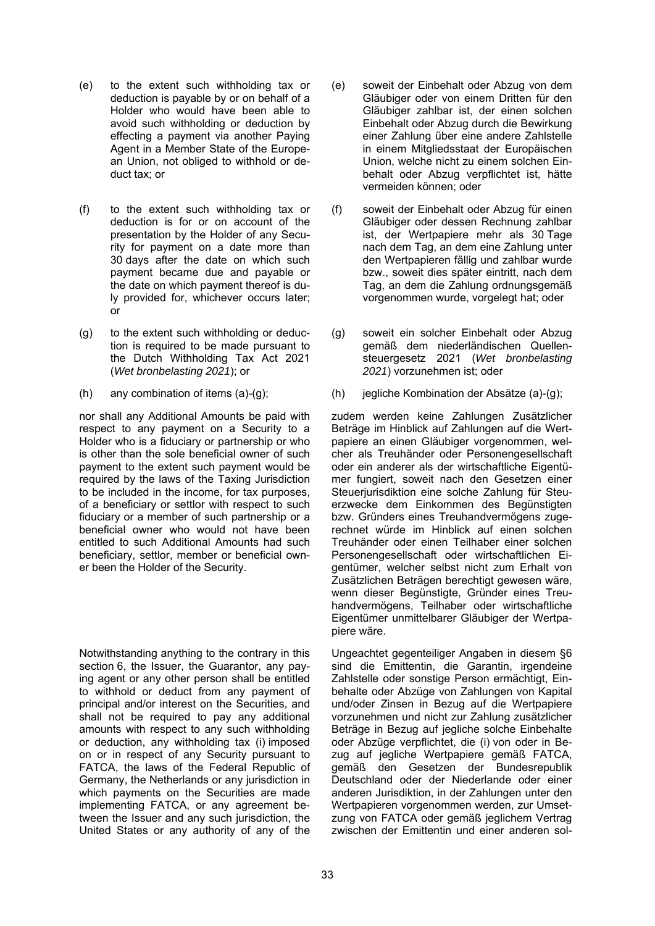- (e) to the extent such withholding tax or deduction is payable by or on behalf of a Holder who would have been able to avoid such withholding or deduction by effecting a payment via another Paying Agent in a Member State of the European Union, not obliged to withhold or deduct tax; or
- (f) to the extent such withholding tax or deduction is for or on account of the presentation by the Holder of any Security for payment on a date more than 30 days after the date on which such payment became due and payable or the date on which payment thereof is duly provided for, whichever occurs later; or
- (g) to the extent such withholding or deduction is required to be made pursuant to the Dutch Withholding Tax Act 2021 (*Wet bronbelasting 2021*); or
- 

nor shall any Additional Amounts be paid with respect to any payment on a Security to a Holder who is a fiduciary or partnership or who is other than the sole beneficial owner of such payment to the extent such payment would be required by the laws of the Taxing Jurisdiction to be included in the income, for tax purposes, of a beneficiary or settlor with respect to such fiduciary or a member of such partnership or a beneficial owner who would not have been entitled to such Additional Amounts had such beneficiary, settlor, member or beneficial owner been the Holder of the Security.

Notwithstanding anything to the contrary in this section 6, the Issuer, the Guarantor, any paying agent or any other person shall be entitled to withhold or deduct from any payment of principal and/or interest on the Securities, and shall not be required to pay any additional amounts with respect to any such withholding or deduction, any withholding tax (i) imposed on or in respect of any Security pursuant to FATCA, the laws of the Federal Republic of Germany, the Netherlands or any jurisdiction in which payments on the Securities are made implementing FATCA, or any agreement between the Issuer and any such jurisdiction, the United States or any authority of any of the

- (e) soweit der Einbehalt oder Abzug von dem Gläubiger oder von einem Dritten für den Gläubiger zahlbar ist, der einen solchen Einbehalt oder Abzug durch die Bewirkung einer Zahlung über eine andere Zahlstelle in einem Mitgliedsstaat der Europäischen Union, welche nicht zu einem solchen Einbehalt oder Abzug verpflichtet ist, hätte vermeiden können; oder
- (f) soweit der Einbehalt oder Abzug für einen Gläubiger oder dessen Rechnung zahlbar ist, der Wertpapiere mehr als 30 Tage nach dem Tag, an dem eine Zahlung unter den Wertpapieren fällig und zahlbar wurde bzw., soweit dies später eintritt, nach dem Tag, an dem die Zahlung ordnungsgemäß vorgenommen wurde, vorgelegt hat; oder
- (g) soweit ein solcher Einbehalt oder Abzug gemäß dem niederländischen Quellensteuergesetz 2021 (*Wet bronbelasting 2021*) vorzunehmen ist; oder
- (h) any combination of items (a)-(g); (h) jegliche Kombination der Absätze (a)-(g);

zudem werden keine Zahlungen Zusätzlicher Beträge im Hinblick auf Zahlungen auf die Wertpapiere an einen Gläubiger vorgenommen, welcher als Treuhänder oder Personengesellschaft oder ein anderer als der wirtschaftliche Eigentümer fungiert, soweit nach den Gesetzen einer Steuerjurisdiktion eine solche Zahlung für Steuerzwecke dem Einkommen des Begünstigten bzw. Gründers eines Treuhandvermögens zugerechnet würde im Hinblick auf einen solchen Treuhänder oder einen Teilhaber einer solchen Personengesellschaft oder wirtschaftlichen Eigentümer, welcher selbst nicht zum Erhalt von Zusätzlichen Beträgen berechtigt gewesen wäre, wenn dieser Begünstigte, Gründer eines Treuhandvermögens, Teilhaber oder wirtschaftliche Eigentümer unmittelbarer Gläubiger der Wertpapiere wäre.

Ungeachtet gegenteiliger Angaben in diesem §6 sind die Emittentin, die Garantin, irgendeine Zahlstelle oder sonstige Person ermächtigt, Einbehalte oder Abzüge von Zahlungen von Kapital und/oder Zinsen in Bezug auf die Wertpapiere vorzunehmen und nicht zur Zahlung zusätzlicher Beträge in Bezug auf jegliche solche Einbehalte oder Abzüge verpflichtet, die (i) von oder in Bezug auf jegliche Wertpapiere gemäß FATCA, gemäß den Gesetzen der Bundesrepublik Deutschland oder der Niederlande oder einer anderen Jurisdiktion, in der Zahlungen unter den Wertpapieren vorgenommen werden, zur Umsetzung von FATCA oder gemäß jeglichem Vertrag zwischen der Emittentin und einer anderen sol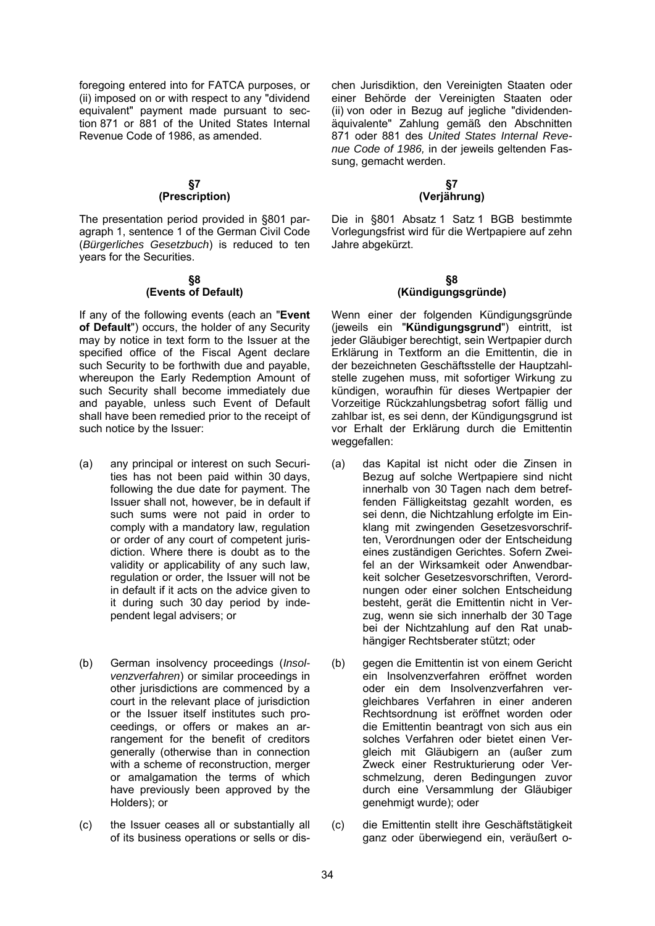foregoing entered into for FATCA purposes, or (ii) imposed on or with respect to any "dividend equivalent" payment made pursuant to section 871 or 881 of the United States Internal Revenue Code of 1986, as amended.

#### **§7 (Prescription)**

The presentation period provided in §801 paragraph 1, sentence 1 of the German Civil Code (*Bürgerliches Gesetzbuch*) is reduced to ten years for the Securities.

#### **§8 (Events of Default)**

If any of the following events (each an "**Event of Default**") occurs, the holder of any Security may by notice in text form to the Issuer at the specified office of the Fiscal Agent declare such Security to be forthwith due and payable, whereupon the Early Redemption Amount of such Security shall become immediately due and payable, unless such Event of Default shall have been remedied prior to the receipt of such notice by the Issuer:

- (a) any principal or interest on such Securities has not been paid within 30 days, following the due date for payment. The Issuer shall not, however, be in default if such sums were not paid in order to comply with a mandatory law, regulation or order of any court of competent jurisdiction. Where there is doubt as to the validity or applicability of any such law, regulation or order, the Issuer will not be in default if it acts on the advice given to it during such 30 day period by independent legal advisers; or
- (b) German insolvency proceedings (*Insolvenzverfahren*) or similar proceedings in other jurisdictions are commenced by a court in the relevant place of jurisdiction or the Issuer itself institutes such proceedings, or offers or makes an arrangement for the benefit of creditors generally (otherwise than in connection with a scheme of reconstruction, merger or amalgamation the terms of which have previously been approved by the Holders); or
- (c) the Issuer ceases all or substantially all of its business operations or sells or dis-

chen Jurisdiktion, den Vereinigten Staaten oder einer Behörde der Vereinigten Staaten oder (ii) von oder in Bezug auf jegliche "dividendenäquivalente" Zahlung gemäß den Abschnitten 871 oder 881 des *United States Internal Revenue Code of 1986,* in der jeweils geltenden Fassung, gemacht werden.

# **§7 (Verjährung)**

Die in §801 Absatz 1 Satz 1 BGB bestimmte Vorlegungsfrist wird für die Wertpapiere auf zehn Jahre abgekürzt.

#### **§8 (Kündigungsgründe)**

Wenn einer der folgenden Kündigungsgründe (jeweils ein "**Kündigungsgrund**") eintritt, ist jeder Gläubiger berechtigt, sein Wertpapier durch Erklärung in Textform an die Emittentin, die in der bezeichneten Geschäftsstelle der Hauptzahlstelle zugehen muss, mit sofortiger Wirkung zu kündigen, woraufhin für dieses Wertpapier der Vorzeitige Rückzahlungsbetrag sofort fällig und zahlbar ist, es sei denn, der Kündigungsgrund ist vor Erhalt der Erklärung durch die Emittentin weggefallen:

- (a) das Kapital ist nicht oder die Zinsen in Bezug auf solche Wertpapiere sind nicht innerhalb von 30 Tagen nach dem betreffenden Fälligkeitstag gezahlt worden, es sei denn, die Nichtzahlung erfolgte im Einklang mit zwingenden Gesetzesvorschriften, Verordnungen oder der Entscheidung eines zuständigen Gerichtes. Sofern Zweifel an der Wirksamkeit oder Anwendbarkeit solcher Gesetzesvorschriften, Verordnungen oder einer solchen Entscheidung besteht, gerät die Emittentin nicht in Verzug, wenn sie sich innerhalb der 30 Tage bei der Nichtzahlung auf den Rat unabhängiger Rechtsberater stützt; oder
- (b) gegen die Emittentin ist von einem Gericht ein Insolvenzverfahren eröffnet worden oder ein dem Insolvenzverfahren vergleichbares Verfahren in einer anderen Rechtsordnung ist eröffnet worden oder die Emittentin beantragt von sich aus ein solches Verfahren oder bietet einen Vergleich mit Gläubigern an (außer zum Zweck einer Restrukturierung oder Verschmelzung, deren Bedingungen zuvor durch eine Versammlung der Gläubiger genehmigt wurde); oder
- (c) die Emittentin stellt ihre Geschäftstätigkeit ganz oder überwiegend ein, veräußert o-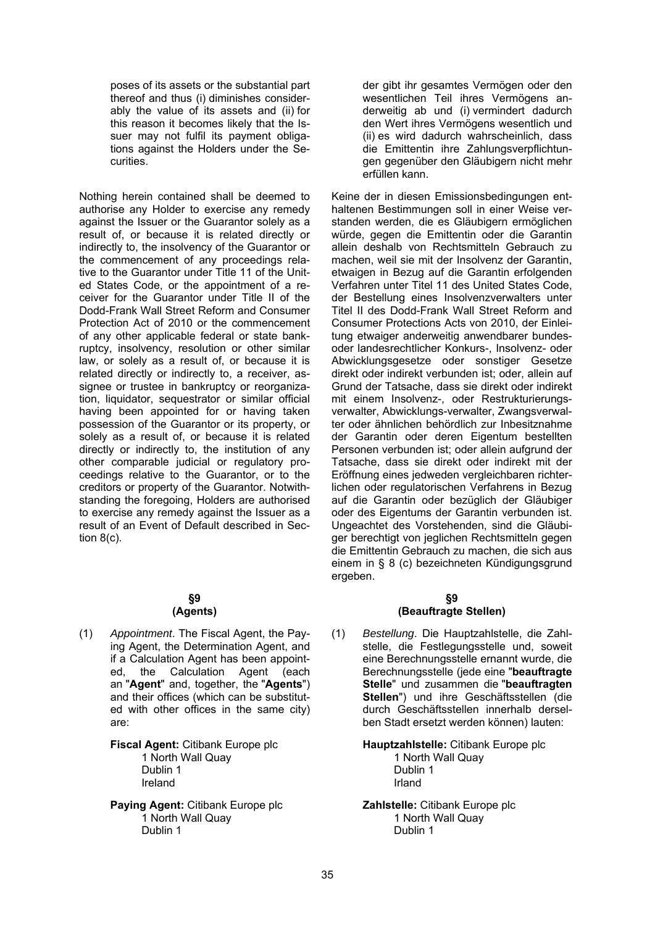poses of its assets or the substantial part thereof and thus (i) diminishes considerably the value of its assets and (ii) for this reason it becomes likely that the Issuer may not fulfil its payment obligations against the Holders under the Securities.

Nothing herein contained shall be deemed to authorise any Holder to exercise any remedy against the Issuer or the Guarantor solely as a result of, or because it is related directly or indirectly to, the insolvency of the Guarantor or the commencement of any proceedings relative to the Guarantor under Title 11 of the United States Code, or the appointment of a receiver for the Guarantor under Title II of the Dodd-Frank Wall Street Reform and Consumer Protection Act of 2010 or the commencement of any other applicable federal or state bankruptcy, insolvency, resolution or other similar law, or solely as a result of, or because it is related directly or indirectly to, a receiver, assignee or trustee in bankruptcy or reorganization, liquidator, sequestrator or similar official having been appointed for or having taken possession of the Guarantor or its property, or solely as a result of, or because it is related directly or indirectly to, the institution of any other comparable judicial or regulatory proceedings relative to the Guarantor, or to the creditors or property of the Guarantor. Notwithstanding the foregoing, Holders are authorised to exercise any remedy against the Issuer as a result of an Event of Default described in Section 8(c).

#### **§9 (Agents)**

(1) *Appointment*. The Fiscal Agent, the Paying Agent, the Determination Agent, and if a Calculation Agent has been appointed, the Calculation Agent (each an "**Agent**" and, together, the "**Agents**") and their offices (which can be substituted with other offices in the same city) are:

> **Fiscal Agent:** Citibank Europe plc 1 North Wall Quay Dublin 1 Ireland

**Paying Agent:** Citibank Europe plc 1 North Wall Quay Dublin 1

der gibt ihr gesamtes Vermögen oder den wesentlichen Teil ihres Vermögens anderweitig ab und (i) vermindert dadurch den Wert ihres Vermögens wesentlich und (ii) es wird dadurch wahrscheinlich, dass die Emittentin ihre Zahlungsverpflichtungen gegenüber den Gläubigern nicht mehr erfüllen kann.

Keine der in diesen Emissionsbedingungen enthaltenen Bestimmungen soll in einer Weise verstanden werden, die es Gläubigern ermöglichen würde, gegen die Emittentin oder die Garantin allein deshalb von Rechtsmitteln Gebrauch zu machen, weil sie mit der Insolvenz der Garantin, etwaigen in Bezug auf die Garantin erfolgenden Verfahren unter Titel 11 des United States Code, der Bestellung eines Insolvenzverwalters unter Titel II des Dodd-Frank Wall Street Reform and Consumer Protections Acts von 2010, der Einleitung etwaiger anderweitig anwendbarer bundesoder landesrechtlicher Konkurs-, Insolvenz- oder Abwicklungsgesetze oder sonstiger Gesetze direkt oder indirekt verbunden ist; oder, allein auf Grund der Tatsache, dass sie direkt oder indirekt mit einem Insolvenz-, oder Restrukturierungsverwalter, Abwicklungs-verwalter, Zwangsverwalter oder ähnlichen behördlich zur Inbesitznahme der Garantin oder deren Eigentum bestellten Personen verbunden ist; oder allein aufgrund der Tatsache, dass sie direkt oder indirekt mit der Eröffnung eines jedweden vergleichbaren richterlichen oder regulatorischen Verfahrens in Bezug auf die Garantin oder bezüglich der Gläubiger oder des Eigentums der Garantin verbunden ist. Ungeachtet des Vorstehenden, sind die Gläubiger berechtigt von jeglichen Rechtsmitteln gegen die Emittentin Gebrauch zu machen, die sich aus einem in § 8 (c) bezeichneten Kündigungsgrund ergeben.

# **§9 (Beauftragte Stellen)**

(1) *Bestellung*. Die Hauptzahlstelle, die Zahlstelle, die Festlegungsstelle und, soweit eine Berechnungsstelle ernannt wurde, die Berechnungsstelle (jede eine "**beauftragte Stelle**" und zusammen die "**beauftragten Stellen**") und ihre Geschäftsstellen (die durch Geschäftsstellen innerhalb derselben Stadt ersetzt werden können) lauten:

**Hauptzahlstelle:** Citibank Europe plc

1 North Wall Quay Dublin 1 Irland

**Zahlstelle:** Citibank Europe plc 1 North Wall Quay Dublin 1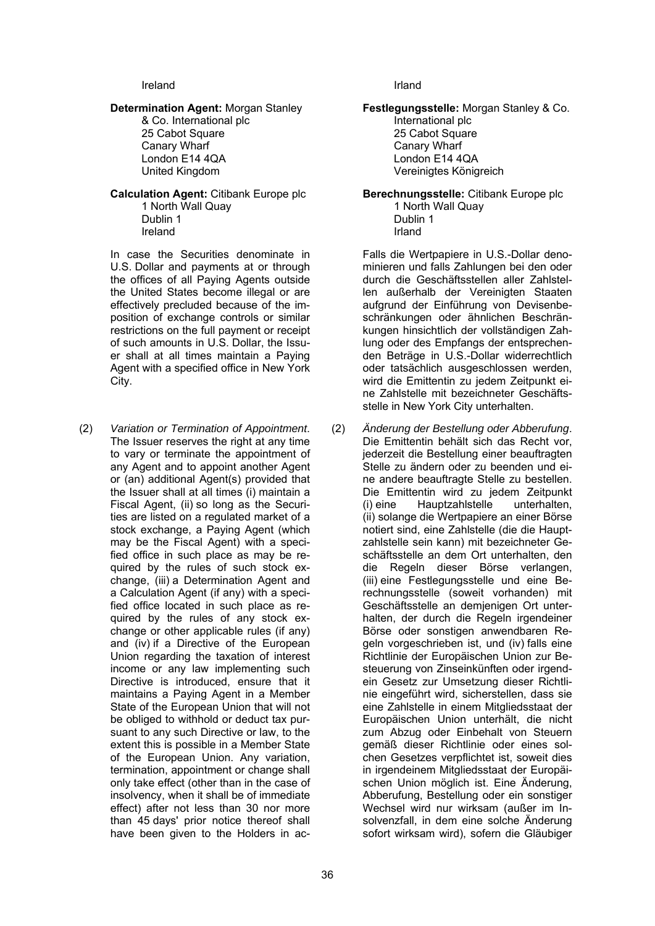#### Ireland **Ireland Ireland**

#### **Determination Agent:** Morgan Stanley & Co. International plc

25 Cabot Square Canary Wharf London E14 4QA United Kingdom

# **Calculation Agent:** Citibank Europe plc

1 North Wall Quay Dublin 1 Ireland

In case the Securities denominate in U.S. Dollar and payments at or through the offices of all Paying Agents outside the United States become illegal or are effectively precluded because of the imposition of exchange controls or similar restrictions on the full payment or receipt of such amounts in U.S. Dollar, the Issuer shall at all times maintain a Paying Agent with a specified office in New York City.

(2) *Variation or Termination of Appointment*. The Issuer reserves the right at any time to vary or terminate the appointment of any Agent and to appoint another Agent or (an) additional Agent(s) provided that the Issuer shall at all times (i) maintain a Fiscal Agent, (ii) so long as the Securities are listed on a regulated market of a stock exchange, a Paying Agent (which may be the Fiscal Agent) with a specified office in such place as may be required by the rules of such stock exchange, (iii) a Determination Agent and a Calculation Agent (if any) with a specified office located in such place as required by the rules of any stock exchange or other applicable rules (if any) and (iv) if a Directive of the European Union regarding the taxation of interest income or any law implementing such Directive is introduced, ensure that it maintains a Paying Agent in a Member State of the European Union that will not be obliged to withhold or deduct tax pursuant to any such Directive or law, to the extent this is possible in a Member State of the European Union. Any variation, termination, appointment or change shall only take effect (other than in the case of insolvency, when it shall be of immediate effect) after not less than 30 nor more than 45 days' prior notice thereof shall have been given to the Holders in ac-

**Festlegungsstelle:** Morgan Stanley & Co. International plc

25 Cabot Square Canary Wharf London E14 4QA Vereinigtes Königreich

**Berechnungsstelle:** Citibank Europe plc

1 North Wall Quay Dublin 1 Irland

Falls die Wertpapiere in U.S.-Dollar denominieren und falls Zahlungen bei den oder durch die Geschäftsstellen aller Zahlstellen außerhalb der Vereinigten Staaten aufgrund der Einführung von Devisenbeschränkungen oder ähnlichen Beschränkungen hinsichtlich der vollständigen Zahlung oder des Empfangs der entsprechenden Beträge in U.S.-Dollar widerrechtlich oder tatsächlich ausgeschlossen werden, wird die Emittentin zu jedem Zeitpunkt eine Zahlstelle mit bezeichneter Geschäftsstelle in New York City unterhalten.

(2) *Änderung der Bestellung oder Abberufung*. Die Emittentin behält sich das Recht vor, jederzeit die Bestellung einer beauftragten Stelle zu ändern oder zu beenden und eine andere beauftragte Stelle zu bestellen. Die Emittentin wird zu jedem Zeitpunkt (i) eine Hauptzahlstelle unterhalten, (ii) solange die Wertpapiere an einer Börse notiert sind, eine Zahlstelle (die die Hauptzahlstelle sein kann) mit bezeichneter Geschäftsstelle an dem Ort unterhalten, den die Regeln dieser Börse verlangen, (iii) eine Festlegungsstelle und eine Berechnungsstelle (soweit vorhanden) mit Geschäftsstelle an demjenigen Ort unterhalten, der durch die Regeln irgendeiner Börse oder sonstigen anwendbaren Regeln vorgeschrieben ist, und (iv) falls eine Richtlinie der Europäischen Union zur Besteuerung von Zinseinkünften oder irgendein Gesetz zur Umsetzung dieser Richtlinie eingeführt wird, sicherstellen, dass sie eine Zahlstelle in einem Mitgliedsstaat der Europäischen Union unterhält, die nicht zum Abzug oder Einbehalt von Steuern gemäß dieser Richtlinie oder eines solchen Gesetzes verpflichtet ist, soweit dies in irgendeinem Mitgliedsstaat der Europäischen Union möglich ist. Eine Änderung, Abberufung, Bestellung oder ein sonstiger Wechsel wird nur wirksam (außer im Insolvenzfall, in dem eine solche Änderung sofort wirksam wird), sofern die Gläubiger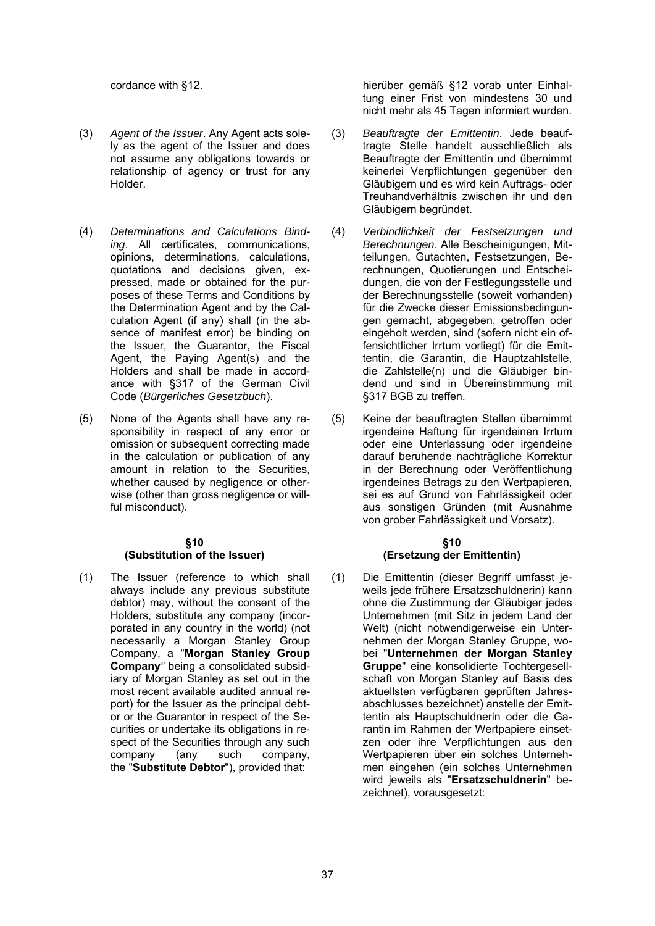- (3) *Agent of the Issuer*. Any Agent acts solely as the agent of the Issuer and does not assume any obligations towards or relationship of agency or trust for any Holder.
- (4) *Determinations and Calculations Binding*. All certificates, communications, opinions, determinations, calculations, quotations and decisions given, expressed, made or obtained for the purposes of these Terms and Conditions by the Determination Agent and by the Calculation Agent (if any) shall (in the absence of manifest error) be binding on the Issuer, the Guarantor, the Fiscal Agent, the Paying Agent(s) and the Holders and shall be made in accordance with §317 of the German Civil Code (*Bürgerliches Gesetzbuch*).
- (5) None of the Agents shall have any responsibility in respect of any error or omission or subsequent correcting made in the calculation or publication of any amount in relation to the Securities, whether caused by negligence or otherwise (other than gross negligence or willful misconduct).

#### **§10 (Substitution of the Issuer)**

(1) The Issuer (reference to which shall always include any previous substitute debtor) may, without the consent of the Holders, substitute any company (incorporated in any country in the world) (not necessarily a Morgan Stanley Group Company, a "**Morgan Stanley Group Company***"* being a consolidated subsidiary of Morgan Stanley as set out in the most recent available audited annual report) for the Issuer as the principal debtor or the Guarantor in respect of the Securities or undertake its obligations in respect of the Securities through any such<br>company (any such company. company (any such company, the "**Substitute Debtor**"), provided that:

cordance with §12. hierüber gemäß §12 vorab unter Einhaltung einer Frist von mindestens 30 und nicht mehr als 45 Tagen informiert wurden.

- (3) *Beauftragte der Emittentin*. Jede beauftragte Stelle handelt ausschließlich als Beauftragte der Emittentin und übernimmt keinerlei Verpflichtungen gegenüber den Gläubigern und es wird kein Auftrags- oder Treuhandverhältnis zwischen ihr und den Gläubigern begründet.
- (4) *Verbindlichkeit der Festsetzungen und Berechnungen*. Alle Bescheinigungen, Mitteilungen, Gutachten, Festsetzungen, Berechnungen, Quotierungen und Entscheidungen, die von der Festlegungsstelle und der Berechnungsstelle (soweit vorhanden) für die Zwecke dieser Emissionsbedingungen gemacht, abgegeben, getroffen oder eingeholt werden, sind (sofern nicht ein offensichtlicher Irrtum vorliegt) für die Emittentin, die Garantin, die Hauptzahlstelle, die Zahlstelle(n) und die Gläubiger bindend und sind in Übereinstimmung mit §317 BGB zu treffen.
- (5) Keine der beauftragten Stellen übernimmt irgendeine Haftung für irgendeinen Irrtum oder eine Unterlassung oder irgendeine darauf beruhende nachträgliche Korrektur in der Berechnung oder Veröffentlichung irgendeines Betrags zu den Wertpapieren, sei es auf Grund von Fahrlässigkeit oder aus sonstigen Gründen (mit Ausnahme von grober Fahrlässigkeit und Vorsatz).

#### **§10 (Ersetzung der Emittentin)**

(1) Die Emittentin (dieser Begriff umfasst jeweils jede frühere Ersatzschuldnerin) kann ohne die Zustimmung der Gläubiger jedes Unternehmen (mit Sitz in jedem Land der Welt) (nicht notwendigerweise ein Unternehmen der Morgan Stanley Gruppe, wobei "**Unternehmen der Morgan Stanley Gruppe**" eine konsolidierte Tochtergesellschaft von Morgan Stanley auf Basis des aktuellsten verfügbaren geprüften Jahresabschlusses bezeichnet) anstelle der Emittentin als Hauptschuldnerin oder die Garantin im Rahmen der Wertpapiere einsetzen oder ihre Verpflichtungen aus den Wertpapieren über ein solches Unternehmen eingehen (ein solches Unternehmen wird jeweils als "**Ersatzschuldnerin**" bezeichnet), vorausgesetzt: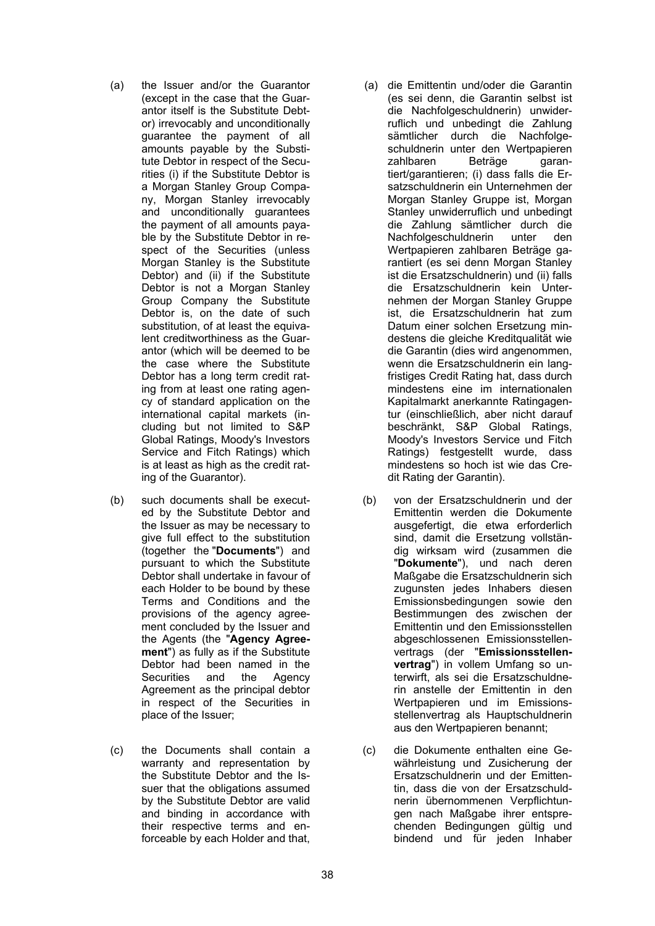- (a) the Issuer and/or the Guarantor (except in the case that the Guarantor itself is the Substitute Debtor) irrevocably and unconditionally guarantee the payment of all amounts payable by the Substitute Debtor in respect of the Securities (i) if the Substitute Debtor is a Morgan Stanley Group Company, Morgan Stanley irrevocably and unconditionally guarantees the payment of all amounts payable by the Substitute Debtor in respect of the Securities (unless Morgan Stanley is the Substitute Debtor) and (ii) if the Substitute Debtor is not a Morgan Stanley Group Company the Substitute Debtor is, on the date of such substitution, of at least the equivalent creditworthiness as the Guarantor (which will be deemed to be the case where the Substitute Debtor has a long term credit rating from at least one rating agency of standard application on the international capital markets (including but not limited to S&P Global Ratings, Moody's Investors Service and Fitch Ratings) which is at least as high as the credit rating of the Guarantor).
- (b) such documents shall be executed by the Substitute Debtor and the Issuer as may be necessary to give full effect to the substitution (together the "**Documents**") and pursuant to which the Substitute Debtor shall undertake in favour of each Holder to be bound by these Terms and Conditions and the provisions of the agency agreement concluded by the Issuer and the Agents (the "**Agency Agreement**") as fully as if the Substitute Debtor had been named in the Securities and the Agency Agreement as the principal debtor in respect of the Securities in place of the Issuer;
- (c) the Documents shall contain a warranty and representation by the Substitute Debtor and the Issuer that the obligations assumed by the Substitute Debtor are valid and binding in accordance with their respective terms and enforceable by each Holder and that,
- (a) die Emittentin und/oder die Garantin (es sei denn, die Garantin selbst ist die Nachfolgeschuldnerin) unwiderruflich und unbedingt die Zahlung sämtlicher durch die Nachfolgeschuldnerin unter den Wertpapieren zahlbaren Beträge garantiert/garantieren; (i) dass falls die Ersatzschuldnerin ein Unternehmen der Morgan Stanley Gruppe ist, Morgan Stanley unwiderruflich und unbedingt die Zahlung sämtlicher durch die Nachfolgeschuldnerin unter den Wertpapieren zahlbaren Beträge garantiert (es sei denn Morgan Stanley ist die Ersatzschuldnerin) und (ii) falls die Ersatzschuldnerin kein Unternehmen der Morgan Stanley Gruppe ist, die Ersatzschuldnerin hat zum Datum einer solchen Ersetzung mindestens die gleiche Kreditqualität wie die Garantin (dies wird angenommen, wenn die Ersatzschuldnerin ein langfristiges Credit Rating hat, dass durch mindestens eine im internationalen Kapitalmarkt anerkannte Ratingagentur (einschließlich, aber nicht darauf beschränkt, S&P Global Ratings, Moody's Investors Service und Fitch Ratings) festgestellt wurde, dass mindestens so hoch ist wie das Credit Rating der Garantin).
- (b) von der Ersatzschuldnerin und der Emittentin werden die Dokumente ausgefertigt, die etwa erforderlich sind, damit die Ersetzung vollständig wirksam wird (zusammen die "**Dokumente**"), und nach deren Maßgabe die Ersatzschuldnerin sich zugunsten jedes Inhabers diesen Emissionsbedingungen sowie den Bestimmungen des zwischen der Emittentin und den Emissionsstellen abgeschlossenen Emissionsstellenvertrags (der "**Emissionsstellenvertrag**") in vollem Umfang so unterwirft, als sei die Ersatzschuldnerin anstelle der Emittentin in den Wertpapieren und im Emissionsstellenvertrag als Hauptschuldnerin aus den Wertpapieren benannt;
- (c) die Dokumente enthalten eine Gewährleistung und Zusicherung der Ersatzschuldnerin und der Emittentin, dass die von der Ersatzschuldnerin übernommenen Verpflichtungen nach Maßgabe ihrer entsprechenden Bedingungen gültig und bindend und für jeden Inhaber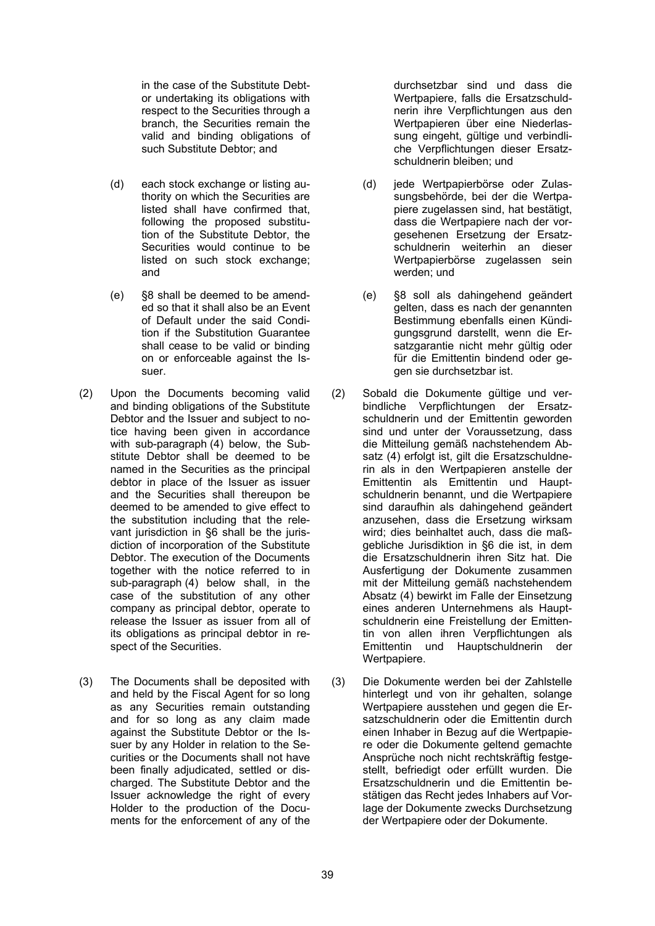in the case of the Substitute Debtor undertaking its obligations with respect to the Securities through a branch, the Securities remain the valid and binding obligations of such Substitute Debtor; and

- (d) each stock exchange or listing authority on which the Securities are listed shall have confirmed that, following the proposed substitution of the Substitute Debtor, the Securities would continue to be listed on such stock exchange: and
- (e) §8 shall be deemed to be amended so that it shall also be an Event of Default under the said Condition if the Substitution Guarantee shall cease to be valid or binding on or enforceable against the Issuer.
- (2) Upon the Documents becoming valid and binding obligations of the Substitute Debtor and the Issuer and subject to notice having been given in accordance with sub-paragraph (4) below, the Substitute Debtor shall be deemed to be named in the Securities as the principal debtor in place of the Issuer as issuer and the Securities shall thereupon be deemed to be amended to give effect to the substitution including that the relevant jurisdiction in §6 shall be the jurisdiction of incorporation of the Substitute Debtor. The execution of the Documents together with the notice referred to in sub-paragraph (4) below shall, in the case of the substitution of any other company as principal debtor, operate to release the Issuer as issuer from all of its obligations as principal debtor in respect of the Securities.
- (3) The Documents shall be deposited with and held by the Fiscal Agent for so long as any Securities remain outstanding and for so long as any claim made against the Substitute Debtor or the Issuer by any Holder in relation to the Securities or the Documents shall not have been finally adjudicated, settled or discharged. The Substitute Debtor and the Issuer acknowledge the right of every Holder to the production of the Documents for the enforcement of any of the

durchsetzbar sind und dass die Wertpapiere, falls die Ersatzschuldnerin ihre Verpflichtungen aus den Wertpapieren über eine Niederlassung eingeht, gültige und verbindliche Verpflichtungen dieser Ersatzschuldnerin bleiben; und

- (d) jede Wertpapierbörse oder Zulassungsbehörde, bei der die Wertpapiere zugelassen sind, hat bestätigt, dass die Wertpapiere nach der vorgesehenen Ersetzung der Ersatzschuldnerin weiterhin an dieser Wertpapierbörse zugelassen sein werden; und
- (e) §8 soll als dahingehend geändert gelten, dass es nach der genannten Bestimmung ebenfalls einen Kündigungsgrund darstellt, wenn die Ersatzgarantie nicht mehr gültig oder für die Emittentin bindend oder gegen sie durchsetzbar ist.
- (2) Sobald die Dokumente gültige und verbindliche Verpflichtungen der Ersatzschuldnerin und der Emittentin geworden sind und unter der Voraussetzung, dass die Mitteilung gemäß nachstehendem Absatz (4) erfolgt ist, gilt die Ersatzschuldnerin als in den Wertpapieren anstelle der Emittentin als Emittentin und Hauptschuldnerin benannt, und die Wertpapiere sind daraufhin als dahingehend geändert anzusehen, dass die Ersetzung wirksam wird; dies beinhaltet auch, dass die maßgebliche Jurisdiktion in §6 die ist, in dem die Ersatzschuldnerin ihren Sitz hat. Die Ausfertigung der Dokumente zusammen mit der Mitteilung gemäß nachstehendem Absatz (4) bewirkt im Falle der Einsetzung eines anderen Unternehmens als Hauptschuldnerin eine Freistellung der Emittentin von allen ihren Verpflichtungen als Emittentin und Hauptschuldnerin der Wertpapiere.
- (3) Die Dokumente werden bei der Zahlstelle hinterlegt und von ihr gehalten, solange Wertpapiere ausstehen und gegen die Ersatzschuldnerin oder die Emittentin durch einen Inhaber in Bezug auf die Wertpapiere oder die Dokumente geltend gemachte Ansprüche noch nicht rechtskräftig festgestellt, befriedigt oder erfüllt wurden. Die Ersatzschuldnerin und die Emittentin bestätigen das Recht jedes Inhabers auf Vorlage der Dokumente zwecks Durchsetzung der Wertpapiere oder der Dokumente.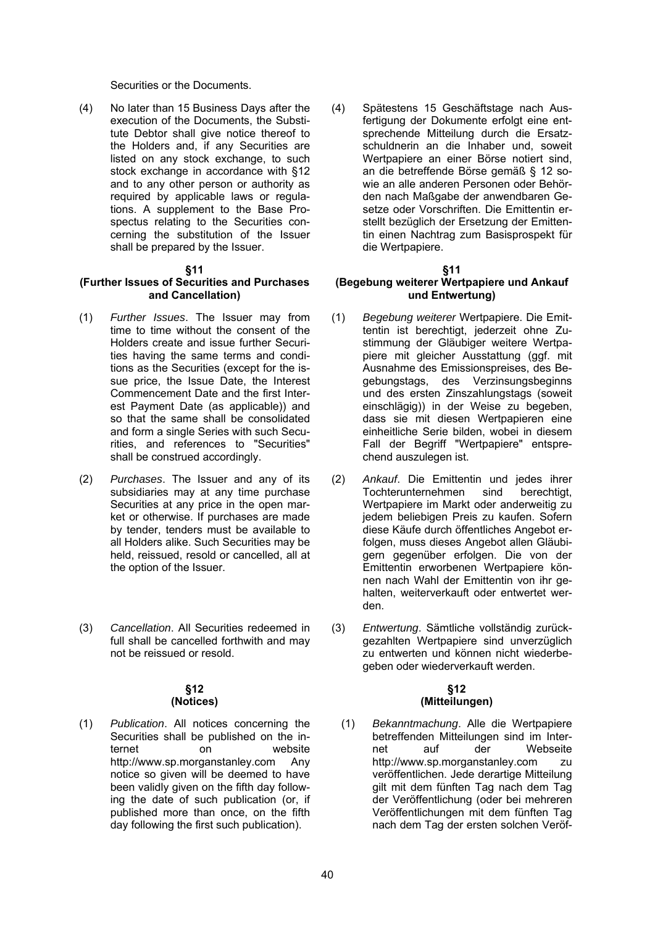Securities or the Documents.

(4) No later than 15 Business Days after the execution of the Documents, the Substitute Debtor shall give notice thereof to the Holders and, if any Securities are listed on any stock exchange, to such stock exchange in accordance with §12 and to any other person or authority as required by applicable laws or regulations. A supplement to the Base Prospectus relating to the Securities concerning the substitution of the Issuer shall be prepared by the Issuer.

#### **§11**

#### **(Further Issues of Securities and Purchases and Cancellation)**

- (1) *Further Issues*. The Issuer may from time to time without the consent of the Holders create and issue further Securities having the same terms and conditions as the Securities (except for the issue price, the Issue Date, the Interest Commencement Date and the first Interest Payment Date (as applicable)) and so that the same shall be consolidated and form a single Series with such Securities, and references to "Securities" shall be construed accordingly.
- (2) *Purchases*. The Issuer and any of its subsidiaries may at any time purchase Securities at any price in the open market or otherwise. If purchases are made by tender, tenders must be available to all Holders alike. Such Securities may be held, reissued, resold or cancelled, all at the option of the Issuer.
- (3) *Cancellation*. All Securities redeemed in full shall be cancelled forthwith and may not be reissued or resold.

#### **§12 (Notices)**

(1) *Publication*. All notices concerning the Securities shall be published on the internet on website http://www.sp.morganstanley.com Any notice so given will be deemed to have been validly given on the fifth day following the date of such publication (or, if published more than once, on the fifth day following the first such publication).

(4) Spätestens 15 Geschäftstage nach Ausfertigung der Dokumente erfolgt eine entsprechende Mitteilung durch die Ersatzschuldnerin an die Inhaber und, soweit Wertpapiere an einer Börse notiert sind, an die betreffende Börse gemäß § 12 sowie an alle anderen Personen oder Behörden nach Maßgabe der anwendbaren Gesetze oder Vorschriften. Die Emittentin erstellt bezüglich der Ersetzung der Emittentin einen Nachtrag zum Basisprospekt für die Wertpapiere.

#### **§11**

# **(Begebung weiterer Wertpapiere und Ankauf und Entwertung)**

- (1) *Begebung weiterer* Wertpapiere. Die Emittentin ist berechtigt, jederzeit ohne Zustimmung der Gläubiger weitere Wertpapiere mit gleicher Ausstattung (ggf. mit Ausnahme des Emissionspreises, des Begebungstags, des Verzinsungsbeginns und des ersten Zinszahlungstags (soweit einschlägig)) in der Weise zu begeben, dass sie mit diesen Wertpapieren eine einheitliche Serie bilden, wobei in diesem Fall der Begriff "Wertpapiere" entsprechend auszulegen ist.
- (2) *Ankauf*. Die Emittentin und jedes ihrer Tochterunternehmen sind berechtigt, Wertpapiere im Markt oder anderweitig zu jedem beliebigen Preis zu kaufen. Sofern diese Käufe durch öffentliches Angebot erfolgen, muss dieses Angebot allen Gläubigern gegenüber erfolgen. Die von der Emittentin erworbenen Wertpapiere können nach Wahl der Emittentin von ihr gehalten, weiterverkauft oder entwertet werden.
- (3) *Entwertung*. Sämtliche vollständig zurückgezahlten Wertpapiere sind unverzüglich zu entwerten und können nicht wiederbegeben oder wiederverkauft werden.

#### **§12 (Mitteilungen)**

(1) *Bekanntmachung*. Alle die Wertpapiere betreffenden Mitteilungen sind im Internet auf der Webseite http://www.sp.morganstanley.com zu veröffentlichen. Jede derartige Mitteilung gilt mit dem fünften Tag nach dem Tag der Veröffentlichung (oder bei mehreren Veröffentlichungen mit dem fünften Tag nach dem Tag der ersten solchen Veröf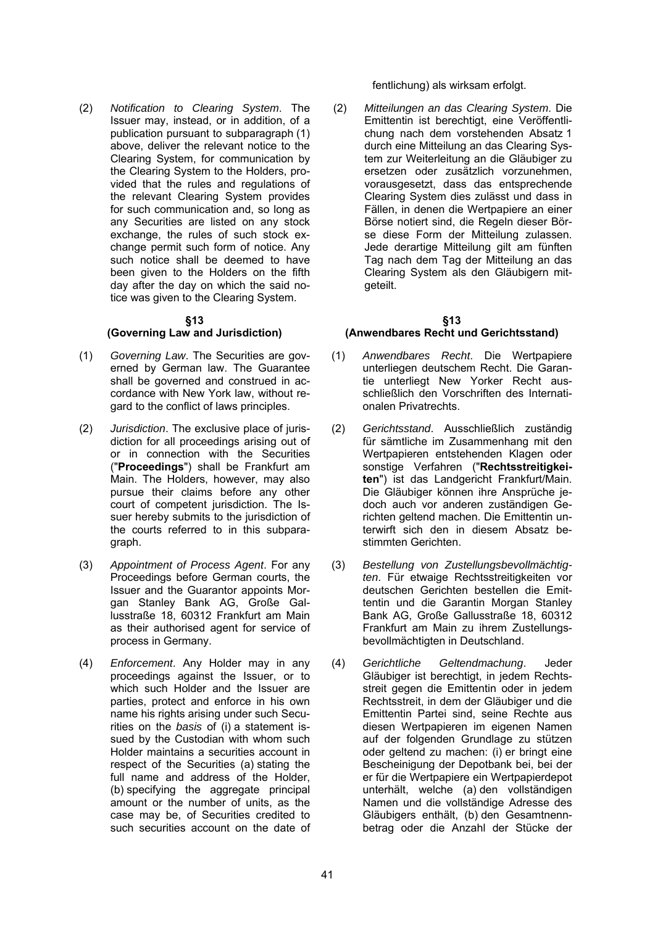(2) *Notification to Clearing System*. The Issuer may, instead, or in addition, of a publication pursuant to subparagraph (1) above, deliver the relevant notice to the Clearing System, for communication by the Clearing System to the Holders, provided that the rules and regulations of the relevant Clearing System provides for such communication and, so long as any Securities are listed on any stock exchange, the rules of such stock exchange permit such form of notice. Any such notice shall be deemed to have been given to the Holders on the fifth day after the day on which the said notice was given to the Clearing System.

#### **§13**

# **(Governing Law and Jurisdiction)**

- (1) *Governing Law*. The Securities are governed by German law. The Guarantee shall be governed and construed in accordance with New York law, without regard to the conflict of laws principles.
- (2) *Jurisdiction*. The exclusive place of jurisdiction for all proceedings arising out of or in connection with the Securities ("**Proceedings**") shall be Frankfurt am Main. The Holders, however, may also pursue their claims before any other court of competent jurisdiction. The Issuer hereby submits to the jurisdiction of the courts referred to in this subparagraph.
- (3) *Appointment of Process Agent*. For any Proceedings before German courts, the Issuer and the Guarantor appoints Morgan Stanley Bank AG, Große Gallusstraße 18, 60312 Frankfurt am Main as their authorised agent for service of process in Germany.
- (4) *Enforcement*. Any Holder may in any proceedings against the Issuer, or to which such Holder and the Issuer are parties, protect and enforce in his own name his rights arising under such Securities on the *basis* of (i) a statement issued by the Custodian with whom such Holder maintains a securities account in respect of the Securities (a) stating the full name and address of the Holder, (b) specifying the aggregate principal amount or the number of units, as the case may be, of Securities credited to such securities account on the date of

fentlichung) als wirksam erfolgt.

(2) *Mitteilungen an das Clearing System*. Die Emittentin ist berechtigt, eine Veröffentlichung nach dem vorstehenden Absatz 1 durch eine Mitteilung an das Clearing System zur Weiterleitung an die Gläubiger zu ersetzen oder zusätzlich vorzunehmen, vorausgesetzt, dass das entsprechende Clearing System dies zulässt und dass in Fällen, in denen die Wertpapiere an einer Börse notiert sind, die Regeln dieser Börse diese Form der Mitteilung zulassen. Jede derartige Mitteilung gilt am fünften Tag nach dem Tag der Mitteilung an das Clearing System als den Gläubigern mitgeteilt.

# **§13**

# **(Anwendbares Recht und Gerichtsstand)**

- (1) *Anwendbares Recht*. Die Wertpapiere unterliegen deutschem Recht. Die Garantie unterliegt New Yorker Recht ausschließlich den Vorschriften des Internationalen Privatrechts.
- (2) *Gerichtsstand*. Ausschließlich zuständig für sämtliche im Zusammenhang mit den Wertpapieren entstehenden Klagen oder sonstige Verfahren ("**Rechtsstreitigkeiten**") ist das Landgericht Frankfurt/Main. Die Gläubiger können ihre Ansprüche jedoch auch vor anderen zuständigen Gerichten geltend machen. Die Emittentin unterwirft sich den in diesem Absatz bestimmten Gerichten.
- (3) *Bestellung von Zustellungsbevollmächtigten*. Für etwaige Rechtsstreitigkeiten vor deutschen Gerichten bestellen die Emittentin und die Garantin Morgan Stanley Bank AG, Große Gallusstraße 18, 60312 Frankfurt am Main zu ihrem Zustellungsbevollmächtigten in Deutschland.
- (4) *Gerichtliche Geltendmachung*. Jeder Gläubiger ist berechtigt, in jedem Rechtsstreit gegen die Emittentin oder in jedem Rechtsstreit, in dem der Gläubiger und die Emittentin Partei sind, seine Rechte aus diesen Wertpapieren im eigenen Namen auf der folgenden Grundlage zu stützen oder geltend zu machen: (i) er bringt eine Bescheinigung der Depotbank bei, bei der er für die Wertpapiere ein Wertpapierdepot unterhält, welche (a) den vollständigen Namen und die vollständige Adresse des Gläubigers enthält, (b) den Gesamtnennbetrag oder die Anzahl der Stücke der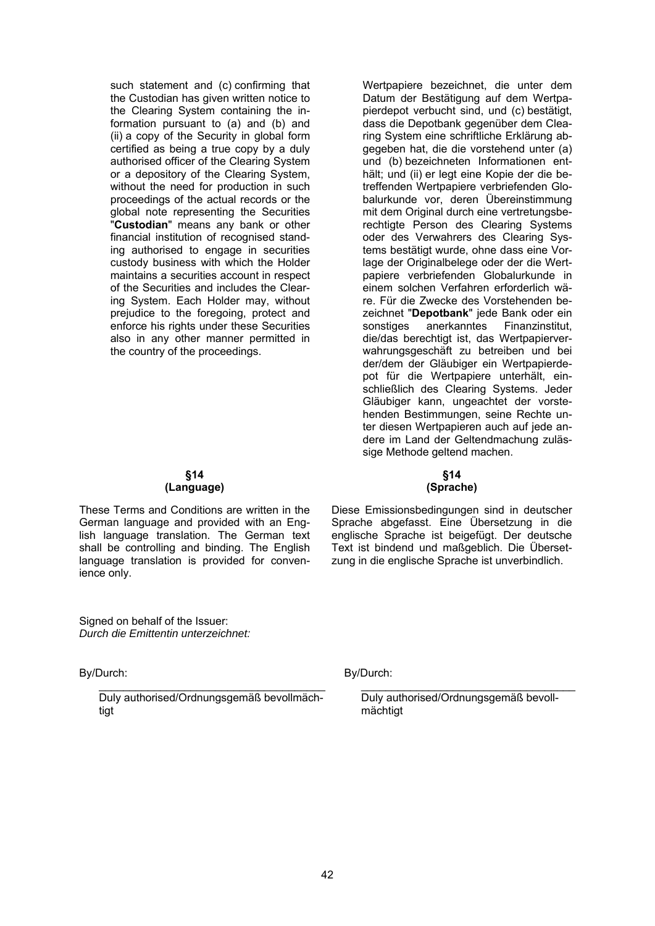such statement and (c) confirming that the Custodian has given written notice to the Clearing System containing the information pursuant to (a) and (b) and (ii) a copy of the Security in global form certified as being a true copy by a duly authorised officer of the Clearing System or a depository of the Clearing System, without the need for production in such proceedings of the actual records or the global note representing the Securities "**Custodian**" means any bank or other financial institution of recognised standing authorised to engage in securities custody business with which the Holder maintains a securities account in respect of the Securities and includes the Clearing System. Each Holder may, without prejudice to the foregoing, protect and enforce his rights under these Securities also in any other manner permitted in the country of the proceedings.

Datum der Bestätigung auf dem Wertpapierdepot verbucht sind, und (c) bestätigt, dass die Depotbank gegenüber dem Clearing System eine schriftliche Erklärung abgegeben hat, die die vorstehend unter (a) und (b) bezeichneten Informationen enthält; und (ii) er legt eine Kopie der die betreffenden Wertpapiere verbriefenden Globalurkunde vor, deren Übereinstimmung mit dem Original durch eine vertretungsberechtigte Person des Clearing Systems oder des Verwahrers des Clearing Systems bestätigt wurde, ohne dass eine Vorlage der Originalbelege oder der die Wertpapiere verbriefenden Globalurkunde in einem solchen Verfahren erforderlich wäre. Für die Zwecke des Vorstehenden bezeichnet "**Depotbank**" jede Bank oder ein sonstiges anerkanntes Finanzinstitut, die/das berechtigt ist, das Wertpapierverwahrungsgeschäft zu betreiben und bei der/dem der Gläubiger ein Wertpapierdepot für die Wertpapiere unterhält, einschließlich des Clearing Systems. Jeder Gläubiger kann, ungeachtet der vorstehenden Bestimmungen, seine Rechte unter diesen Wertpapieren auch auf jede andere im Land der Geltendmachung zulässige Methode geltend machen.

Wertpapiere bezeichnet, die unter dem

#### **§14 (Language)**

These Terms and Conditions are written in the German language and provided with an English language translation. The German text shall be controlling and binding. The English language translation is provided for convenience only.

Signed on behalf of the Issuer: *Durch die Emittentin unterzeichnet:* 

By/Durch:

Duly authorised/Ordnungsgemäß bevollmächtigt

# **§14 (Sprache)**

Diese Emissionsbedingungen sind in deutscher Sprache abgefasst. Eine Übersetzung in die englische Sprache ist beigefügt. Der deutsche Text ist bindend und maßgeblich. Die Übersetzung in die englische Sprache ist unverbindlich.

By/Durch:

Duly authorised/Ordnungsgemäß bevollmächtigt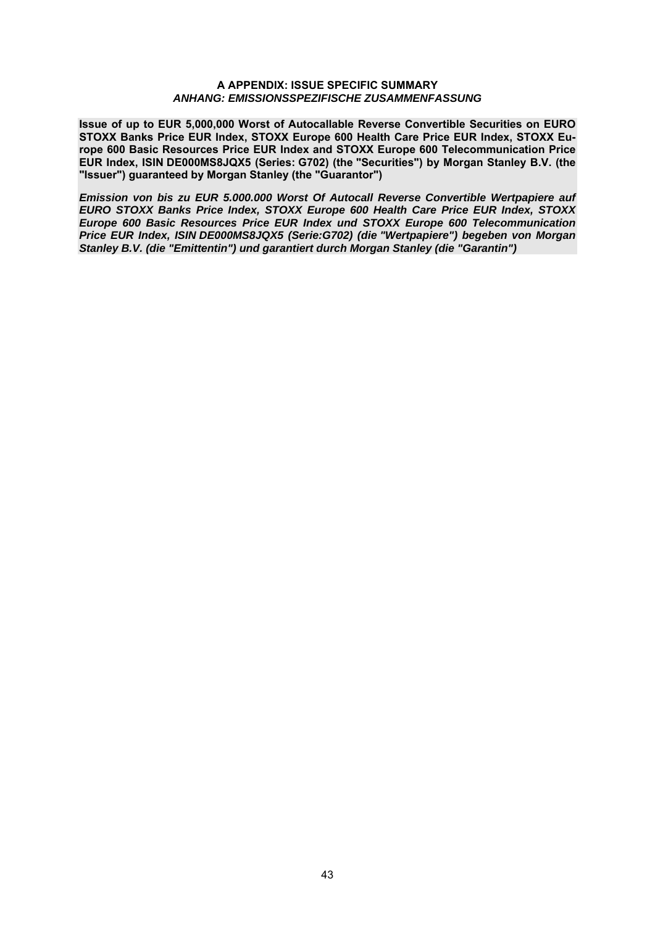#### **A APPENDIX: ISSUE SPECIFIC SUMMARY** *ANHANG: EMISSIONSSPEZIFISCHE ZUSAMMENFASSUNG*

**Issue of up to EUR 5,000,000 Worst of Autocallable Reverse Convertible Securities on EURO STOXX Banks Price EUR Index, STOXX Europe 600 Health Care Price EUR Index, STOXX Europe 600 Basic Resources Price EUR Index and STOXX Europe 600 Telecommunication Price EUR Index, ISIN DE000MS8JQX5 (Series: G702) (the "Securities") by Morgan Stanley B.V. (the "Issuer") guaranteed by Morgan Stanley (the "Guarantor")** 

*Emission von bis zu EUR 5.000.000 Worst Of Autocall Reverse Convertible Wertpapiere auf EURO STOXX Banks Price Index, STOXX Europe 600 Health Care Price EUR Index, STOXX Europe 600 Basic Resources Price EUR Index und STOXX Europe 600 Telecommunication Price EUR Index, ISIN DE000MS8JQX5 (Serie:G702) (die "Wertpapiere") begeben von Morgan Stanley B.V. (die "Emittentin") und garantiert durch Morgan Stanley (die "Garantin")*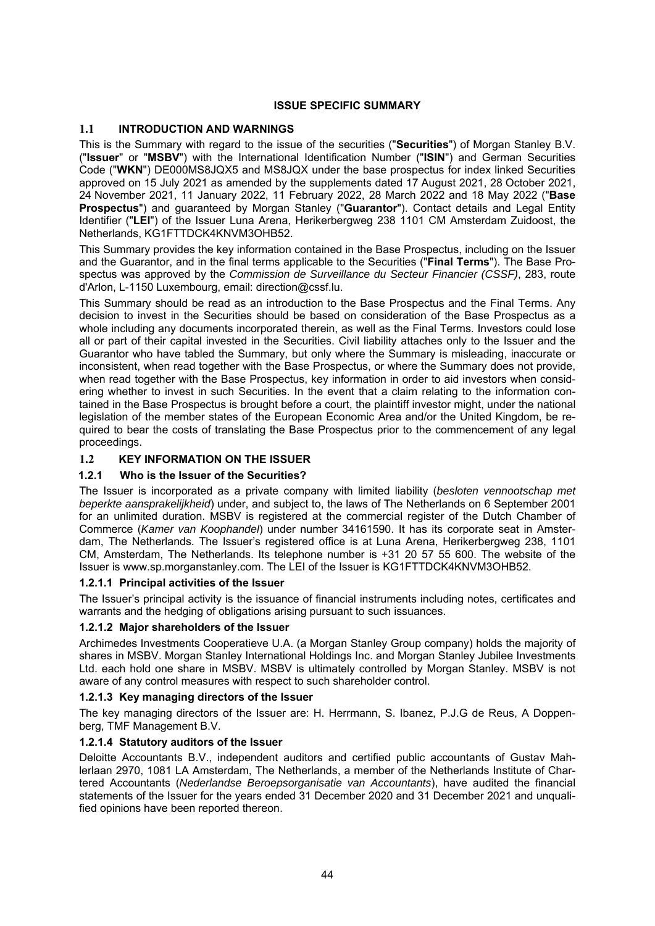# **ISSUE SPECIFIC SUMMARY**

# **1.1 INTRODUCTION AND WARNINGS**

This is the Summary with regard to the issue of the securities ("**Securities**") of Morgan Stanley B.V. ("**Issuer**" or "**MSBV**") with the International Identification Number ("**ISIN**") and German Securities Code ("**WKN**") DE000MS8JQX5 and MS8JQX under the base prospectus for index linked Securities approved on 15 July 2021 as amended by the supplements dated 17 August 2021, 28 October 2021, 24 November 2021, 11 January 2022, 11 February 2022, 28 March 2022 and 18 May 2022 ("**Base Prospectus**") and guaranteed by Morgan Stanley ("**Guarantor**"). Contact details and Legal Entity Identifier ("**LEI**") of the Issuer Luna Arena, Herikerbergweg 238 1101 CM Amsterdam Zuidoost, the Netherlands, KG1FTTDCK4KNVM3OHB52.

This Summary provides the key information contained in the Base Prospectus, including on the Issuer and the Guarantor, and in the final terms applicable to the Securities ("**Final Terms**"). The Base Prospectus was approved by the *Commission de Surveillance du Secteur Financier (CSSF)*, 283, route d'Arlon, L-1150 Luxembourg, email: direction@cssf.lu.

This Summary should be read as an introduction to the Base Prospectus and the Final Terms. Any decision to invest in the Securities should be based on consideration of the Base Prospectus as a whole including any documents incorporated therein, as well as the Final Terms. Investors could lose all or part of their capital invested in the Securities. Civil liability attaches only to the Issuer and the Guarantor who have tabled the Summary, but only where the Summary is misleading, inaccurate or inconsistent, when read together with the Base Prospectus, or where the Summary does not provide, when read together with the Base Prospectus, key information in order to aid investors when considering whether to invest in such Securities. In the event that a claim relating to the information contained in the Base Prospectus is brought before a court, the plaintiff investor might, under the national legislation of the member states of the European Economic Area and/or the United Kingdom, be required to bear the costs of translating the Base Prospectus prior to the commencement of any legal proceedings.

# **1.2 KEY INFORMATION ON THE ISSUER**

# **1.2.1 Who is the Issuer of the Securities?**

The Issuer is incorporated as a private company with limited liability (*besloten vennootschap met beperkte aansprakelijkheid*) under, and subject to, the laws of The Netherlands on 6 September 2001 for an unlimited duration. MSBV is registered at the commercial register of the Dutch Chamber of Commerce (*Kamer van Koophandel*) under number 34161590. It has its corporate seat in Amsterdam, The Netherlands. The Issuer's registered office is at Luna Arena, Herikerbergweg 238, 1101 CM, Amsterdam, The Netherlands. Its telephone number is +31 20 57 55 600. The website of the Issuer is www.sp.morganstanley.com. The LEI of the Issuer is KG1FTTDCK4KNVM3OHB52.

# **1.2.1.1 Principal activities of the Issuer**

The Issuer's principal activity is the issuance of financial instruments including notes, certificates and warrants and the hedging of obligations arising pursuant to such issuances.

# **1.2.1.2 Major shareholders of the Issuer**

Archimedes Investments Cooperatieve U.A. (a Morgan Stanley Group company) holds the majority of shares in MSBV. Morgan Stanley International Holdings Inc. and Morgan Stanley Jubilee Investments Ltd. each hold one share in MSBV. MSBV is ultimately controlled by Morgan Stanley. MSBV is not aware of any control measures with respect to such shareholder control.

# **1.2.1.3 Key managing directors of the Issuer**

The key managing directors of the Issuer are: H. Herrmann, S. Ibanez, P.J.G de Reus, A Doppenberg, TMF Management B.V.

# **1.2.1.4 Statutory auditors of the Issuer**

Deloitte Accountants B.V., independent auditors and certified public accountants of Gustav Mahlerlaan 2970, 1081 LA Amsterdam, The Netherlands, a member of the Netherlands Institute of Chartered Accountants (*Nederlandse Beroepsorganisatie van Accountants*), have audited the financial statements of the Issuer for the years ended 31 December 2020 and 31 December 2021 and unqualified opinions have been reported thereon.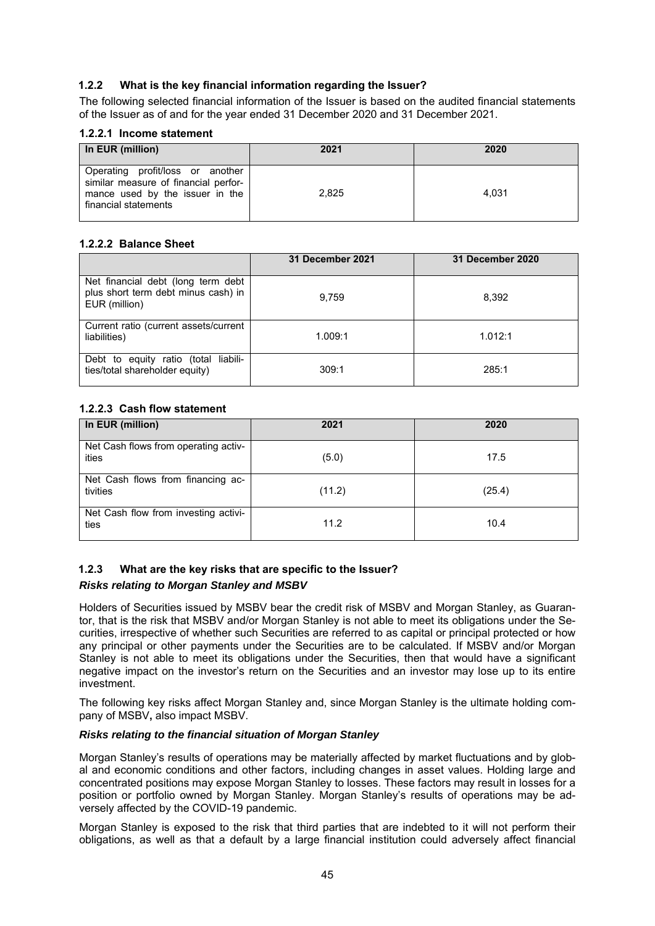# **1.2.2 What is the key financial information regarding the Issuer?**

The following selected financial information of the Issuer is based on the audited financial statements of the Issuer as of and for the year ended 31 December 2020 and 31 December 2021.

#### **1.2.2.1 Income statement**

| In EUR (million)                                                                                                                    | 2021  | 2020  |
|-------------------------------------------------------------------------------------------------------------------------------------|-------|-------|
| Operating profit/loss or another<br>similar measure of financial perfor-<br>mance used by the issuer in the<br>financial statements | 2,825 | 4.031 |

#### **1.2.2.2 Balance Sheet**

|                                                                                            | 31 December 2021 | 31 December 2020 |
|--------------------------------------------------------------------------------------------|------------------|------------------|
| Net financial debt (long term debt<br>plus short term debt minus cash) in<br>EUR (million) | 9.759            | 8,392            |
| Current ratio (current assets/current<br>liabilities)                                      | 1.009:1          | 1.012:1          |
| Debt to equity ratio (total liabili-<br>ties/total shareholder equity)                     | 309:1            | 285:1            |

# **1.2.2.3 Cash flow statement**

| In EUR (million)                              | 2021   | 2020   |
|-----------------------------------------------|--------|--------|
| Net Cash flows from operating activ-<br>ities | (5.0)  | 17.5   |
| Net Cash flows from financing ac-<br>tivities | (11.2) | (25.4) |
| Net Cash flow from investing activi-<br>ties  | 11.2   | 10.4   |

# **1.2.3 What are the key risks that are specific to the Issuer?**

# *Risks relating to Morgan Stanley and MSBV*

Holders of Securities issued by MSBV bear the credit risk of MSBV and Morgan Stanley, as Guarantor, that is the risk that MSBV and/or Morgan Stanley is not able to meet its obligations under the Securities, irrespective of whether such Securities are referred to as capital or principal protected or how any principal or other payments under the Securities are to be calculated. If MSBV and/or Morgan Stanley is not able to meet its obligations under the Securities, then that would have a significant negative impact on the investor's return on the Securities and an investor may lose up to its entire investment.

The following key risks affect Morgan Stanley and, since Morgan Stanley is the ultimate holding company of MSBV**,** also impact MSBV.

# *Risks relating to the financial situation of Morgan Stanley*

Morgan Stanley's results of operations may be materially affected by market fluctuations and by global and economic conditions and other factors, including changes in asset values. Holding large and concentrated positions may expose Morgan Stanley to losses. These factors may result in losses for a position or portfolio owned by Morgan Stanley. Morgan Stanley's results of operations may be adversely affected by the COVID-19 pandemic.

Morgan Stanley is exposed to the risk that third parties that are indebted to it will not perform their obligations, as well as that a default by a large financial institution could adversely affect financial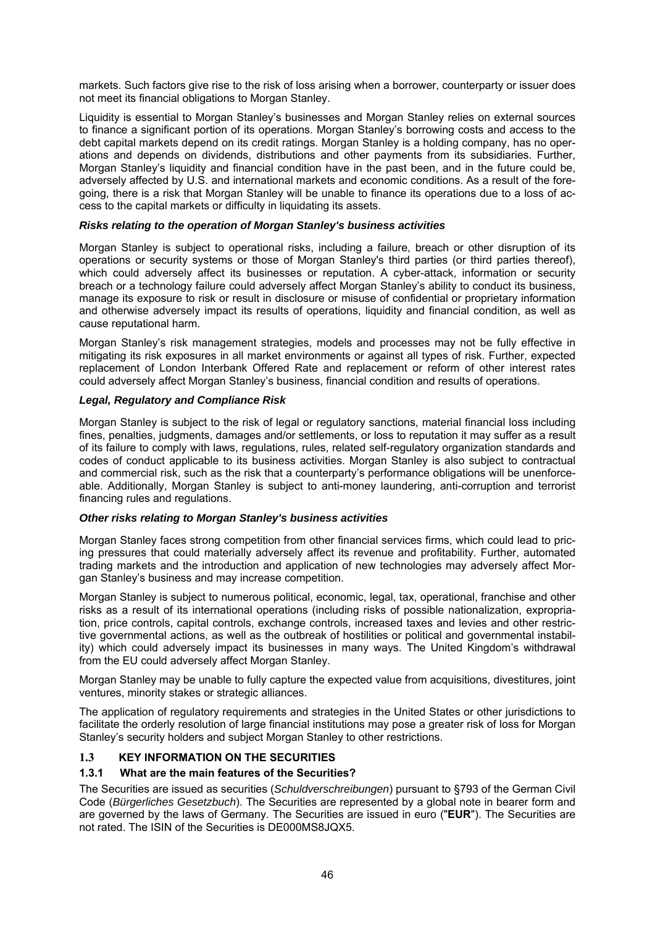markets. Such factors give rise to the risk of loss arising when a borrower, counterparty or issuer does not meet its financial obligations to Morgan Stanley.

Liquidity is essential to Morgan Stanley's businesses and Morgan Stanley relies on external sources to finance a significant portion of its operations. Morgan Stanley's borrowing costs and access to the debt capital markets depend on its credit ratings. Morgan Stanley is a holding company, has no operations and depends on dividends, distributions and other payments from its subsidiaries. Further, Morgan Stanley's liquidity and financial condition have in the past been, and in the future could be, adversely affected by U.S. and international markets and economic conditions. As a result of the foregoing, there is a risk that Morgan Stanley will be unable to finance its operations due to a loss of access to the capital markets or difficulty in liquidating its assets.

#### *Risks relating to the operation of Morgan Stanley's business activities*

Morgan Stanley is subject to operational risks, including a failure, breach or other disruption of its operations or security systems or those of Morgan Stanley's third parties (or third parties thereof), which could adversely affect its businesses or reputation. A cyber-attack, information or security breach or a technology failure could adversely affect Morgan Stanley's ability to conduct its business, manage its exposure to risk or result in disclosure or misuse of confidential or proprietary information and otherwise adversely impact its results of operations, liquidity and financial condition, as well as cause reputational harm.

Morgan Stanley's risk management strategies, models and processes may not be fully effective in mitigating its risk exposures in all market environments or against all types of risk. Further, expected replacement of London Interbank Offered Rate and replacement or reform of other interest rates could adversely affect Morgan Stanley's business, financial condition and results of operations.

#### *Legal, Regulatory and Compliance Risk*

Morgan Stanley is subject to the risk of legal or regulatory sanctions, material financial loss including fines, penalties, judgments, damages and/or settlements, or loss to reputation it may suffer as a result of its failure to comply with laws, regulations, rules, related self-regulatory organization standards and codes of conduct applicable to its business activities. Morgan Stanley is also subject to contractual and commercial risk, such as the risk that a counterparty's performance obligations will be unenforceable. Additionally, Morgan Stanley is subject to anti-money laundering, anti-corruption and terrorist financing rules and regulations.

# *Other risks relating to Morgan Stanley's business activities*

Morgan Stanley faces strong competition from other financial services firms, which could lead to pricing pressures that could materially adversely affect its revenue and profitability. Further, automated trading markets and the introduction and application of new technologies may adversely affect Morgan Stanley's business and may increase competition.

Morgan Stanley is subject to numerous political, economic, legal, tax, operational, franchise and other risks as a result of its international operations (including risks of possible nationalization, expropriation, price controls, capital controls, exchange controls, increased taxes and levies and other restrictive governmental actions, as well as the outbreak of hostilities or political and governmental instability) which could adversely impact its businesses in many ways. The United Kingdom's withdrawal from the EU could adversely affect Morgan Stanley.

Morgan Stanley may be unable to fully capture the expected value from acquisitions, divestitures, joint ventures, minority stakes or strategic alliances.

The application of regulatory requirements and strategies in the United States or other jurisdictions to facilitate the orderly resolution of large financial institutions may pose a greater risk of loss for Morgan Stanley's security holders and subject Morgan Stanley to other restrictions.

# **1.3 KEY INFORMATION ON THE SECURITIES**

# **1.3.1 What are the main features of the Securities?**

The Securities are issued as securities (*Schuldverschreibungen*) pursuant to §793 of the German Civil Code (*Bürgerliches Gesetzbuch*). The Securities are represented by a global note in bearer form and are governed by the laws of Germany. The Securities are issued in euro ("**EUR**"). The Securities are not rated. The ISIN of the Securities is DE000MS8JQX5.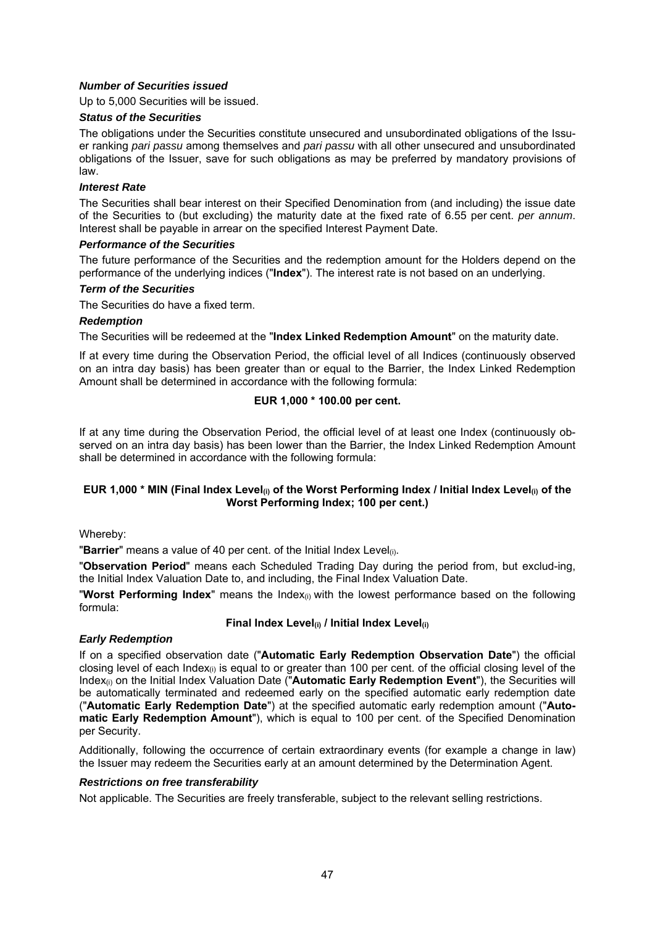# *Number of Securities issued*

Up to 5,000 Securities will be issued.

#### *Status of the Securities*

The obligations under the Securities constitute unsecured and unsubordinated obligations of the Issuer ranking *pari passu* among themselves and *pari passu* with all other unsecured and unsubordinated obligations of the Issuer, save for such obligations as may be preferred by mandatory provisions of law.

#### *Interest Rate*

The Securities shall bear interest on their Specified Denomination from (and including) the issue date of the Securities to (but excluding) the maturity date at the fixed rate of 6.55 per cent. *per annum*. Interest shall be payable in arrear on the specified Interest Payment Date.

#### *Performance of the Securities*

The future performance of the Securities and the redemption amount for the Holders depend on the performance of the underlying indices ("**Index**"). The interest rate is not based on an underlying.

#### *Term of the Securities*

The Securities do have a fixed term.

#### *Redemption*

The Securities will be redeemed at the "**Index Linked Redemption Amount**" on the maturity date.

If at every time during the Observation Period, the official level of all Indices (continuously observed on an intra day basis) has been greater than or equal to the Barrier, the Index Linked Redemption Amount shall be determined in accordance with the following formula:

# **EUR 1,000 \* 100.00 per cent.**

If at any time during the Observation Period, the official level of at least one Index (continuously observed on an intra day basis) has been lower than the Barrier, the Index Linked Redemption Amount shall be determined in accordance with the following formula:

# **EUR 1,000 \* MIN (Final Index Level(i) of the Worst Performing Index / Initial Index Level(i) of the Worst Performing Index; 100 per cent.)**

#### Whereby:

"**Barrier**" means a value of 40 per cent. of the Initial Index Level(i).

"**Observation Period**" means each Scheduled Trading Day during the period from, but exclud-ing, the Initial Index Valuation Date to, and including, the Final Index Valuation Date.

"**Worst Performing Index**" means the Index(i) with the lowest performance based on the following formula:

# **Final Index Level(i) / Initial Index Level(i)**

# *Early Redemption*

If on a specified observation date ("**Automatic Early Redemption Observation Date**") the official closing level of each Index(i) is equal to or greater than 100 per cent. of the official closing level of the Index(i) on the Initial Index Valuation Date ("**Automatic Early Redemption Event**"), the Securities will be automatically terminated and redeemed early on the specified automatic early redemption date ("**Automatic Early Redemption Date**") at the specified automatic early redemption amount ("**Automatic Early Redemption Amount**"), which is equal to 100 per cent. of the Specified Denomination per Security.

Additionally, following the occurrence of certain extraordinary events (for example a change in law) the Issuer may redeem the Securities early at an amount determined by the Determination Agent.

#### *Restrictions on free transferability*

Not applicable. The Securities are freely transferable, subject to the relevant selling restrictions.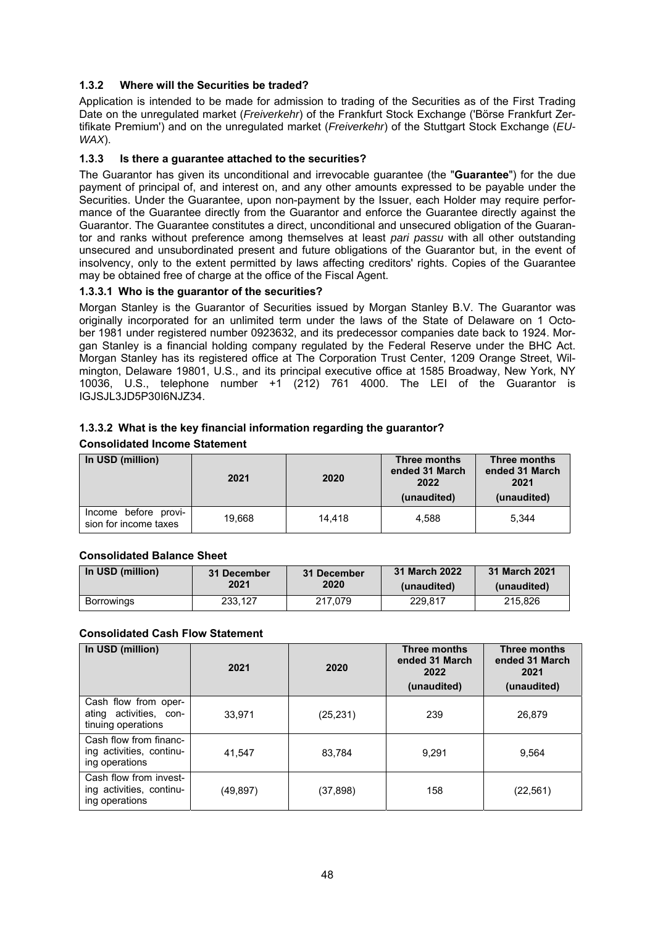# **1.3.2 Where will the Securities be traded?**

Application is intended to be made for admission to trading of the Securities as of the First Trading Date on the unregulated market (*Freiverkehr*) of the Frankfurt Stock Exchange ('Börse Frankfurt Zertifikate Premium') and on the unregulated market (*Freiverkehr*) of the Stuttgart Stock Exchange (*EU-WAX*).

# **1.3.3 Is there a guarantee attached to the securities?**

The Guarantor has given its unconditional and irrevocable guarantee (the "**Guarantee**") for the due payment of principal of, and interest on, and any other amounts expressed to be payable under the Securities. Under the Guarantee, upon non-payment by the Issuer, each Holder may require performance of the Guarantee directly from the Guarantor and enforce the Guarantee directly against the Guarantor. The Guarantee constitutes a direct, unconditional and unsecured obligation of the Guarantor and ranks without preference among themselves at least *pari passu* with all other outstanding unsecured and unsubordinated present and future obligations of the Guarantor but, in the event of insolvency, only to the extent permitted by laws affecting creditors' rights. Copies of the Guarantee may be obtained free of charge at the office of the Fiscal Agent.

# **1.3.3.1 Who is the guarantor of the securities?**

Morgan Stanley is the Guarantor of Securities issued by Morgan Stanley B.V. The Guarantor was originally incorporated for an unlimited term under the laws of the State of Delaware on 1 October 1981 under registered number 0923632, and its predecessor companies date back to 1924. Morgan Stanley is a financial holding company regulated by the Federal Reserve under the BHC Act. Morgan Stanley has its registered office at The Corporation Trust Center, 1209 Orange Street, Wilmington, Delaware 19801, U.S., and its principal executive office at 1585 Broadway, New York, NY 10036, U.S., telephone number +1 (212) 761 4000. The LEI of the Guarantor is IGJSJL3JD5P30I6NJZ34.

# **1.3.3.2 What is the key financial information regarding the guarantor? Consolidated Income Statement**

| In USD (million)                              | 2021   | 2020   | Three months<br>ended 31 March<br>2022<br>(unaudited) | Three months<br>ended 31 March<br>2021<br>(unaudited) |
|-----------------------------------------------|--------|--------|-------------------------------------------------------|-------------------------------------------------------|
| Income before provi-<br>sion for income taxes | 19.668 | 14.418 | 4.588                                                 | 5.344                                                 |

# **Consolidated Balance Sheet**

| In USD (million) | 31 December | 31 December | 31 March 2022 | 31 March 2021 |
|------------------|-------------|-------------|---------------|---------------|
|                  | 2021        | 2020        | (unaudited)   | (unaudited)   |
| Borrowings       | 233.127     | 217.079     | 229.817       | 215.826       |

# **Consolidated Cash Flow Statement**

| In USD (million)                                                     | 2021     | 2020      | <b>Three months</b><br>ended 31 March<br>2022<br>(unaudited) | <b>Three months</b><br>ended 31 March<br>2021<br>(unaudited) |
|----------------------------------------------------------------------|----------|-----------|--------------------------------------------------------------|--------------------------------------------------------------|
| Cash flow from oper-<br>ating activities, con-<br>tinuing operations | 33.971   | (25, 231) | 239                                                          | 26.879                                                       |
| Cash flow from financ-<br>ing activities, continu-<br>ing operations | 41.547   | 83,784    | 9.291                                                        | 9,564                                                        |
| Cash flow from invest-<br>ing activities, continu-<br>ing operations | (49,897) | (37, 898) | 158                                                          | (22, 561)                                                    |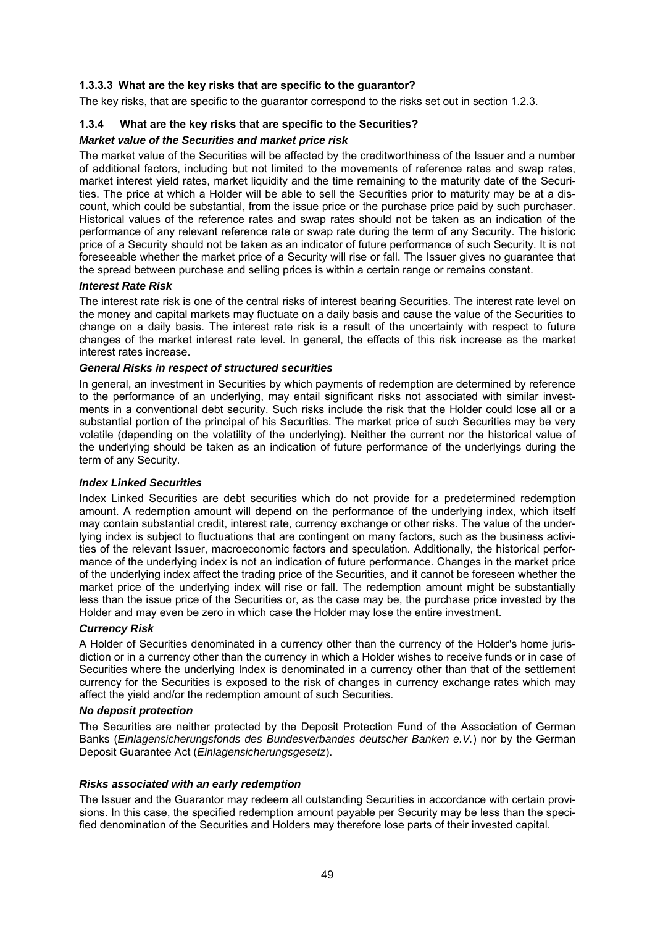# **1.3.3.3 What are the key risks that are specific to the guarantor?**

The key risks, that are specific to the guarantor correspond to the risks set out in section 1.2.3.

# **1.3.4 What are the key risks that are specific to the Securities?**

## *Market value of the Securities and market price risk*

The market value of the Securities will be affected by the creditworthiness of the Issuer and a number of additional factors, including but not limited to the movements of reference rates and swap rates, market interest yield rates, market liquidity and the time remaining to the maturity date of the Securities. The price at which a Holder will be able to sell the Securities prior to maturity may be at a discount, which could be substantial, from the issue price or the purchase price paid by such purchaser. Historical values of the reference rates and swap rates should not be taken as an indication of the performance of any relevant reference rate or swap rate during the term of any Security. The historic price of a Security should not be taken as an indicator of future performance of such Security. It is not foreseeable whether the market price of a Security will rise or fall. The Issuer gives no guarantee that the spread between purchase and selling prices is within a certain range or remains constant.

#### *Interest Rate Risk*

The interest rate risk is one of the central risks of interest bearing Securities. The interest rate level on the money and capital markets may fluctuate on a daily basis and cause the value of the Securities to change on a daily basis. The interest rate risk is a result of the uncertainty with respect to future changes of the market interest rate level. In general, the effects of this risk increase as the market interest rates increase.

# *General Risks in respect of structured securities*

In general, an investment in Securities by which payments of redemption are determined by reference to the performance of an underlying, may entail significant risks not associated with similar investments in a conventional debt security. Such risks include the risk that the Holder could lose all or a substantial portion of the principal of his Securities. The market price of such Securities may be very volatile (depending on the volatility of the underlying). Neither the current nor the historical value of the underlying should be taken as an indication of future performance of the underlyings during the term of any Security.

#### *Index Linked Securities*

Index Linked Securities are debt securities which do not provide for a predetermined redemption amount. A redemption amount will depend on the performance of the underlying index, which itself may contain substantial credit, interest rate, currency exchange or other risks. The value of the underlying index is subject to fluctuations that are contingent on many factors, such as the business activities of the relevant Issuer, macroeconomic factors and speculation. Additionally, the historical performance of the underlying index is not an indication of future performance. Changes in the market price of the underlying index affect the trading price of the Securities, and it cannot be foreseen whether the market price of the underlying index will rise or fall. The redemption amount might be substantially less than the issue price of the Securities or, as the case may be, the purchase price invested by the Holder and may even be zero in which case the Holder may lose the entire investment.

#### *Currency Risk*

A Holder of Securities denominated in a currency other than the currency of the Holder's home jurisdiction or in a currency other than the currency in which a Holder wishes to receive funds or in case of Securities where the underlying Index is denominated in a currency other than that of the settlement currency for the Securities is exposed to the risk of changes in currency exchange rates which may affect the yield and/or the redemption amount of such Securities.

#### *No deposit protection*

The Securities are neither protected by the Deposit Protection Fund of the Association of German Banks (*Einlagensicherungsfonds des Bundesverbandes deutscher Banken e.V.*) nor by the German Deposit Guarantee Act (*Einlagensicherungsgesetz*).

#### *Risks associated with an early redemption*

The Issuer and the Guarantor may redeem all outstanding Securities in accordance with certain provisions. In this case, the specified redemption amount payable per Security may be less than the specified denomination of the Securities and Holders may therefore lose parts of their invested capital.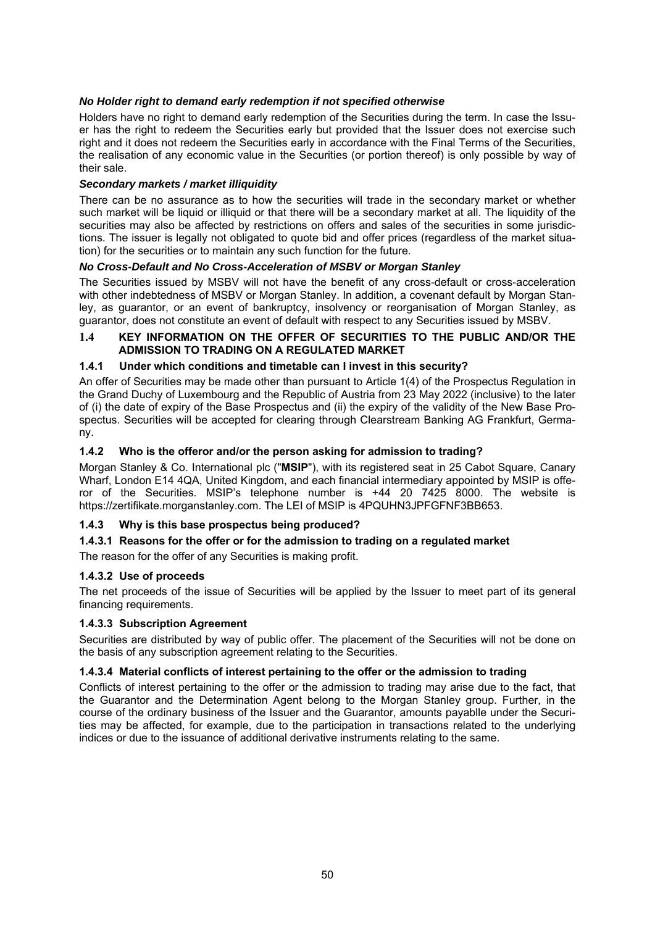# *No Holder right to demand early redemption if not specified otherwise*

Holders have no right to demand early redemption of the Securities during the term. In case the Issuer has the right to redeem the Securities early but provided that the Issuer does not exercise such right and it does not redeem the Securities early in accordance with the Final Terms of the Securities, the realisation of any economic value in the Securities (or portion thereof) is only possible by way of their sale.

#### *Secondary markets / market illiquidity*

There can be no assurance as to how the securities will trade in the secondary market or whether such market will be liquid or illiquid or that there will be a secondary market at all. The liquidity of the securities may also be affected by restrictions on offers and sales of the securities in some jurisdictions. The issuer is legally not obligated to quote bid and offer prices (regardless of the market situation) for the securities or to maintain any such function for the future.

# *No Cross-Default and No Cross-Acceleration of MSBV or Morgan Stanley*

The Securities issued by MSBV will not have the benefit of any cross-default or cross-acceleration with other indebtedness of MSBV or Morgan Stanley. In addition, a covenant default by Morgan Stanley, as guarantor, or an event of bankruptcy, insolvency or reorganisation of Morgan Stanley, as guarantor, does not constitute an event of default with respect to any Securities issued by MSBV.

#### **1.4 KEY INFORMATION ON THE OFFER OF SECURITIES TO THE PUBLIC AND/OR THE ADMISSION TO TRADING ON A REGULATED MARKET**

#### **1.4.1 Under which conditions and timetable can I invest in this security?**

An offer of Securities may be made other than pursuant to Article 1(4) of the Prospectus Regulation in the Grand Duchy of Luxembourg and the Republic of Austria from 23 May 2022 (inclusive) to the later of (i) the date of expiry of the Base Prospectus and (ii) the expiry of the validity of the New Base Prospectus. Securities will be accepted for clearing through Clearstream Banking AG Frankfurt, Germany.

#### **1.4.2 Who is the offeror and/or the person asking for admission to trading?**

Morgan Stanley & Co. International plc ("**MSIP**"), with its registered seat in 25 Cabot Square, Canary Wharf, London E14 4QA, United Kingdom, and each financial intermediary appointed by MSIP is offeror of the Securities. MSIP's telephone number is +44 20 7425 8000. The website is https://zertifikate.morganstanley.com. The LEI of MSIP is 4PQUHN3JPFGFNF3BB653.

# **1.4.3 Why is this base prospectus being produced?**

#### **1.4.3.1 Reasons for the offer or for the admission to trading on a regulated market**

The reason for the offer of any Securities is making profit.

#### **1.4.3.2 Use of proceeds**

The net proceeds of the issue of Securities will be applied by the Issuer to meet part of its general financing requirements.

#### **1.4.3.3 Subscription Agreement**

Securities are distributed by way of public offer. The placement of the Securities will not be done on the basis of any subscription agreement relating to the Securities.

#### **1.4.3.4 Material conflicts of interest pertaining to the offer or the admission to trading**

Conflicts of interest pertaining to the offer or the admission to trading may arise due to the fact, that the Guarantor and the Determination Agent belong to the Morgan Stanley group. Further, in the course of the ordinary business of the Issuer and the Guarantor, amounts payablle under the Securities may be affected, for example, due to the participation in transactions related to the underlying indices or due to the issuance of additional derivative instruments relating to the same.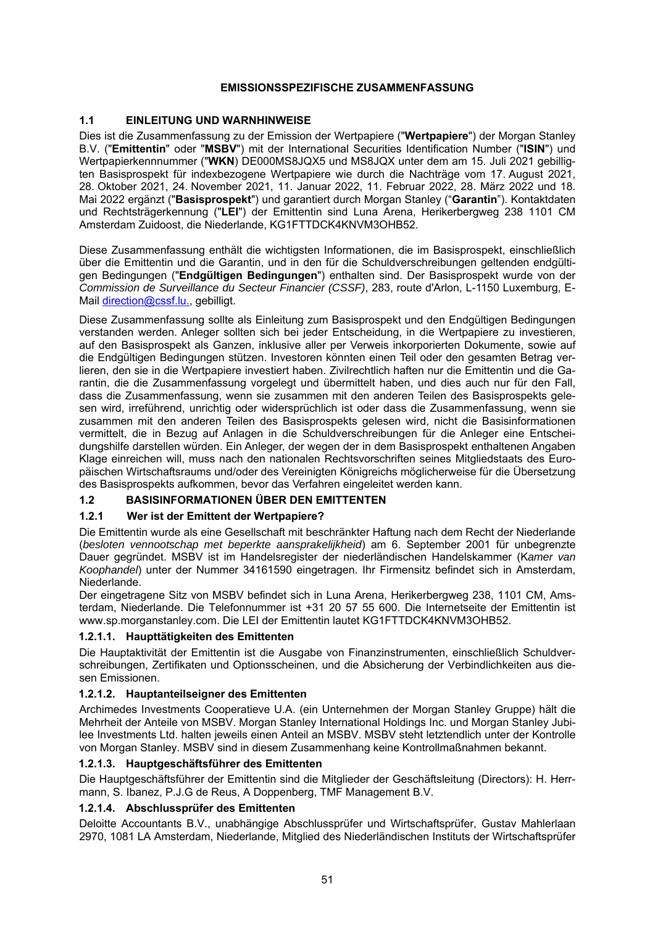# **EMISSIONSSPEZIFISCHE ZUSAMMENFASSUNG**

# **1.1 EINLEITUNG UND WARNHINWEISE**

Dies ist die Zusammenfassung zu der Emission der Wertpapiere ("**Wertpapiere**") der Morgan Stanley B.V. ("**Emittentin**" oder "**MSBV**") mit der International Securities Identification Number ("**ISIN**") und Wertpapierkennnummer ("**WKN**) DE000MS8JQX5 und MS8JQX unter dem am 15. Juli 2021 gebilligten Basisprospekt für indexbezogene Wertpapiere wie durch die Nachträge vom 17. August 2021, 28. Oktober 2021, 24. November 2021, 11. Januar 2022, 11. Februar 2022, 28. März 2022 und 18. Mai 2022 ergänzt ("**Basisprospekt**") und garantiert durch Morgan Stanley ("**Garantin**"). Kontaktdaten und Rechtsträgerkennung ("**LEI**") der Emittentin sind Luna Arena, Herikerbergweg 238 1101 CM Amsterdam Zuidoost, die Niederlande, KG1FTTDCK4KNVM3OHB52.

Diese Zusammenfassung enthält die wichtigsten Informationen, die im Basisprospekt, einschließlich über die Emittentin und die Garantin, und in den für die Schuldverschreibungen geltenden endgültigen Bedingungen ("**Endgültigen Bedingungen**") enthalten sind. Der Basisprospekt wurde von der *Commission de Surveillance du Secteur Financier (CSSF)*, 283, route d'Arlon, L-1150 Luxemburg, E-Mail direction@cssf.lu., gebilligt.

Diese Zusammenfassung sollte als Einleitung zum Basisprospekt und den Endgültigen Bedingungen verstanden werden. Anleger sollten sich bei jeder Entscheidung, in die Wertpapiere zu investieren, auf den Basisprospekt als Ganzen, inklusive aller per Verweis inkorporierten Dokumente, sowie auf die Endgültigen Bedingungen stützen. Investoren könnten einen Teil oder den gesamten Betrag verlieren, den sie in die Wertpapiere investiert haben. Zivilrechtlich haften nur die Emittentin und die Garantin, die die Zusammenfassung vorgelegt und übermittelt haben, und dies auch nur für den Fall, dass die Zusammenfassung, wenn sie zusammen mit den anderen Teilen des Basisprospekts gelesen wird, irreführend, unrichtig oder widersprüchlich ist oder dass die Zusammenfassung, wenn sie zusammen mit den anderen Teilen des Basisprospekts gelesen wird, nicht die Basisinformationen vermittelt, die in Bezug auf Anlagen in die Schuldverschreibungen für die Anleger eine Entscheidungshilfe darstellen würden. Ein Anleger, der wegen der in dem Basisprospekt enthaltenen Angaben Klage einreichen will, muss nach den nationalen Rechtsvorschriften seines Mitgliedstaats des Europäischen Wirtschaftsraums und/oder des Vereinigten Königreichs möglicherweise für die Übersetzung des Basisprospekts aufkommen, bevor das Verfahren eingeleitet werden kann.

# **1.2 BASISINFORMATIONEN ÜBER DEN EMITTENTEN**

# **1.2.1 Wer ist der Emittent der Wertpapiere?**

Die Emittentin wurde als eine Gesellschaft mit beschränkter Haftung nach dem Recht der Niederlande (*besloten vennootschap met beperkte aansprakelijkheid*) am 6. September 2001 für unbegrenzte Dauer gegründet. MSBV ist im Handelsregister der niederländischen Handelskammer (K*amer van Koophandel*) unter der Nummer 34161590 eingetragen. Ihr Firmensitz befindet sich in Amsterdam, Niederlande.

Der eingetragene Sitz von MSBV befindet sich in Luna Arena, Herikerbergweg 238, 1101 CM, Amsterdam, Niederlande. Die Telefonnummer ist +31 20 57 55 600. Die Internetseite der Emittentin ist www.sp.morganstanley.com. Die LEI der Emittentin lautet KG1FTTDCK4KNVM3OHB52.

# **1.2.1.1. Haupttätigkeiten des Emittenten**

Die Hauptaktivität der Emittentin ist die Ausgabe von Finanzinstrumenten, einschließlich Schuldverschreibungen, Zertifikaten und Optionsscheinen, und die Absicherung der Verbindlichkeiten aus diesen Emissionen.

# **1.2.1.2. Hauptanteilseigner des Emittenten**

Archimedes Investments Cooperatieve U.A. (ein Unternehmen der Morgan Stanley Gruppe) hält die Mehrheit der Anteile von MSBV. Morgan Stanley International Holdings Inc. und Morgan Stanley Jubilee Investments Ltd. halten jeweils einen Anteil an MSBV. MSBV steht letztendlich unter der Kontrolle von Morgan Stanley. MSBV sind in diesem Zusammenhang keine Kontrollmaßnahmen bekannt.

# **1.2.1.3. Hauptgeschäftsführer des Emittenten**

Die Hauptgeschäftsführer der Emittentin sind die Mitglieder der Geschäftsleitung (Directors): H. Herrmann, S. Ibanez, P.J.G de Reus, A Doppenberg, TMF Management B.V.

# **1.2.1.4. Abschlussprüfer des Emittenten**

Deloitte Accountants B.V., unabhängige Abschlussprüfer und Wirtschaftsprüfer, Gustav Mahlerlaan 2970, 1081 LA Amsterdam, Niederlande, Mitglied des Niederländischen Instituts der Wirtschaftsprüfer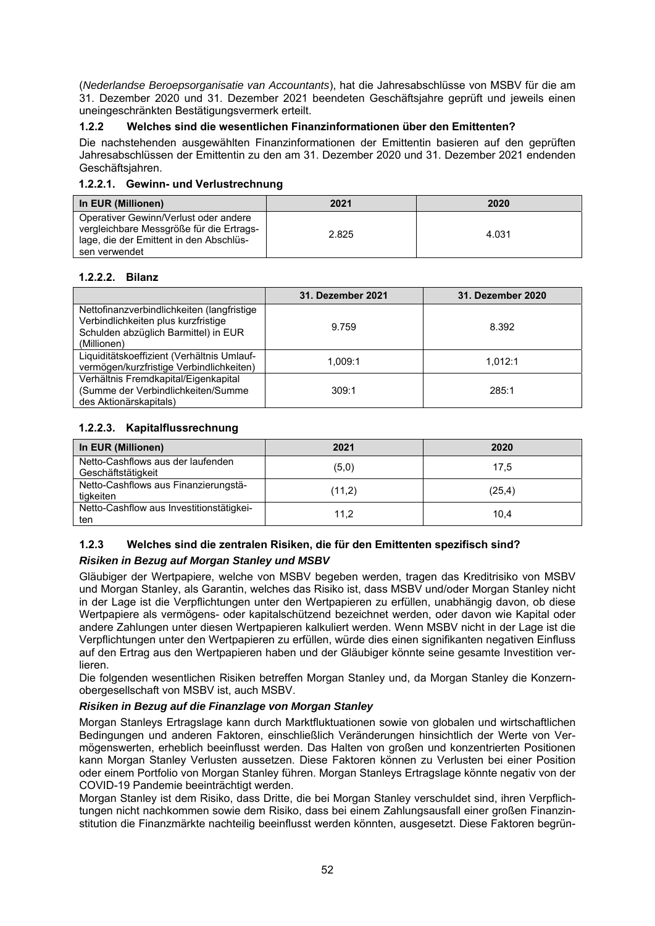(*Nederlandse Beroepsorganisatie van Accountants*), hat die Jahresabschlüsse von MSBV für die am 31. Dezember 2020 und 31. Dezember 2021 beendeten Geschäftsjahre geprüft und jeweils einen uneingeschränkten Bestätigungsvermerk erteilt.

# **1.2.2 Welches sind die wesentlichen Finanzinformationen über den Emittenten?**

Die nachstehenden ausgewählten Finanzinformationen der Emittentin basieren auf den geprüften Jahresabschlüssen der Emittentin zu den am 31. Dezember 2020 und 31. Dezember 2021 endenden Geschäftsjahren.

# **1.2.2.1. Gewinn- und Verlustrechnung**

| In EUR (Millionen)                                                                                                                            | 2021  | 2020  |
|-----------------------------------------------------------------------------------------------------------------------------------------------|-------|-------|
| Operativer Gewinn/Verlust oder andere<br>vergleichbare Messgröße für die Ertrags-<br>lage, die der Emittent in den Abschlüs-<br>sen verwendet | 2.825 | 4.031 |

# **1.2.2.2. Bilanz**

|                                                                                                                                          | 31. Dezember 2021 | 31. Dezember 2020 |
|------------------------------------------------------------------------------------------------------------------------------------------|-------------------|-------------------|
| Nettofinanzverbindlichkeiten (langfristige<br>Verbindlichkeiten plus kurzfristige<br>Schulden abzüglich Barmittel) in EUR<br>(Millionen) | 9.759             | 8.392             |
| Liquiditätskoeffizient (Verhältnis Umlauf-<br>vermögen/kurzfristige Verbindlichkeiten)                                                   | 1.009:1           | 1.012:1           |
| Verhältnis Fremdkapital/Eigenkapital<br>(Summe der Verbindlichkeiten/Summe<br>des Aktionärskapitals)                                     | 309:1             | 285:1             |

# **1.2.2.3. Kapitalflussrechnung**

| In EUR (Millionen)                                      | 2021   | 2020    |
|---------------------------------------------------------|--------|---------|
| Netto-Cashflows aus der laufenden<br>Geschäftstätigkeit | (5,0)  | 17.5    |
| Netto-Cashflows aus Finanzierungstä-<br>tigkeiten       | (11,2) | (25, 4) |
| Netto-Cashflow aus Investitionstätigkei-<br>ten         | 11,2   | 10.4    |

# **1.2.3 Welches sind die zentralen Risiken, die für den Emittenten spezifisch sind?** *Risiken in Bezug auf Morgan Stanley und MSBV*

Gläubiger der Wertpapiere, welche von MSBV begeben werden, tragen das Kreditrisiko von MSBV und Morgan Stanley, als Garantin, welches das Risiko ist, dass MSBV und/oder Morgan Stanley nicht in der Lage ist die Verpflichtungen unter den Wertpapieren zu erfüllen, unabhängig davon, ob diese Wertpapiere als vermögens- oder kapitalschützend bezeichnet werden, oder davon wie Kapital oder andere Zahlungen unter diesen Wertpapieren kalkuliert werden. Wenn MSBV nicht in der Lage ist die Verpflichtungen unter den Wertpapieren zu erfüllen, würde dies einen signifikanten negativen Einfluss auf den Ertrag aus den Wertpapieren haben und der Gläubiger könnte seine gesamte Investition verlieren.

Die folgenden wesentlichen Risiken betreffen Morgan Stanley und, da Morgan Stanley die Konzernobergesellschaft von MSBV ist, auch MSBV.

# *Risiken in Bezug auf die Finanzlage von Morgan Stanley*

Morgan Stanleys Ertragslage kann durch Marktfluktuationen sowie von globalen und wirtschaftlichen Bedingungen und anderen Faktoren, einschließlich Veränderungen hinsichtlich der Werte von Vermögenswerten, erheblich beeinflusst werden. Das Halten von großen und konzentrierten Positionen kann Morgan Stanley Verlusten aussetzen. Diese Faktoren können zu Verlusten bei einer Position oder einem Portfolio von Morgan Stanley führen. Morgan Stanleys Ertragslage könnte negativ von der COVID-19 Pandemie beeinträchtigt werden.

Morgan Stanley ist dem Risiko, dass Dritte, die bei Morgan Stanley verschuldet sind, ihren Verpflichtungen nicht nachkommen sowie dem Risiko, dass bei einem Zahlungsausfall einer großen Finanzinstitution die Finanzmärkte nachteilig beeinflusst werden könnten, ausgesetzt. Diese Faktoren begrün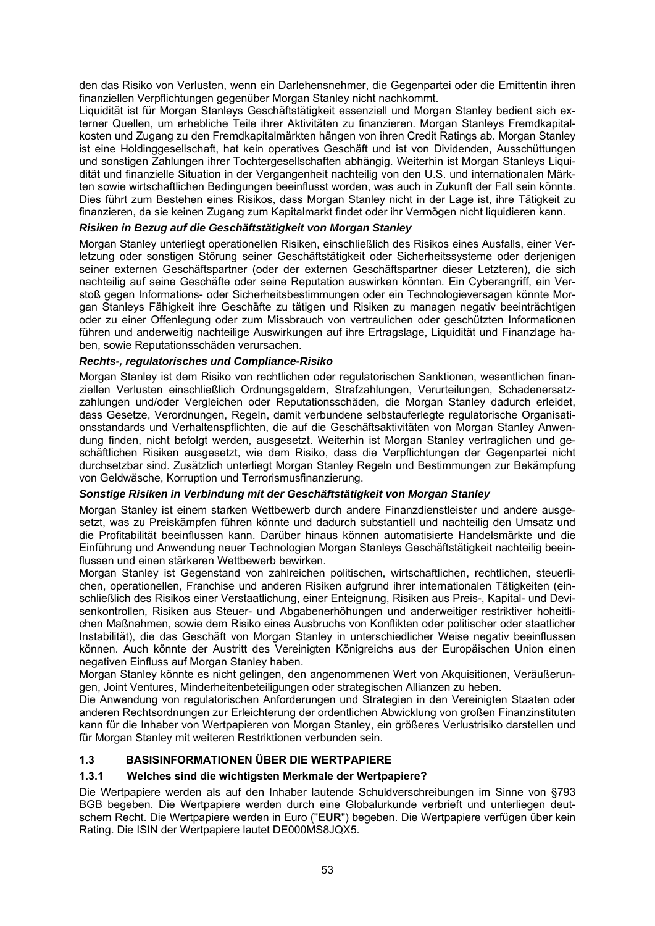den das Risiko von Verlusten, wenn ein Darlehensnehmer, die Gegenpartei oder die Emittentin ihren finanziellen Verpflichtungen gegenüber Morgan Stanley nicht nachkommt.

Liquidität ist für Morgan Stanleys Geschäftstätigkeit essenziell und Morgan Stanley bedient sich externer Quellen, um erhebliche Teile ihrer Aktivitäten zu finanzieren. Morgan Stanleys Fremdkapitalkosten und Zugang zu den Fremdkapitalmärkten hängen von ihren Credit Ratings ab. Morgan Stanley ist eine Holdinggesellschaft, hat kein operatives Geschäft und ist von Dividenden, Ausschüttungen und sonstigen Zahlungen ihrer Tochtergesellschaften abhängig. Weiterhin ist Morgan Stanleys Liquidität und finanzielle Situation in der Vergangenheit nachteilig von den U.S. und internationalen Märkten sowie wirtschaftlichen Bedingungen beeinflusst worden, was auch in Zukunft der Fall sein könnte. Dies führt zum Bestehen eines Risikos, dass Morgan Stanley nicht in der Lage ist, ihre Tätigkeit zu finanzieren, da sie keinen Zugang zum Kapitalmarkt findet oder ihr Vermögen nicht liquidieren kann.

#### *Risiken in Bezug auf die Geschäftstätigkeit von Morgan Stanley*

Morgan Stanley unterliegt operationellen Risiken, einschließlich des Risikos eines Ausfalls, einer Verletzung oder sonstigen Störung seiner Geschäftstätigkeit oder Sicherheitssysteme oder derjenigen seiner externen Geschäftspartner (oder der externen Geschäftspartner dieser Letzteren), die sich nachteilig auf seine Geschäfte oder seine Reputation auswirken könnten. Ein Cyberangriff, ein Verstoß gegen Informations- oder Sicherheitsbestimmungen oder ein Technologieversagen könnte Morgan Stanleys Fähigkeit ihre Geschäfte zu tätigen und Risiken zu managen negativ beeinträchtigen oder zu einer Offenlegung oder zum Missbrauch von vertraulichen oder geschützten Informationen führen und anderweitig nachteilige Auswirkungen auf ihre Ertragslage, Liquidität und Finanzlage haben, sowie Reputationsschäden verursachen.

#### *Rechts-, regulatorisches und Compliance-Risiko*

Morgan Stanley ist dem Risiko von rechtlichen oder regulatorischen Sanktionen, wesentlichen finanziellen Verlusten einschließlich Ordnungsgeldern, Strafzahlungen, Verurteilungen, Schadenersatzzahlungen und/oder Vergleichen oder Reputationsschäden, die Morgan Stanley dadurch erleidet, dass Gesetze, Verordnungen, Regeln, damit verbundene selbstauferlegte regulatorische Organisationsstandards und Verhaltenspflichten, die auf die Geschäftsaktivitäten von Morgan Stanley Anwendung finden, nicht befolgt werden, ausgesetzt. Weiterhin ist Morgan Stanley vertraglichen und geschäftlichen Risiken ausgesetzt, wie dem Risiko, dass die Verpflichtungen der Gegenpartei nicht durchsetzbar sind. Zusätzlich unterliegt Morgan Stanley Regeln und Bestimmungen zur Bekämpfung von Geldwäsche, Korruption und Terrorismusfinanzierung.

#### *Sonstige Risiken in Verbindung mit der Geschäftstätigkeit von Morgan Stanley*

Morgan Stanley ist einem starken Wettbewerb durch andere Finanzdienstleister und andere ausgesetzt, was zu Preiskämpfen führen könnte und dadurch substantiell und nachteilig den Umsatz und die Profitabilität beeinflussen kann. Darüber hinaus können automatisierte Handelsmärkte und die Einführung und Anwendung neuer Technologien Morgan Stanleys Geschäftstätigkeit nachteilig beeinflussen und einen stärkeren Wettbewerb bewirken.

Morgan Stanley ist Gegenstand von zahlreichen politischen, wirtschaftlichen, rechtlichen, steuerlichen, operationellen, Franchise und anderen Risiken aufgrund ihrer internationalen Tätigkeiten (einschließlich des Risikos einer Verstaatlichung, einer Enteignung, Risiken aus Preis-, Kapital- und Devisenkontrollen, Risiken aus Steuer- und Abgabenerhöhungen und anderweitiger restriktiver hoheitlichen Maßnahmen, sowie dem Risiko eines Ausbruchs von Konflikten oder politischer oder staatlicher Instabilität), die das Geschäft von Morgan Stanley in unterschiedlicher Weise negativ beeinflussen können. Auch könnte der Austritt des Vereinigten Königreichs aus der Europäischen Union einen negativen Einfluss auf Morgan Stanley haben.

Morgan Stanley könnte es nicht gelingen, den angenommenen Wert von Akquisitionen, Veräußerungen, Joint Ventures, Minderheitenbeteiligungen oder strategischen Allianzen zu heben.

Die Anwendung von regulatorischen Anforderungen und Strategien in den Vereinigten Staaten oder anderen Rechtsordnungen zur Erleichterung der ordentlichen Abwicklung von großen Finanzinstituten kann für die Inhaber von Wertpapieren von Morgan Stanley, ein größeres Verlustrisiko darstellen und für Morgan Stanley mit weiteren Restriktionen verbunden sein.

# **1.3 BASISINFORMATIONEN ÜBER DIE WERTPAPIERE**

# **1.3.1 Welches sind die wichtigsten Merkmale der Wertpapiere?**

Die Wertpapiere werden als auf den Inhaber lautende Schuldverschreibungen im Sinne von §793 BGB begeben. Die Wertpapiere werden durch eine Globalurkunde verbrieft und unterliegen deutschem Recht. Die Wertpapiere werden in Euro ("**EUR**") begeben. Die Wertpapiere verfügen über kein Rating. Die ISIN der Wertpapiere lautet DE000MS8JQX5.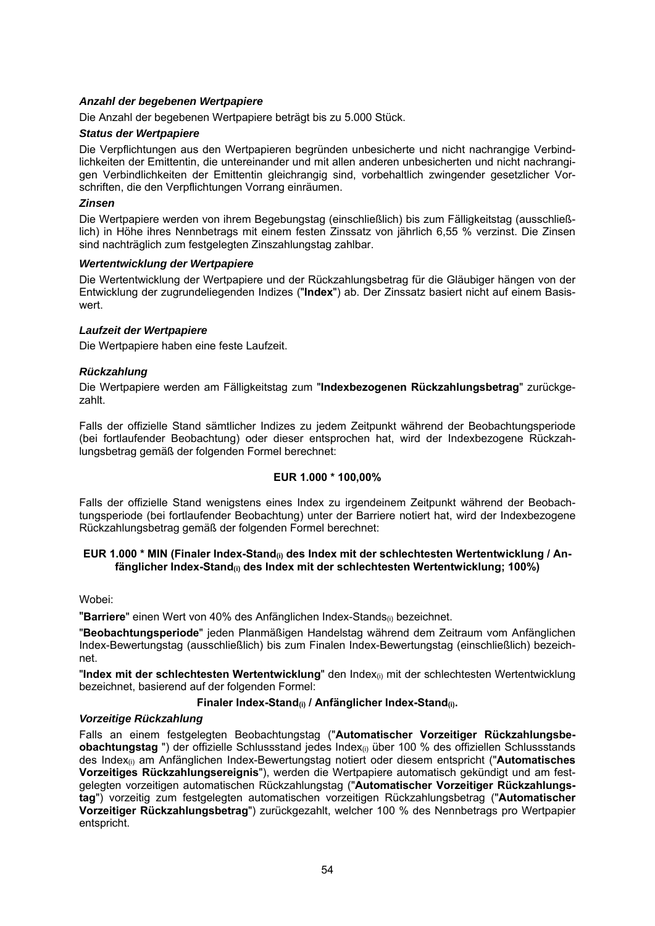#### *Anzahl der begebenen Wertpapiere*

Die Anzahl der begebenen Wertpapiere beträgt bis zu 5.000 Stück.

# *Status der Wertpapiere*

Die Verpflichtungen aus den Wertpapieren begründen unbesicherte und nicht nachrangige Verbindlichkeiten der Emittentin, die untereinander und mit allen anderen unbesicherten und nicht nachrangigen Verbindlichkeiten der Emittentin gleichrangig sind, vorbehaltlich zwingender gesetzlicher Vorschriften, die den Verpflichtungen Vorrang einräumen.

#### *Zinsen*

Die Wertpapiere werden von ihrem Begebungstag (einschließlich) bis zum Fälligkeitstag (ausschließlich) in Höhe ihres Nennbetrags mit einem festen Zinssatz von jährlich 6,55 % verzinst. Die Zinsen sind nachträglich zum festgelegten Zinszahlungstag zahlbar.

#### *Wertentwicklung der Wertpapiere*

Die Wertentwicklung der Wertpapiere und der Rückzahlungsbetrag für die Gläubiger hängen von der Entwicklung der zugrundeliegenden Indizes ("**Index**") ab. Der Zinssatz basiert nicht auf einem Basiswert.

#### *Laufzeit der Wertpapiere*

Die Wertpapiere haben eine feste Laufzeit.

#### *Rückzahlung*

Die Wertpapiere werden am Fälligkeitstag zum "**Indexbezogenen Rückzahlungsbetrag**" zurückgezahlt.

Falls der offizielle Stand sämtlicher Indizes zu jedem Zeitpunkt während der Beobachtungsperiode (bei fortlaufender Beobachtung) oder dieser entsprochen hat, wird der Indexbezogene Rückzahlungsbetrag gemäß der folgenden Formel berechnet:

# **EUR 1.000 \* 100,00%**

Falls der offizielle Stand wenigstens eines Index zu irgendeinem Zeitpunkt während der Beobachtungsperiode (bei fortlaufender Beobachtung) unter der Barriere notiert hat, wird der Indexbezogene Rückzahlungsbetrag gemäß der folgenden Formel berechnet:

#### EUR 1.000 \* MIN (Finaler Index-Stand<sub>(i)</sub> des Index mit der schlechtesten Wertentwicklung / An**fänglicher Index-Stand(i) des Index mit der schlechtesten Wertentwicklung; 100%)**

## Wobei:

"Barriere" einen Wert von 40% des Anfänglichen Index-Stands<sub>(i)</sub> bezeichnet.

"**Beobachtungsperiode**" jeden Planmäßigen Handelstag während dem Zeitraum vom Anfänglichen Index-Bewertungstag (ausschließlich) bis zum Finalen Index-Bewertungstag (einschließlich) bezeichnet.

"Index mit der schlechtesten Wertentwicklung" den Index<sub>(i)</sub> mit der schlechtesten Wertentwicklung bezeichnet, basierend auf der folgenden Formel:

# **Finaler Index-Stand(i) / Anfänglicher Index-Stand(i).**

#### *Vorzeitige Rückzahlung*

Falls an einem festgelegten Beobachtungstag ("**Automatischer Vorzeitiger Rückzahlungsbeobachtungstag** ") der offizielle Schlussstand jedes Index(i) über 100 % des offiziellen Schlussstands des Index(i) am Anfänglichen Index-Bewertungstag notiert oder diesem entspricht ("**Automatisches Vorzeitiges Rückzahlungsereignis**"), werden die Wertpapiere automatisch gekündigt und am festgelegten vorzeitigen automatischen Rückzahlungstag ("**Automatischer Vorzeitiger Rückzahlungstag**") vorzeitig zum festgelegten automatischen vorzeitigen Rückzahlungsbetrag ("**Automatischer Vorzeitiger Rückzahlungsbetrag**") zurückgezahlt, welcher 100 % des Nennbetrags pro Wertpapier entspricht.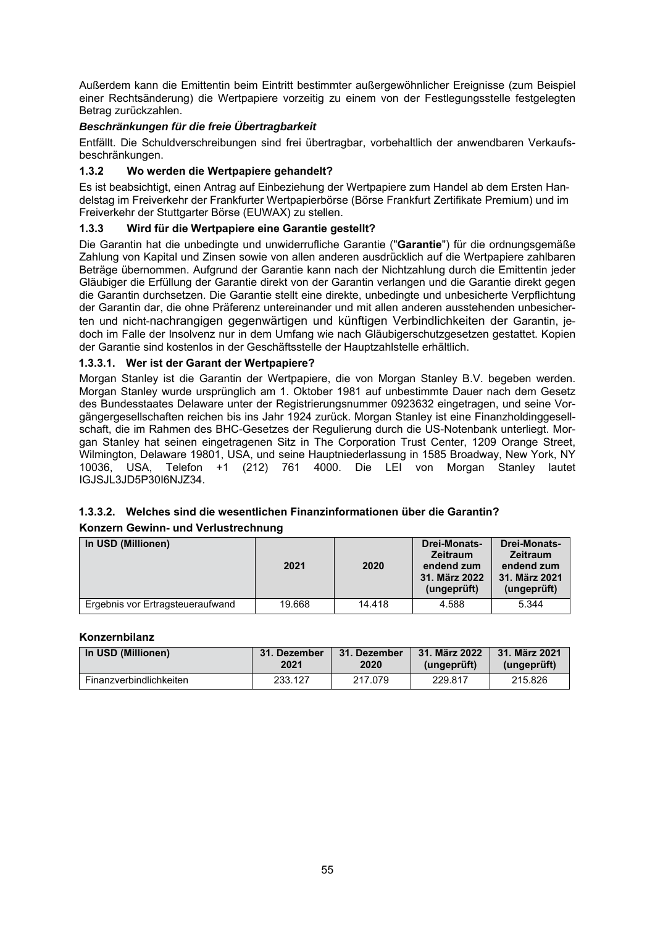Außerdem kann die Emittentin beim Eintritt bestimmter außergewöhnlicher Ereignisse (zum Beispiel einer Rechtsänderung) die Wertpapiere vorzeitig zu einem von der Festlegungsstelle festgelegten Betrag zurückzahlen.

# *Beschränkungen für die freie Übertragbarkeit*

Entfällt. Die Schuldverschreibungen sind frei übertragbar, vorbehaltlich der anwendbaren Verkaufsbeschränkungen.

# **1.3.2 Wo werden die Wertpapiere gehandelt?**

Es ist beabsichtigt, einen Antrag auf Einbeziehung der Wertpapiere zum Handel ab dem Ersten Handelstag im Freiverkehr der Frankfurter Wertpapierbörse (Börse Frankfurt Zertifikate Premium) und im Freiverkehr der Stuttgarter Börse (EUWAX) zu stellen.

# **1.3.3 Wird für die Wertpapiere eine Garantie gestellt?**

Die Garantin hat die unbedingte und unwiderrufliche Garantie ("**Garantie**") für die ordnungsgemäße Zahlung von Kapital und Zinsen sowie von allen anderen ausdrücklich auf die Wertpapiere zahlbaren Beträge übernommen. Aufgrund der Garantie kann nach der Nichtzahlung durch die Emittentin jeder Gläubiger die Erfüllung der Garantie direkt von der Garantin verlangen und die Garantie direkt gegen die Garantin durchsetzen. Die Garantie stellt eine direkte, unbedingte und unbesicherte Verpflichtung der Garantin dar, die ohne Präferenz untereinander und mit allen anderen ausstehenden unbesicherten und nicht-nachrangigen gegenwärtigen und künftigen Verbindlichkeiten der Garantin, jedoch im Falle der Insolvenz nur in dem Umfang wie nach Gläubigerschutzgesetzen gestattet. Kopien der Garantie sind kostenlos in der Geschäftsstelle der Hauptzahlstelle erhältlich.

# **1.3.3.1. Wer ist der Garant der Wertpapiere?**

Morgan Stanley ist die Garantin der Wertpapiere, die von Morgan Stanley B.V. begeben werden. Morgan Stanley wurde ursprünglich am 1. Oktober 1981 auf unbestimmte Dauer nach dem Gesetz des Bundesstaates Delaware unter der Registrierungsnummer 0923632 eingetragen, und seine Vorgängergesellschaften reichen bis ins Jahr 1924 zurück. Morgan Stanley ist eine Finanzholdinggesellschaft, die im Rahmen des BHC-Gesetzes der Regulierung durch die US-Notenbank unterliegt. Morgan Stanley hat seinen eingetragenen Sitz in The Corporation Trust Center, 1209 Orange Street, Wilmington, Delaware 19801, USA, und seine Hauptniederlassung in 1585 Broadway, New York, NY 10036, USA, Telefon +1 (212) 761 4000. Die LEI von Morgan Stanley lautet IGJSJL3JD5P30I6NJZ34.

# **1.3.3.2. Welches sind die wesentlichen Finanzinformationen über die Garantin?**

# **Konzern Gewinn- und Verlustrechnung**

| In USD (Millionen)               | 2021   | 2020   | <b>Drei-Monats-</b><br><b>Zeitraum</b><br>endend zum<br>31. März 2022<br>(ungeprüft) | Drei-Monats-<br><b>Zeitraum</b><br>endend zum<br>31. März 2021<br>(ungeprüft) |
|----------------------------------|--------|--------|--------------------------------------------------------------------------------------|-------------------------------------------------------------------------------|
| Ergebnis vor Ertragsteueraufwand | 19.668 | 14.418 | 4.588                                                                                | 5.344                                                                         |

# **Konzernbilanz**

| In USD (Millionen)      | 31. Dezember | 31. Dezember | 31. März 2022 | 31. März 2021 |
|-------------------------|--------------|--------------|---------------|---------------|
|                         | 2021         | 2020         | (ungeprüft)   | (ungeprüft)   |
| Finanzverbindlichkeiten | 233.127      | 217.079      | 229.817       | 215.826       |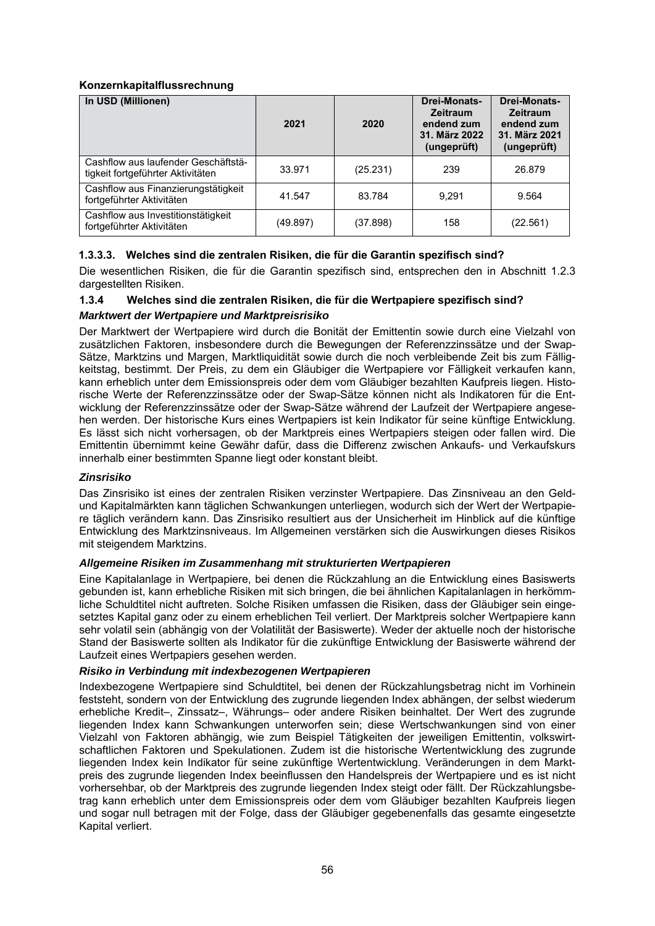# **Konzernkapitalflussrechnung**

| In USD (Millionen)                                                       | 2021     | 2020     | Drei-Monats-<br><b>Zeitraum</b><br>endend zum<br>31. März 2022<br>(ungeprüft) | Drei-Monats-<br><b>Zeitraum</b><br>endend zum<br>31. März 2021<br>(ungeprüft) |
|--------------------------------------------------------------------------|----------|----------|-------------------------------------------------------------------------------|-------------------------------------------------------------------------------|
| Cashflow aus laufender Geschäftstä-<br>tigkeit fortgeführter Aktivitäten | 33.971   | (25.231) | 239                                                                           | 26.879                                                                        |
| Cashflow aus Finanzierungstätigkeit<br>fortgeführter Aktivitäten         | 41.547   | 83.784   | 9.291                                                                         | 9.564                                                                         |
| Cashflow aus Investitionstätigkeit<br>fortgeführter Aktivitäten          | (49.897) | (37.898) | 158                                                                           | (22.561)                                                                      |

# **1.3.3.3. Welches sind die zentralen Risiken, die für die Garantin spezifisch sind?**

Die wesentlichen Risiken, die für die Garantin spezifisch sind, entsprechen den in Abschnitt 1.2.3 dargestellten Risiken.

# **1.3.4 Welches sind die zentralen Risiken, die für die Wertpapiere spezifisch sind?**

#### *Marktwert der Wertpapiere und Marktpreisrisiko*

Der Marktwert der Wertpapiere wird durch die Bonität der Emittentin sowie durch eine Vielzahl von zusätzlichen Faktoren, insbesondere durch die Bewegungen der Referenzzinssätze und der Swap-Sätze, Marktzins und Margen, Marktliquidität sowie durch die noch verbleibende Zeit bis zum Fälligkeitstag, bestimmt. Der Preis, zu dem ein Gläubiger die Wertpapiere vor Fälligkeit verkaufen kann, kann erheblich unter dem Emissionspreis oder dem vom Gläubiger bezahlten Kaufpreis liegen. Historische Werte der Referenzzinssätze oder der Swap-Sätze können nicht als Indikatoren für die Entwicklung der Referenzzinssätze oder der Swap-Sätze während der Laufzeit der Wertpapiere angesehen werden. Der historische Kurs eines Wertpapiers ist kein Indikator für seine künftige Entwicklung. Es lässt sich nicht vorhersagen, ob der Marktpreis eines Wertpapiers steigen oder fallen wird. Die Emittentin übernimmt keine Gewähr dafür, dass die Differenz zwischen Ankaufs- und Verkaufskurs innerhalb einer bestimmten Spanne liegt oder konstant bleibt.

# *Zinsrisiko*

Das Zinsrisiko ist eines der zentralen Risiken verzinster Wertpapiere. Das Zinsniveau an den Geldund Kapitalmärkten kann täglichen Schwankungen unterliegen, wodurch sich der Wert der Wertpapiere täglich verändern kann. Das Zinsrisiko resultiert aus der Unsicherheit im Hinblick auf die künftige Entwicklung des Marktzinsniveaus. Im Allgemeinen verstärken sich die Auswirkungen dieses Risikos mit steigendem Marktzins.

#### *Allgemeine Risiken im Zusammenhang mit strukturierten Wertpapieren*

Eine Kapitalanlage in Wertpapiere, bei denen die Rückzahlung an die Entwicklung eines Basiswerts gebunden ist, kann erhebliche Risiken mit sich bringen, die bei ähnlichen Kapitalanlagen in herkömmliche Schuldtitel nicht auftreten. Solche Risiken umfassen die Risiken, dass der Gläubiger sein eingesetztes Kapital ganz oder zu einem erheblichen Teil verliert. Der Marktpreis solcher Wertpapiere kann sehr volatil sein (abhängig von der Volatilität der Basiswerte). Weder der aktuelle noch der historische Stand der Basiswerte sollten als Indikator für die zukünftige Entwicklung der Basiswerte während der Laufzeit eines Wertpapiers gesehen werden.

# *Risiko in Verbindung mit indexbezogenen Wertpapieren*

Indexbezogene Wertpapiere sind Schuldtitel, bei denen der Rückzahlungsbetrag nicht im Vorhinein feststeht, sondern von der Entwicklung des zugrunde liegenden Index abhängen, der selbst wiederum erhebliche Kredit–, Zinssatz–, Währungs– oder andere Risiken beinhaltet. Der Wert des zugrunde liegenden Index kann Schwankungen unterworfen sein; diese Wertschwankungen sind von einer Vielzahl von Faktoren abhängig, wie zum Beispiel Tätigkeiten der jeweiligen Emittentin, volkswirtschaftlichen Faktoren und Spekulationen. Zudem ist die historische Wertentwicklung des zugrunde liegenden Index kein Indikator für seine zukünftige Wertentwicklung. Veränderungen in dem Marktpreis des zugrunde liegenden Index beeinflussen den Handelspreis der Wertpapiere und es ist nicht vorhersehbar, ob der Marktpreis des zugrunde liegenden Index steigt oder fällt. Der Rückzahlungsbetrag kann erheblich unter dem Emissionspreis oder dem vom Gläubiger bezahlten Kaufpreis liegen und sogar null betragen mit der Folge, dass der Gläubiger gegebenenfalls das gesamte eingesetzte Kapital verliert.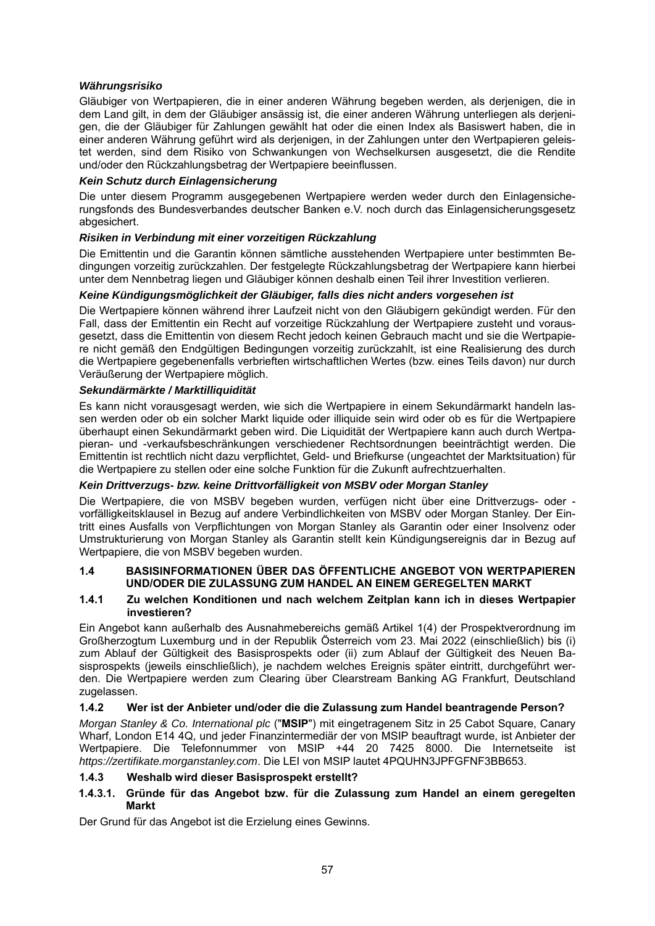# *Währungsrisiko*

Gläubiger von Wertpapieren, die in einer anderen Währung begeben werden, als derjenigen, die in dem Land gilt, in dem der Gläubiger ansässig ist, die einer anderen Währung unterliegen als derjenigen, die der Gläubiger für Zahlungen gewählt hat oder die einen Index als Basiswert haben, die in einer anderen Währung geführt wird als derjenigen, in der Zahlungen unter den Wertpapieren geleistet werden, sind dem Risiko von Schwankungen von Wechselkursen ausgesetzt, die die Rendite und/oder den Rückzahlungsbetrag der Wertpapiere beeinflussen.

# *Kein Schutz durch Einlagensicherung*

Die unter diesem Programm ausgegebenen Wertpapiere werden weder durch den Einlagensicherungsfonds des Bundesverbandes deutscher Banken e.V. noch durch das Einlagensicherungsgesetz abgesichert.

# *Risiken in Verbindung mit einer vorzeitigen Rückzahlung*

Die Emittentin und die Garantin können sämtliche ausstehenden Wertpapiere unter bestimmten Bedingungen vorzeitig zurückzahlen. Der festgelegte Rückzahlungsbetrag der Wertpapiere kann hierbei unter dem Nennbetrag liegen und Gläubiger können deshalb einen Teil ihrer Investition verlieren.

# *Keine Kündigungsmöglichkeit der Gläubiger, falls dies nicht anders vorgesehen ist*

Die Wertpapiere können während ihrer Laufzeit nicht von den Gläubigern gekündigt werden. Für den Fall, dass der Emittentin ein Recht auf vorzeitige Rückzahlung der Wertpapiere zusteht und vorausgesetzt, dass die Emittentin von diesem Recht jedoch keinen Gebrauch macht und sie die Wertpapiere nicht gemäß den Endgültigen Bedingungen vorzeitig zurückzahlt, ist eine Realisierung des durch die Wertpapiere gegebenenfalls verbrieften wirtschaftlichen Wertes (bzw. eines Teils davon) nur durch Veräußerung der Wertpapiere möglich.

# *Sekundärmärkte / Marktilliquidität*

Es kann nicht vorausgesagt werden, wie sich die Wertpapiere in einem Sekundärmarkt handeln lassen werden oder ob ein solcher Markt liquide oder illiquide sein wird oder ob es für die Wertpapiere überhaupt einen Sekundärmarkt geben wird. Die Liquidität der Wertpapiere kann auch durch Wertpapieran- und -verkaufsbeschränkungen verschiedener Rechtsordnungen beeinträchtigt werden. Die Emittentin ist rechtlich nicht dazu verpflichtet, Geld- und Briefkurse (ungeachtet der Marktsituation) für die Wertpapiere zu stellen oder eine solche Funktion für die Zukunft aufrechtzuerhalten.

# *Kein Drittverzugs- bzw. keine Drittvorfälligkeit von MSBV oder Morgan Stanley*

Die Wertpapiere, die von MSBV begeben wurden, verfügen nicht über eine Drittverzugs- oder vorfälligkeitsklausel in Bezug auf andere Verbindlichkeiten von MSBV oder Morgan Stanley. Der Eintritt eines Ausfalls von Verpflichtungen von Morgan Stanley als Garantin oder einer Insolvenz oder Umstrukturierung von Morgan Stanley als Garantin stellt kein Kündigungsereignis dar in Bezug auf Wertpapiere, die von MSBV begeben wurden.

# **1.4 BASISINFORMATIONEN ÜBER DAS ÖFFENTLICHE ANGEBOT VON WERTPAPIEREN UND/ODER DIE ZULASSUNG ZUM HANDEL AN EINEM GEREGELTEN MARKT**

#### **1.4.1 Zu welchen Konditionen und nach welchem Zeitplan kann ich in dieses Wertpapier investieren?**

Ein Angebot kann außerhalb des Ausnahmebereichs gemäß Artikel 1(4) der Prospektverordnung im Großherzogtum Luxemburg und in der Republik Österreich vom 23. Mai 2022 (einschließlich) bis (i) zum Ablauf der Gültigkeit des Basisprospekts oder (ii) zum Ablauf der Gültigkeit des Neuen Basisprospekts (jeweils einschließlich), je nachdem welches Ereignis später eintritt, durchgeführt werden. Die Wertpapiere werden zum Clearing über Clearstream Banking AG Frankfurt, Deutschland zugelassen.

# **1.4.2 Wer ist der Anbieter und/oder die die Zulassung zum Handel beantragende Person?**

*Morgan Stanley & Co. International plc* ("**MSIP**") mit eingetragenem Sitz in 25 Cabot Square, Canary Wharf, London E14 4Q, und jeder Finanzintermediär der von MSIP beauftragt wurde, ist Anbieter der Wertpapiere. Die Telefonnummer von MSIP +44 20 7425 8000. Die Internetseite ist *https://zertifikate.morganstanley.com*. Die LEI von MSIP lautet 4PQUHN3JPFGFNF3BB653.

# **1.4.3 Weshalb wird dieser Basisprospekt erstellt?**

# **1.4.3.1. Gründe für das Angebot bzw. für die Zulassung zum Handel an einem geregelten Markt**

Der Grund für das Angebot ist die Erzielung eines Gewinns.